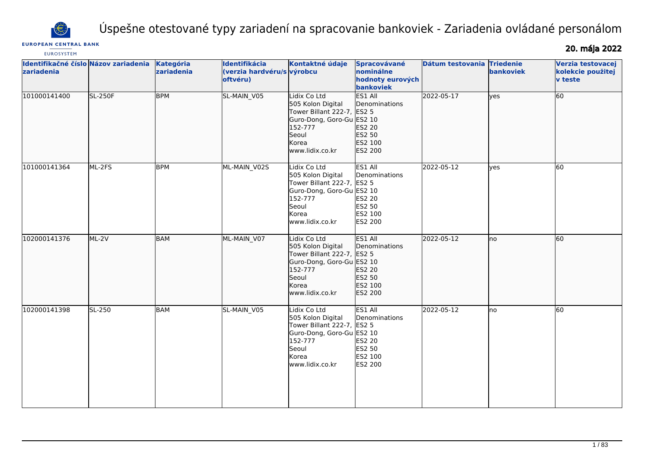

# Úspešne otestované typy zariadení na spracovanie bankoviek - Zariadenia ovládané personálom

# **EUROPEAN CENTRAL BANK**

20. mája 2022

| <b>EUROSYSTEM</b>                                  |                |                         |                                                         |                                                                                                                                              |                                                                    |                  |                               |                                                          |
|----------------------------------------------------|----------------|-------------------------|---------------------------------------------------------|----------------------------------------------------------------------------------------------------------------------------------------------|--------------------------------------------------------------------|------------------|-------------------------------|----------------------------------------------------------|
| Identifikačné číslo Názov zariadenia<br>zariadenia |                | Kategória<br>zariadenia | Identifikácia<br>(verzia hardvéru/s výrobcu<br>oftvéru) | Kontaktné údaje                                                                                                                              | Spracovávané<br>nominálne<br>hodnoty eurových<br>bankoviek         | Dátum testovania | <b>Triedenie</b><br>bankoviek | Verzia testovacej<br>kolekcie použitej<br><b>v</b> teste |
| 101000141400                                       | <b>SL-250F</b> | <b>BPM</b>              | SL-MAIN V05                                             | Lidix Co Ltd<br>505 Kolon Digital<br>Tower Billant 222-7, ES2 5<br>Guro-Dong, Goro-Gu ES2 10<br>152-777<br>Seoul<br>Korea<br>www.lidix.co.kr | ES1 All<br>Denominations<br>ES2 20<br>ES2 50<br>ES2 100<br>ES2 200 | 2022-05-17       | lves                          | 60                                                       |
| 101000141364                                       | ML-2FS         | <b>BPM</b>              | ML-MAIN_V02S                                            | Lidix Co Ltd<br>505 Kolon Digital<br>Tower Billant 222-7, ES2 5<br>Guro-Dong, Goro-Gu ES2 10<br>152-777<br>Seoul<br>Korea<br>www.lidix.co.kr | ES1 All<br>Denominations<br>ES2 20<br>ES2 50<br>ES2 100<br>ES2 200 | 2022-05-12       | yes                           | 60                                                       |
| 102000141376                                       | ML-2V          | BAM                     | ML-MAIN_V07                                             | Lidix Co Ltd<br>505 Kolon Digital<br>Tower Billant 222-7, ES2 5<br>Guro-Dong, Goro-Gu ES2 10<br>152-777<br>Seoul<br>Korea<br>www.lidix.co.kr | ES1 All<br>Denominations<br>ES2 20<br>ES2 50<br>ES2 100<br>ES2 200 | 2022-05-12       | lno                           | 60                                                       |
| 102000141398                                       | SL-250         | <b>BAM</b>              | SL-MAIN_V05                                             | Lidix Co Ltd<br>505 Kolon Digital<br>Tower Billant 222-7, ES2 5<br>Guro-Dong, Goro-Gu ES2 10<br>152-777<br>Seoul<br>Korea<br>www.lidix.co.kr | ES1 All<br>Denominations<br>ES2 20<br>ES2 50<br>ES2 100<br>ES2 200 | 2022-05-12       | lno                           | 60                                                       |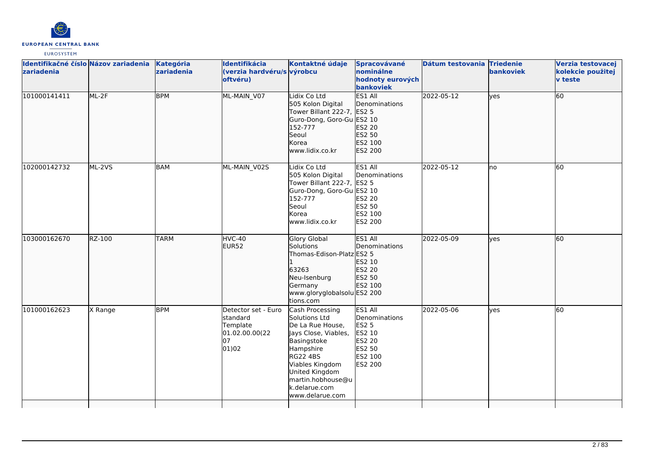

| zariadenia   | Identifikačné číslo Názov zariadenia | <b>Kategória</b><br>zariadenia | Identifikácia<br>(verzia hardvéru/s výrobcu<br>oftvéru)                              | Kontaktné údaje                                                                                                                                                                                                           | Spracovávané<br>nominálne<br>hodnoty eurových<br>bankoviek                                          | Dátum testovania Triedenie | bankoviek | Verzia testovacej<br>kolekcie použitej<br>v teste |
|--------------|--------------------------------------|--------------------------------|--------------------------------------------------------------------------------------|---------------------------------------------------------------------------------------------------------------------------------------------------------------------------------------------------------------------------|-----------------------------------------------------------------------------------------------------|----------------------------|-----------|---------------------------------------------------|
| 101000141411 | ML-2F                                | <b>BPM</b>                     | ML-MAIN_V07                                                                          | Lidix Co Ltd<br>505 Kolon Digital<br>Tower Billant 222-7, ES2 5<br>Guro-Dong, Goro-Gu ES2 10<br>152-777<br>Seoul<br>Korea<br>www.lidix.co.kr                                                                              | ES1 All<br>Denominations<br>ES2 20<br>ES2 50<br>ES2 100<br>ES2 200                                  | 2022-05-12                 | yes       | 60                                                |
| 102000142732 | ML-2VS                               | <b>BAM</b>                     | ML-MAIN V02S                                                                         | idix Co Ltd<br>505 Kolon Digital<br>Tower Billant 222-7, ES2 5<br>Guro-Dong, Goro-Gu ES2 10<br>152-777<br>Seoul<br>Korea<br>www.lidix.co.kr                                                                               | ES1 All<br>Denominations<br><b>ES2 20</b><br>ES2 50<br>ES2 100<br><b>ES2 200</b>                    | 2022-05-12                 | no        | 60                                                |
| 103000162670 | RZ-100                               | <b>TARM</b>                    | HVC-40<br>EUR <sub>52</sub>                                                          | Glory Global<br><b>Solutions</b><br>Thomas-Edison-Platz ES2 5<br>63263<br>Neu-Isenburg<br>Germany<br>www.gloryglobalsolu ES2 200<br>tions.com                                                                             | ES1 All<br>Denominations<br>ES2 10<br>ES2 20<br>ES2 50<br>ES2 100                                   | 2022-05-09                 | lves      | 60                                                |
| 101000162623 | X Range                              | <b>BPM</b>                     | Detector set - Euro<br><b>Istandard</b><br>Template<br>01.02.00.00(22<br>07<br>01)02 | Cash Processing<br>Solutions Ltd<br>De La Rue House,<br>Jays Close, Viables,<br>Basingstoke<br>Hampshire<br><b>RG22 4BS</b><br>Viables Kingdom<br>United Kingdom<br>martin.hobhouse@u<br>k.delarue.com<br>www.delarue.com | ES1 All<br>Denominations<br><b>ES2 5</b><br>ES2 10<br><b>ES2 20</b><br>ES2 50<br>ES2 100<br>ES2 200 | 2022-05-06                 | yes       | 60                                                |
|              |                                      |                                |                                                                                      |                                                                                                                                                                                                                           |                                                                                                     |                            |           |                                                   |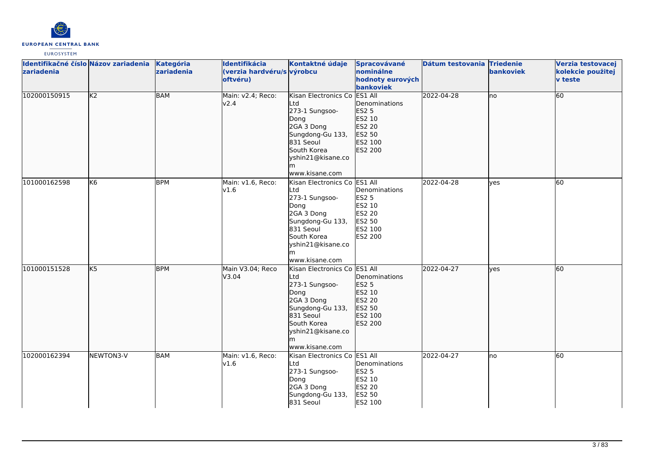

| Identifikačné číslo Názov zariadenia<br>zariadenia |                | <b>Kategória</b><br>zariadenia | Identifikácia<br>(verzia hardvéru/s výrobcu<br>oftvéru) | Kontaktné údaje                                                                                                                                                          | Spracovávané<br>nominálne<br>hodnoty eurových<br>bankoviek                        | Dátum testovania Triedenie | bankoviek | Verzia testovacej<br>kolekcie použitej<br>v teste |
|----------------------------------------------------|----------------|--------------------------------|---------------------------------------------------------|--------------------------------------------------------------------------------------------------------------------------------------------------------------------------|-----------------------------------------------------------------------------------|----------------------------|-----------|---------------------------------------------------|
| 102000150915                                       | K <sub>2</sub> | <b>BAM</b>                     | Main: v2.4; Reco:<br>v <sub>2.4</sub>                   | Kisan Electronics Co ES1 All<br>Ltd<br>273-1 Sungsoo-<br>Dong<br>2GA 3 Dong<br>Sungdong-Gu 133,<br>831 Seoul<br>South Korea<br>yshin21@kisane.co<br>www.kisane.com       | Denominations<br><b>ES2 5</b><br>ES2 10<br>ES2 20<br>ES2 50<br>ES2 100<br>ES2 200 | 2022-04-28                 | no        | 60                                                |
| 101000162598                                       | K <sub>6</sub> | <b>BPM</b>                     | Main: v1.6, Reco:<br>v1.6                               | Kisan Electronics Co ES1 All<br>Ltd<br>273-1 Sungsoo-<br>Dong<br>2GA 3 Dong<br>Sungdong-Gu 133,<br>831 Seoul<br>South Korea<br>yshin21@kisane.co<br>lm<br>www.kisane.com | Denominations<br><b>ES2 5</b><br>ES2 10<br>ES2 20<br>ES2 50<br>ES2 100<br>ES2 200 | 2022-04-28                 | yes       | 60                                                |
| 101000151528                                       | K <sub>5</sub> | <b>BPM</b>                     | Main V3.04; Reco<br>V3.04                               | Kisan Electronics Co ES1 All<br>Ltd<br>273-1 Sungsoo-<br>Dong<br>2GA 3 Dong<br>Sungdong-Gu 133,<br>831 Seoul<br>South Korea<br>yshin21@kisane.co<br>lm<br>www.kisane.com | Denominations<br><b>ES2 5</b><br>ES2 10<br>ES2 20<br>ES2 50<br>ES2 100<br>ES2 200 | 2022-04-27                 | lves      | 60                                                |
| 102000162394                                       | NEWTON3-V      | BAM                            | Main: v1.6, Reco:<br>v1.6                               | Kisan Electronics Co ES1 All<br>Ltd<br>273-1 Sungsoo-<br>Dong<br>2GA 3 Dong<br>Sungdong-Gu 133,<br>831 Seoul                                                             | Denominations<br><b>ES2 5</b><br>ES2 10<br><b>ES2 20</b><br>ES2 50<br>ES2 100     | 2022-04-27                 | lno       | 60                                                |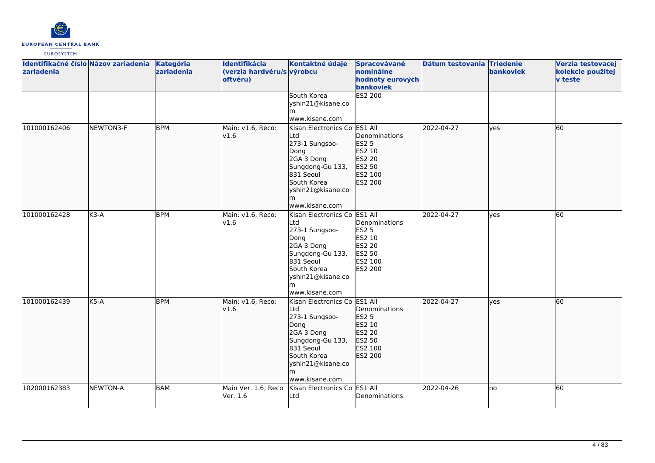

| Identifikačné číslo Názov zariadenia<br>zariadenia |                 | Kategória<br>zariadenia | Identifikácia<br>(verzia hardvéru/s výrobcu<br>oftvéru) | Kontaktné údaje                                                                                                                                                    | Spracovávané<br>nominálne<br>hodnoty eurových<br>bankoviek                                   | Dátum testovania Triedenie | bankoviek | Verzia testovacej<br>kolekcie použitej<br>v teste |
|----------------------------------------------------|-----------------|-------------------------|---------------------------------------------------------|--------------------------------------------------------------------------------------------------------------------------------------------------------------------|----------------------------------------------------------------------------------------------|----------------------------|-----------|---------------------------------------------------|
|                                                    |                 |                         |                                                         | South Korea<br>yshin21@kisane.co<br>m<br>www.kisane.com                                                                                                            | ES2 200                                                                                      |                            |           |                                                   |
| 101000162406                                       | NEWTON3-F       | <b>BPM</b>              | Main: v1.6, Reco:<br>v1.6                               | Kisan Electronics Co<br>Ltd<br>273-1 Sungsoo-<br>Dong<br>2GA 3 Dong<br>Sungdong-Gu 133,<br>831 Seoul<br>South Korea<br>yshin21@kisane.co<br>lm<br>www.kisane.com   | ES1 All<br>Denominations<br><b>ES2 5</b><br>ES2 10<br>ES2 20<br>ES2 50<br>ES2 100<br>ES2 200 | 2022-04-27                 | lves      | 60                                                |
| 101000162428                                       | $K3-A$          | <b>BPM</b>              | Main: v1.6, Reco:<br>v1.6                               | Kisan Electronics Co<br>_td<br>273-1 Sungsoo-<br>Dong<br>2GA 3 Dong<br>Sungdong-Gu 133,<br>831 Seoul<br>South Korea<br>yshin21@kisane.co<br>m<br>www.kisane.com    | ES1 All<br>Denominations<br><b>ES2 5</b><br>ES2 10<br>ES2 20<br>ES2 50<br>ES2 100<br>ES2 200 | 2022-04-27                 | lyes      | 60                                                |
| 101000162439                                       | $K5-A$          | <b>BPM</b>              | Main: v1.6, Reco:<br>v1.6                               | Kisan Electronics Co ES1 All<br>Ltd<br>273-1 Sungsoo-<br>Dong<br>2GA 3 Dong<br>Sungdong-Gu 133,<br>831 Seoul<br>South Korea<br>yshin21@kisane.co<br>www.kisane.com | Denominations<br><b>ES2 5</b><br>ES2 10<br>ES2 20<br>ES2 50<br>ES2 100<br>ES2 200            | 2022-04-27                 | lves      | 60                                                |
| 102000162383                                       | <b>NEWTON-A</b> | <b>BAM</b>              | Main Ver. 1.6, Reco<br>Ver. 1.6                         | Kisan Electronics Co ES1 All<br>Ltd                                                                                                                                | Denominations                                                                                | 2022-04-26                 | Ino       | 60                                                |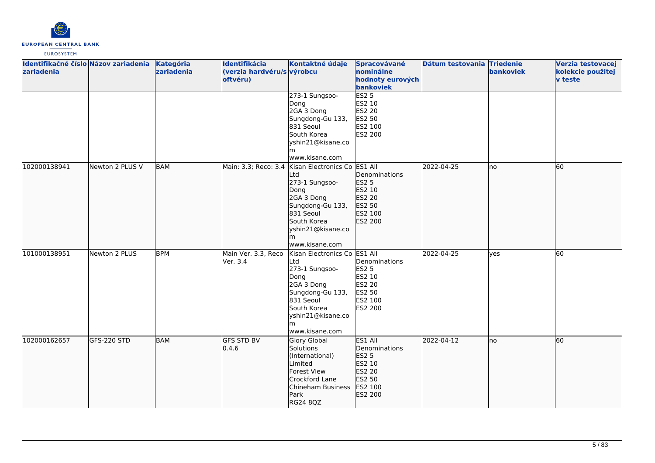

| Identifikačné číslo Názov zariadenia<br>zariadenia |                 | Kategória<br>zariadenia | Identifikácia<br>(verzia hardvéru/s výrobcu<br>oftvéru) | Kontaktné údaje                                                                                                                                                         | Spracovávané<br>nominálne<br>hodnoty eurových<br>bankoviek                                      | Dátum testovania Triedenie | bankoviek  | Verzia testovacej<br>kolekcie použitej<br>v teste |
|----------------------------------------------------|-----------------|-------------------------|---------------------------------------------------------|-------------------------------------------------------------------------------------------------------------------------------------------------------------------------|-------------------------------------------------------------------------------------------------|----------------------------|------------|---------------------------------------------------|
|                                                    |                 |                         |                                                         | 273-1 Sungsoo-<br>Dong<br>2GA 3 Dong<br>Sungdong-Gu 133,<br>831 Seoul<br>South Korea<br>yshin21@kisane.co<br>www.kisane.com                                             | <b>ES2 5</b><br>ES2 10<br><b>ES2 20</b><br>ES2 50<br>ES2 100<br><b>ES2 200</b>                  |                            |            |                                                   |
| 102000138941                                       | Newton 2 PLUS V | <b>BAM</b>              | Main: 3.3; Reco: 3.4                                    | Kisan Electronics Co ES1 All<br>Ltd<br>273-1 Sungsoo-<br>Dong<br>2GA 3 Dong<br>Sungdong-Gu 133,<br>831 Seoul<br>South Korea<br>yshin21@kisane.co<br>m<br>www.kisane.com | Denominations<br><b>ES2 5</b><br>ES2 10<br>ES2 20<br>ES2 50<br>ES2 100<br>ES2 200               | 2022-04-25                 | Ino        | 60                                                |
| 101000138951                                       | Newton 2 PLUS   | <b>BPM</b>              | Main Ver. 3.3, Reco<br>Ver. 3.4                         | Kisan Electronics Co ES1 All<br>Ltd<br>273-1 Sungsoo-<br>Dong<br>2GA 3 Dong<br>Sungdong-Gu 133,<br>831 Seoul<br>South Korea<br>yshin21@kisane.co<br>www.kisane.com      | Denominations<br><b>ES2 5</b><br>ES2 10<br><b>ES2 20</b><br>ES2 50<br>ES2 100<br><b>ES2 200</b> | 2022-04-25                 | <b>ves</b> | 60                                                |
| 102000162657                                       | GFS-220 STD     | <b>BAM</b>              | <b>GFS STD BV</b><br>0.4.6                              | Glory Global<br>Solutions<br>(International)<br>Limited<br>Forest View<br>Crockford Lane<br>Chineham Business<br>Park<br>RG24 8QZ                                       | ES1 All<br>Denominations<br>ES2 5<br>ES2 10<br>ES2 20<br>ES2 50<br>ES2 100<br>ES2 200           | 2022-04-12                 | Ino        | 60                                                |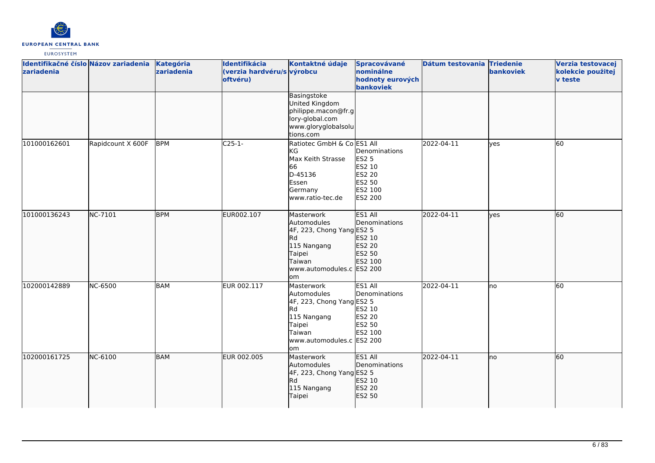

| Identifikačné číslo Názov zariadenia<br>zariadenia |                   | Kategória<br>zariadenia | Identifikácia<br>(verzia hardvéru/s výrobcu<br>oftvéru) | Kontaktné údaje                                                                                                                     | Spracovávané<br>nominálne<br>hodnoty eurových<br>bankoviek                                      | Dátum testovania Triedenie | bankoviek | Verzia testovacej<br>kolekcie použitej<br>v teste |
|----------------------------------------------------|-------------------|-------------------------|---------------------------------------------------------|-------------------------------------------------------------------------------------------------------------------------------------|-------------------------------------------------------------------------------------------------|----------------------------|-----------|---------------------------------------------------|
|                                                    |                   |                         |                                                         | Basingstoke<br>United Kingdom<br>philippe.macon@fr.g<br>lory-global.com<br>www.gloryglobalsolu<br>tions.com                         |                                                                                                 |                            |           |                                                   |
| 101000162601                                       | Rapidcount X 600F | <b>BPM</b>              | $C25-1-$                                                | Ratiotec GmbH & Co ES1 All<br>lkg.<br>Max Keith Strasse<br>66<br>D-45136<br>Essen<br>Germany<br>www.ratio-tec.de                    | Denominations<br><b>ES2 5</b><br>ES2 10<br><b>ES2 20</b><br>ES2 50<br>ES2 100<br><b>ES2 200</b> | 2022-04-11                 | lyes      | 60                                                |
| 101000136243                                       | NC-7101           | <b>BPM</b>              | EUR002.107                                              | Masterwork<br>Automodules<br>4F, 223, Chong Yang ES2 5<br>Rd<br>115 Nangang<br>Taipei<br>Taiwan<br>www.automodules.c ES2 200<br>lom | ES1 All<br>Denominations<br>ES2 10<br>ES2 20<br>ES2 50<br>ES2 100                               | 2022-04-11                 | lyes      | 60                                                |
| 102000142889                                       | <b>NC-6500</b>    | <b>BAM</b>              | EUR 002.117                                             | Masterwork<br>Automodules<br>4F, 223, Chong Yang ES2 5<br>Rd<br>115 Nangang<br>Taipei<br>Taiwan<br>www.automodules.c ES2 200<br>lom | ES1 All<br>Denominations<br>ES2 10<br><b>ES2 20</b><br>ES2 50<br>ES2 100                        | 2022-04-11                 | lno       | 60                                                |
| 102000161725                                       | NC-6100           | <b>BAM</b>              | EUR 002.005                                             | Masterwork<br>Automodules<br>4F, 223, Chong Yang ES2 5<br><b>Rd</b><br>115 Nangang<br>Taipei                                        | ES1 All<br>Denominations<br>ES2 10<br>ES2 20<br>ES2 50                                          | 2022-04-11                 | no        | 60                                                |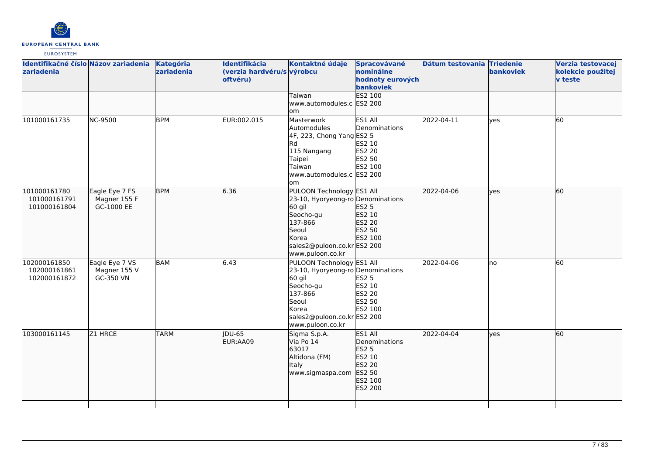

| Identifikačné číslo Názov zariadenia<br>zariadenia |                                              | Kategória<br>zariadenia | Identifikácia<br>(verzia hardvéru/s výrobcu<br>oftvéru) | Kontaktné údaje<br>Taiwan                                                                                                                                             | Spracovávané<br>nominálne<br>hodnoty eurových<br>bankoviek<br>ES2 100                        | Dátum testovania Triedenie | bankoviek    | Verzia testovacej<br>kolekcie použitej<br><b>v</b> teste |
|----------------------------------------------------|----------------------------------------------|-------------------------|---------------------------------------------------------|-----------------------------------------------------------------------------------------------------------------------------------------------------------------------|----------------------------------------------------------------------------------------------|----------------------------|--------------|----------------------------------------------------------|
|                                                    |                                              |                         |                                                         | www.automodules.c ES2 200<br>om                                                                                                                                       |                                                                                              |                            |              |                                                          |
| 101000161735                                       | <b>NC-9500</b>                               | <b>BPM</b>              | EUR:002.015                                             | Masterwork<br>Automodules<br>4F, 223, Chong Yang ES2 5<br>lRd.<br>115 Nangang<br>Taipei<br>Taiwan<br>www.automodules.c ES2 200<br>lom                                 | ES1 All<br>Denominations<br>ES2 10<br>ES2 20<br>ES2 50<br>ES2 100                            | 2022-04-11                 | <b>l</b> ves | 60                                                       |
| 101000161780<br>101000161791<br>101000161804       | Eagle Eye 7 FS<br>Magner 155 F<br>GC-1000 EE | <b>BPM</b>              | 6.36                                                    | PULOON Technology ES1 All<br>23-10, Hyoryeong-ro Denominations<br>60 gil<br>Seocho-gu<br>137-866<br>Seoul<br>Korea<br>sales2@puloon.co.kr ES2 200<br>www.puloon.co.kr | <b>ES2 5</b><br>ES2 10<br>ES2 20<br>ES2 50<br>ES2 100                                        | 2022-04-06                 | yes          | 60                                                       |
| 102000161850<br>102000161861<br>102000161872       | Eagle Eye 7 VS<br>Magner 155 V<br>GC-350 VN  | <b>BAM</b>              | 6.43                                                    | PULOON Technology ES1 All<br>23-10, Hyoryeong-ro Denominations<br>60 gil<br>Seocho-gu<br>137-866<br>Seoul<br>Korea<br>sales2@puloon.co.krES2 200<br>www.puloon.co.kr  | <b>ES2 5</b><br>ES2 10<br>ES2 20<br>ES2 50<br>ES2 100                                        | 2022-04-06                 | Ino          | 60                                                       |
| 103000161145                                       | Z1 HRCE                                      | <b>TARM</b>             | <b>IDU-65</b><br>EUR:AA09                               | Sigma S.p.A.<br>Via Po 14<br>63017<br>Altidona (FM)<br>Italy<br>www.sigmaspa.com                                                                                      | ES1 All<br>Denominations<br><b>ES2 5</b><br>ES2 10<br>ES2 20<br>ES2 50<br>ES2 100<br>ES2 200 | 2022-04-04                 | ves          | $\overline{60}$                                          |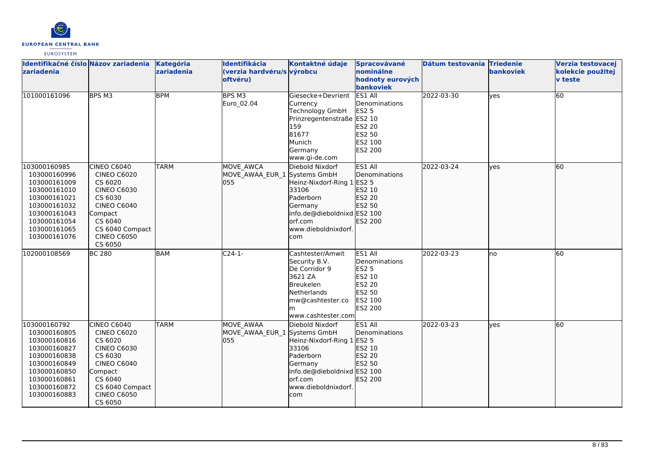

| Identifikačné číslo Názov zariadenia<br>zariadenia                                                                                                           |                                                                                                                                                                               | Kategória<br>zariadenia | Identifikácia<br>(verzia hardvéru/s výrobcu<br>oftvéru) | Kontaktné údaje                                                                                                                                        | Spracovávané<br>nominálne<br>hodnoty eurových                                                              | Dátum testovania Triedenie | bankoviek | Verzia testovacej<br>kolekcie použitej<br><b>v</b> teste |
|--------------------------------------------------------------------------------------------------------------------------------------------------------------|-------------------------------------------------------------------------------------------------------------------------------------------------------------------------------|-------------------------|---------------------------------------------------------|--------------------------------------------------------------------------------------------------------------------------------------------------------|------------------------------------------------------------------------------------------------------------|----------------------------|-----------|----------------------------------------------------------|
|                                                                                                                                                              |                                                                                                                                                                               |                         |                                                         |                                                                                                                                                        | bankoviek                                                                                                  |                            |           |                                                          |
| 101000161096                                                                                                                                                 | BPS M3                                                                                                                                                                        | <b>BPM</b>              | BPS M3<br>Euro_02.04                                    | Giesecke+Devrient<br>Currency<br><b>Technology GmbH</b><br>Prinzregentenstraße ES2 10<br>159<br>81677<br>Munich<br>Germany<br>www.gi-de.com            | ES1 All<br>Denominations<br><b>ES2 5</b><br>ES2 20<br>ES2 50<br>ES2 100<br><b>ES2 200</b>                  | 2022-03-30                 | lves      | 60                                                       |
| 103000160985<br>103000160996<br>103000161009<br>103000161010<br>103000161021<br>103000161032<br>103000161043<br>103000161054<br>103000161065<br>103000161076 | CINEO C6040<br><b>CINEO C6020</b><br>CS 6020<br><b>CINEO C6030</b><br>CS 6030<br><b>CINEO C6040</b><br>Compact<br>CS 6040<br>CS 6040 Compact<br><b>CINEO C6050</b><br>CS 6050 | <b>TARM</b>             | <b>MOVE AWCA</b><br>MOVE AWAA EUR 1 Systems GmbH<br>055 | Diebold Nixdorf<br>Heinz-Nixdorf-Ring 1 ES2 5<br>33106<br>Paderborn<br>Germany<br>info.de@dieboldnixd ES2 100<br>orf.com<br>www.dieboldnixdorf.<br>com | ES1 All<br><b>IDenominations</b><br>ES2 10<br>ES2 20<br>ES2 50<br>ES2 200                                  | 2022-03-24                 | ves       | 60                                                       |
| 102000108569                                                                                                                                                 | <b>BC 280</b>                                                                                                                                                                 | <b>BAM</b>              | $C24-1$                                                 | Cashtester/Amwit<br>Security B.V.<br>De Corridor 9<br>3621 ZA<br><b>Breukelen</b><br>Netherlands<br>mw@cashtester.co<br>m<br>www.cashtester.com        | ES1 All<br>Denominations<br><b>ES2 5</b><br>ES2 10<br><b>ES2 20</b><br>ES2 50<br>ES2 100<br><b>ES2 200</b> | 2022-03-23                 | lno       | 60                                                       |
| 103000160792<br>103000160805<br>103000160816<br>103000160827<br>103000160838<br>103000160849<br>103000160850<br>103000160861<br>103000160872<br>103000160883 | CINEO C6040<br><b>CINEO C6020</b><br>CS 6020<br><b>CINEO C6030</b><br>CS 6030<br><b>CINEO C6040</b><br>Compact<br>CS 6040<br>CS 6040 Compact<br><b>CINEO C6050</b><br>CS 6050 | <b>TARM</b>             | <b>MOVE AWAA</b><br>MOVE_AWAA_EUR_1 Systems GmbH<br>055 | Diebold Nixdorf<br>Heinz-Nixdorf-Ring 1 ES2 5<br>33106<br>Paderborn<br>Germany<br>info.de@dieboldnixd ES2 100<br>orf.com<br>www.dieboldnixdorf.<br>com | ES1 All<br>Denominations<br>ES2 10<br>ES2 20<br>ES2 50<br>ES2 200                                          | 2022-03-23                 | ves       | 60                                                       |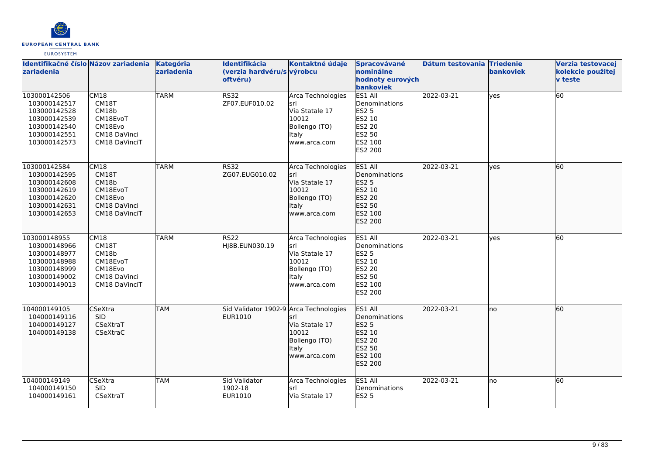

| Identifikačné číslo Názov zariadenia<br><b>zariadenia</b>                                                                                                                                             | Kategória<br>zariadenia | Identifikácia<br>(verzia hardvéru/s výrobcu<br>oftvéru) | Kontaktné údaje                                                                                      | <b>Spracovávané</b><br>nominálne<br>hodnoty eurových<br>bankoviek                                                         | Dátum testovania Triedenie | bankoviek | Verzia testovacej<br>kolekcie použitej<br><b>v</b> teste |
|-------------------------------------------------------------------------------------------------------------------------------------------------------------------------------------------------------|-------------------------|---------------------------------------------------------|------------------------------------------------------------------------------------------------------|---------------------------------------------------------------------------------------------------------------------------|----------------------------|-----------|----------------------------------------------------------|
| 103000142506<br><b>CM18</b><br>CM18T<br>103000142517<br>103000142528<br>CM18b<br>103000142539<br>CM18EvoT<br>CM18Evo<br>103000142540<br>103000142551<br>CM18 DaVinci<br>103000142573<br>CM18 DaVinciT | <b>TARM</b>             | <b>RS32</b><br>ZF07.EUF010.02                           | Arca Technologies<br>srl<br>Via Statale 17<br>10012<br>Bollengo (TO)<br>Italy<br>www.arca.com        | ES1 All<br>Denominations<br><b>ES2 5</b><br>ES2 10<br><b>ES2 20</b><br>ES2 50<br>ES2 100<br>ES2 200                       | 2022-03-21                 | ves       | 60                                                       |
| 103000142584<br>CM18<br>CM18T<br>103000142595<br>CM18b<br>103000142608<br>103000142619<br>CM18EvoT<br>103000142620<br>CM18Evo<br>CM18 DaVinci<br>103000142631<br>103000142653<br>CM18 DaVinciT        | <b>TARM</b>             | RS32<br>ZG07.EUG010.02                                  | Arca Technologies<br>srl<br>Via Statale 17<br>10012<br>Bollengo (TO)<br><b>Italy</b><br>www.arca.com | ES1 All<br>Denominations<br>ES2 5<br>ES2 10<br>ES2 20<br>ES2 50<br><b>ES2 100</b><br>ES2 200                              | 2022-03-21                 | lves      | 60                                                       |
| 103000148955<br><b>CM18</b><br>CM18T<br>103000148966<br>103000148977<br>CM18b<br>103000148988<br>CM18EvoT<br>CM18Evo<br>103000148999<br>103000149002<br>CM18 DaVinci<br>CM18 DaVinciT<br>103000149013 | <b>TARM</b>             | <b>RS22</b><br>HJ8B.EUN030.19                           | Arca Technologies<br>lsrl<br>Via Statale 17<br>10012<br>Bollengo (TO)<br>Italy<br>www.arca.com       | ES1 All<br>Denominations<br><b>ES2 5</b><br>ES2 10<br><b>ES2 20</b><br><b>ES2 50</b><br><b>IES2 100</b><br><b>ES2 200</b> | 2022-03-21                 | lves      | 60                                                       |
| 104000149105<br><b>l</b> CSeXtra<br>104000149116<br><b>SID</b><br>104000149127<br>CSeXtraT<br>CSeXtraC<br>104000149138                                                                                | <b>TAM</b>              | Sid Validator 1902-9 Arca Technologies<br>EUR1010       | srl<br>Via Statale 17<br>10012<br>Bollengo (TO)<br>Italy<br>www.arca.com                             | ES1 All<br>Denominations<br><b>ES2 5</b><br>ES2 10<br><b>ES2 20</b><br>ES2 50<br>ES2 100<br>ES2 200                       | 2022-03-21                 | Ino       | 60                                                       |
| 104000149149<br><b>CSeXtra</b><br>104000149150<br><b>SID</b><br>104000149161<br>CSeXtraT                                                                                                              | <b>TAM</b>              | Sid Validator<br>1902-18<br>EUR1010                     | Arca Technologies<br>srl<br>Via Statale 17                                                           | ES1 All<br>Denominations<br><b>ES2 5</b>                                                                                  | 2022-03-21                 | lno       | 60                                                       |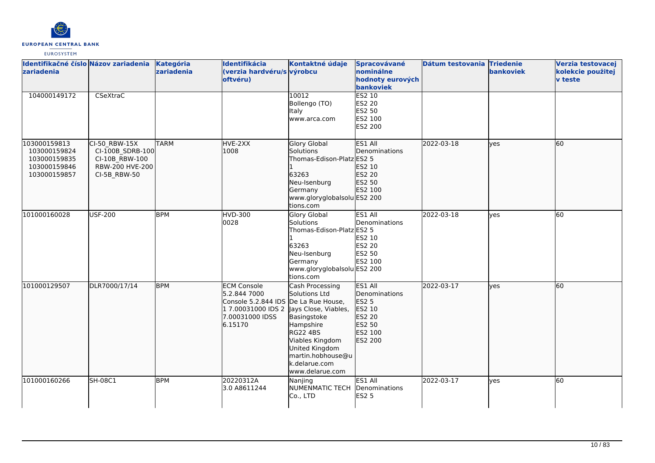

| Identifikačné číslo Názov zariadenia<br>zariadenia                           |                                                                                        | Kategória<br>zariadenia | Identifikácia<br>(verzia hardvéru/s výrobcu<br>oftvéru)                                                       | Kontaktné údaje                                                                                                                                                                                                           | Spracovávané<br>nominálne<br>hodnoty eurových<br>bankoviek                                          | Dátum testovania Triedenie | <b>bankoviek</b> | Verzia testovacej<br>kolekcie použitej<br><b>v</b> teste |
|------------------------------------------------------------------------------|----------------------------------------------------------------------------------------|-------------------------|---------------------------------------------------------------------------------------------------------------|---------------------------------------------------------------------------------------------------------------------------------------------------------------------------------------------------------------------------|-----------------------------------------------------------------------------------------------------|----------------------------|------------------|----------------------------------------------------------|
| 104000149172                                                                 | CSeXtraC                                                                               |                         |                                                                                                               | 10012<br>Bollengo (TO)<br>Italy<br>www.arca.com                                                                                                                                                                           | <b>ES2 10</b><br><b>ES2 20</b><br>ES2 50<br>ES2 100<br>ES2 200                                      |                            |                  |                                                          |
| 103000159813<br>103000159824<br>103000159835<br>103000159846<br>103000159857 | CI-50 RBW-15X<br>CI-100B_SDRB-100<br>CI-10B RBW-100<br>RBW-200 HVE-200<br>CI-5B_RBW-50 | <b>TARM</b>             | HVE-2XX<br>1008                                                                                               | <b>Glory Global</b><br>Solutions<br>Thomas-Edison-Platz ES2 5<br>63263<br>Neu-Isenburg<br>Germany<br>www.gloryglobalsolu ES2 200<br>tions.com                                                                             | ES1 All<br><b>IDenominations</b><br>ES2 10<br>ES2 20<br>ES2 50<br>ES2 100                           | 2022-03-18                 | ves              | 60                                                       |
| 101000160028                                                                 | <b>USF-200</b>                                                                         | <b>BPM</b>              | <b>HVD-300</b><br>0028                                                                                        | Glory Global<br>Solutions<br>Thomas-Edison-Platz ES2 5<br>63263<br>Neu-Isenburg<br>Germany<br>www.gloryglobalsolu ES2 200<br>tions.com                                                                                    | ES1 All<br>Denominations<br>ES2 10<br><b>ES2 20</b><br>ES2 50<br>ES2 100                            | 2022-03-18                 | yes              | 60                                                       |
| 101000129507                                                                 | DLR7000/17/14                                                                          | <b>BPM</b>              | <b>ECM Console</b><br>5.2.844 7000<br>Console 5.2.844 IDS<br>1 7.00031000 IDS 2<br>7.00031000 IDSS<br>6.15170 | Cash Processing<br>Solutions Ltd<br>De La Rue House,<br>Jays Close, Viables,<br>Basingstoke<br>Hampshire<br><b>RG22 4BS</b><br>Viables Kingdom<br>United Kingdom<br>martin.hobhouse@u<br>k.delarue.com<br>www.delarue.com | ES1 All<br>Denominations<br><b>ES2 5</b><br>ES2 10<br><b>ES2 20</b><br>ES2 50<br>ES2 100<br>ES2 200 | 2022-03-17                 | lyes             | 60                                                       |
| 101000160266                                                                 | <b>SH-08C1</b>                                                                         | <b>BPM</b>              | 20220312A<br>3.0 A8611244                                                                                     | Nanjing<br><b>NUMENMATIC TECH</b><br>Co., LTD                                                                                                                                                                             | ES1 All<br>Denominations<br><b>ES2 5</b>                                                            | 2022-03-17                 | ves              | 60                                                       |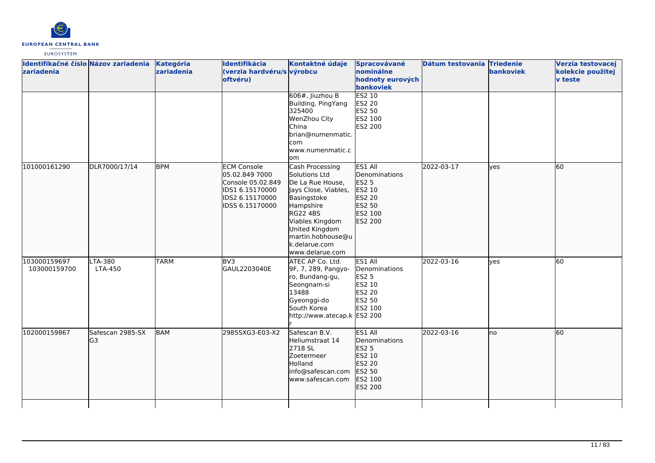

| Identifikačné číslo Názov zariadenia<br>zariadenia |                         | <b>Kategória</b><br>zariadenia | Identifikácia<br>(verzia hardvéru/s výrobcu<br>oftvéru)                                                            | Kontaktné údaje<br>606#, Jiuzhou B<br>Building, PingYang<br>325400<br>WenZhou City<br><b>China</b><br>brian@numenmatic.<br>com<br>www.numenmatic.c<br>lom                                                                 | Spracovávané<br>nominálne<br>hodnoty eurových<br>bankoviek<br><b>ES2 10</b><br><b>ES2 20</b><br>ES2 50<br>ES2 100<br><b>ES2 200</b> | Dátum testovania Triedenie | bankoviek | Verzia testovacej<br>kolekcie použitej<br><b>v</b> teste |
|----------------------------------------------------|-------------------------|--------------------------------|--------------------------------------------------------------------------------------------------------------------|---------------------------------------------------------------------------------------------------------------------------------------------------------------------------------------------------------------------------|-------------------------------------------------------------------------------------------------------------------------------------|----------------------------|-----------|----------------------------------------------------------|
| 101000161290                                       | DLR7000/17/14           | <b>BPM</b>                     | <b>ECM Console</b><br>05.02.849 7000<br>Console 05.02.849<br>IDS1 6.15170000<br>IDS2 6.15170000<br>IDSS 6.15170000 | Cash Processing<br>Solutions Ltd<br>De La Rue House,<br>Jays Close, Viables,<br>Basingstoke<br>Hampshire<br><b>RG22 4BS</b><br>Viables Kingdom<br>United Kingdom<br>martin.hobhouse@u<br>k.delarue.com<br>www.delarue.com | ES1 All<br>Denominations<br>ES2 5<br>ES2 10<br>ES2 20<br>ES2 50<br>ES2 100<br>ES2 200                                               | 2022-03-17                 | lves      | 60                                                       |
| 103000159697<br>103000159700                       | LTA-380<br>LTA-450      | <b>TARM</b>                    | BV3<br>GAUL2203040E                                                                                                | ATEC AP Co. Ltd.<br>9F, 7, 289, Pangyo-<br>ro, Bundang-gu,<br>Seongnam-si<br>13488<br>Gyeonggi-do<br>South Korea<br>http://www.atecap.k ES2 200                                                                           | ES1 All<br>Denominations<br><b>ES2 5</b><br>ES2 10<br><b>ES2 20</b><br>ES2 50<br>ES2 100                                            | 2022-03-16                 | lyes      | 60                                                       |
| 102000159867                                       | Safescan 2985-SX<br>lG3 | <b>BAM</b>                     | 2985SXG3-E03-X2                                                                                                    | Safescan B.V.<br>Heliumstraat 14<br>2718 SL<br>Zoetermeer<br>Holland<br>info@safescan.com<br>www.safescan.com                                                                                                             | ES1 All<br>Denominations<br>ES2 5<br>ES2 10<br><b>ES2 20</b><br>ES2 50<br>ES2 100<br>ES2 200                                        | 2022-03-16                 | Ino       | 60                                                       |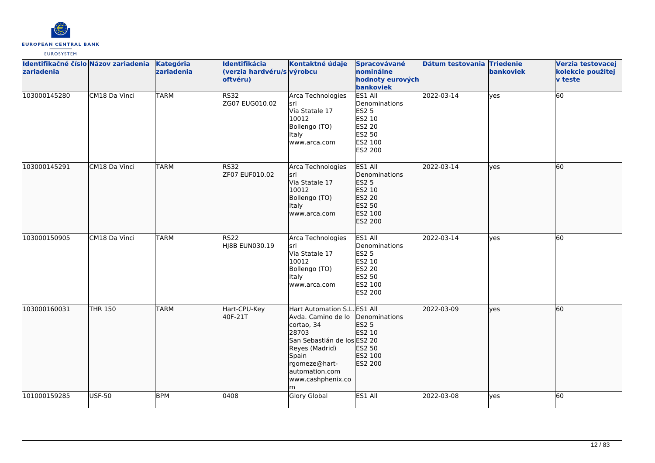

| Identifikačné číslo Názov zariadenia Kategória<br>zariadenia |                | zariadenia  | Identifikácia<br>(verzia hardvéru/s výrobcu<br>oftvéru) | Kontaktné údaje                                                                                                                                                                         | Spracovávané<br>nominálne<br>hodnoty eurových<br>bankoviek                                                 | Dátum testovania Triedenie | bankoviek | Verzia testovacej<br>kolekcie použitej<br><b>v</b> teste |
|--------------------------------------------------------------|----------------|-------------|---------------------------------------------------------|-----------------------------------------------------------------------------------------------------------------------------------------------------------------------------------------|------------------------------------------------------------------------------------------------------------|----------------------------|-----------|----------------------------------------------------------|
| 103000145280                                                 | CM18 Da Vinci  | <b>TARM</b> | <b>RS32</b><br>ZG07 EUG010.02                           | Arca Technologies<br>İsrl<br>Via Statale 17<br>10012<br>Bollengo (TO)<br><b>Italy</b><br>www.arca.com                                                                                   | ES1 All<br>Denominations<br><b>ES2 5</b><br>ES2 10<br><b>ES2 20</b><br>ES2 50<br>ES2 100<br>ES2 200        | 2022-03-14                 | yes       | 60                                                       |
| 103000145291                                                 | CM18 Da Vinci  | <b>TARM</b> | <b>RS32</b><br>ZF07 EUF010.02                           | Arca Technologies<br>İsrl<br>Via Statale 17<br>10012<br>Bollengo (TO)<br>Italy<br>www.arca.com                                                                                          | ES1 All<br>Denominations<br>ES2 5<br>ES2 10<br>ES2 20<br>ES2 50<br>ES2 100<br>ES2 200                      | 2022-03-14                 | lyes      | 60                                                       |
| 103000150905                                                 | CM18 Da Vinci  | <b>TARM</b> | <b>RS22</b><br>HJ8B EUN030.19                           | Arca Technologies<br>srl<br>Via Statale 17<br>10012<br>Bollengo (TO)<br>Italy<br>www.arca.com                                                                                           | ES1 All<br>Denominations<br><b>ES2 5</b><br>ES2 10<br><b>ES2 20</b><br>ES2 50<br>ES2 100<br><b>ES2 200</b> | 2022-03-14                 | lyes      | 60                                                       |
| 103000160031                                                 | <b>THR 150</b> | <b>TARM</b> | Hart-CPU-Key<br>40F-21T                                 | Hart Automation S.L<br>Avda. Camino de lo<br>cortao, 34<br>28703<br>San Sebastián de los ES2 20<br>Reyes (Madrid)<br>Spain<br>rgomeze@hart-<br>automation.com<br>www.cashphenix.co<br>m | <b>ES1 All</b><br>Denominations<br><b>ES2 5</b><br>ES2 10<br>ES2 50<br>ES2 100<br>ES2 200                  | 2022-03-09                 | lves      | 60                                                       |
| 101000159285                                                 | <b>USF-50</b>  | <b>BPM</b>  | 0408                                                    | Glory Global                                                                                                                                                                            | ES1 All                                                                                                    | 2022-03-08                 | lyes      | 60                                                       |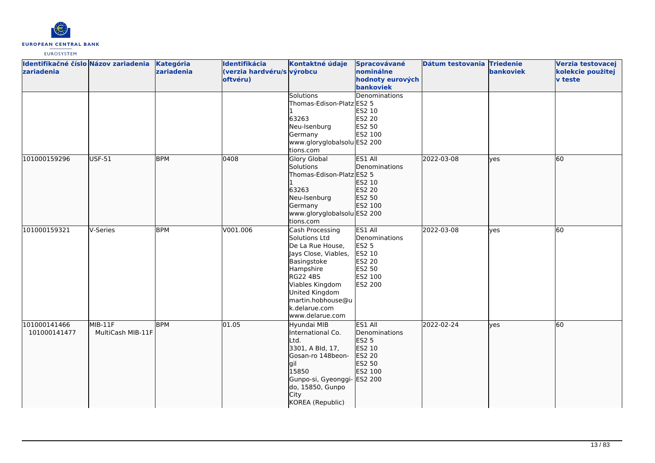

| Identifikačné číslo Názov zariadenia<br>zariadenia |                                | Kategória<br>zariadenia | Identifikácia<br>(verzia hardvéru/s výrobcu<br>oftvéru) | Kontaktné údaje<br><b>Solutions</b>                                                                                                                                                                                       | Spracovávané<br>nominálne<br>hodnoty eurových<br>bankoviek<br>Denominations                         | Dátum testovania Triedenie | bankoviek | Verzia testovacej<br>kolekcie použitej<br>v teste |
|----------------------------------------------------|--------------------------------|-------------------------|---------------------------------------------------------|---------------------------------------------------------------------------------------------------------------------------------------------------------------------------------------------------------------------------|-----------------------------------------------------------------------------------------------------|----------------------------|-----------|---------------------------------------------------|
|                                                    |                                |                         |                                                         | Thomas-Edison-Platz ES2 5<br>63263<br>Neu-Isenburg<br>Germany<br>www.gloryglobalsolu ES2 200<br>tions.com                                                                                                                 | ES2 10<br><b>ES2 20</b><br>ES2 50<br>ES2 100                                                        |                            |           |                                                   |
| 101000159296                                       | USF-51                         | <b>BPM</b>              | 0408                                                    | Glory Global<br>Solutions<br>Thomas-Edison-Platz ES2 5<br>63263<br>Neu-Isenburg<br>Germany<br>www.gloryglobalsolu ES2 200<br>tions.com                                                                                    | <b>ES1 AII</b><br>Denominations<br>ES2 10<br>ES2 20<br>ES2 50<br>ES2 100                            | 2022-03-08                 | lyes      | 60                                                |
| 101000159321                                       | V-Series                       | <b>BPM</b>              | V001.006                                                | Cash Processing<br>Solutions Ltd<br>De La Rue House,<br>Jays Close, Viables,<br>Basingstoke<br>Hampshire<br><b>RG22 4BS</b><br>Viables Kingdom<br>United Kingdom<br>martin.hobhouse@u<br>k.delarue.com<br>www.delarue.com | ES1 All<br>Denominations<br><b>ES2 5</b><br>ES2 10<br>ES2 20<br>ES2 50<br>ES2 100<br><b>ES2 200</b> | 2022-03-08                 | lves      | 60                                                |
| 101000141466<br>101000141477                       | $MIB-11F$<br>MultiCash MIB-11F | <b>BPM</b>              | 01.05                                                   | Hyundai MIB<br>International Co.<br>Ltd.<br>3301, A Bld, 17,<br>Gosan-ro 148beon-<br>gil<br>15850<br>Gunpo-si, Gyeonggi- ES2 200<br>do, 15850, Gunpo<br>City<br>KOREA (Republic)                                          | ES1 All<br>Denominations<br><b>ES2 5</b><br>ES2 10<br><b>ES2 20</b><br>ES2 50<br>ES2 100            | 2022-02-24                 | lves      | 60                                                |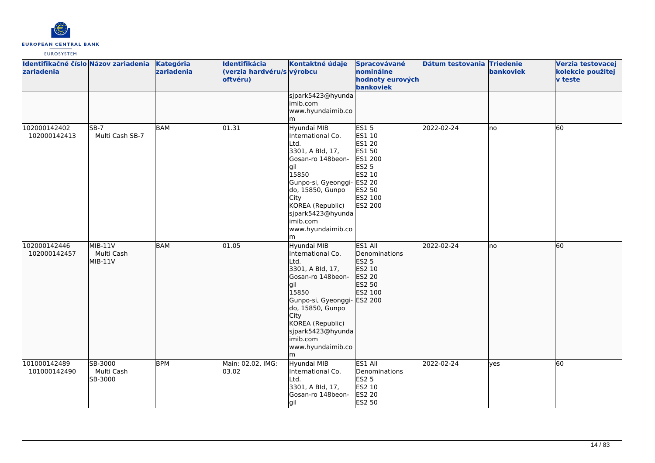

| Identifikačné číslo Názov zariadenia Kategória<br>zariadenia |                                    | zariadenia | Identifikácia<br>(verzia hardvéru/s výrobcu<br>oftvéru) | Kontaktné údaje                                                                                                                                                                                                                                | Spracovávané<br>nominálne<br>hodnoty eurových<br>bankoviek                                                     | Dátum testovania Triedenie | bankoviek | Verzia testovacej<br>kolekcie použitej<br>v teste |
|--------------------------------------------------------------|------------------------------------|------------|---------------------------------------------------------|------------------------------------------------------------------------------------------------------------------------------------------------------------------------------------------------------------------------------------------------|----------------------------------------------------------------------------------------------------------------|----------------------------|-----------|---------------------------------------------------|
|                                                              |                                    |            |                                                         | sjpark5423@hyunda<br>imib.com<br>www.hyundaimib.co<br>m                                                                                                                                                                                        |                                                                                                                |                            |           |                                                   |
| 102000142402<br>102000142413                                 | $SB-7$<br>Multi Cash SB-7          | <b>BAM</b> | 01.31                                                   | Hyundai MIB<br>International Co.<br>∟td.<br>3301, A Bld, 17,<br>Gosan-ro 148beon-<br>lgil<br>15850<br>Gunpo-si, Gyeonggi- ES2 20<br>do, 15850, Gunpo<br>City<br>KOREA (Republic)<br>sjpark5423@hyunda<br>imib.com<br>www.hyundaimib.co<br>m    | <b>ES15</b><br>ES1 10<br>ES1 20<br>ES1 50<br>ES1 200<br><b>ES2 5</b><br>ES2 10<br>ES2 50<br>ES2 100<br>ES2 200 | 2022-02-24                 | lno       | 60                                                |
| 102000142446<br>102000142457                                 | $MIB-11V$<br>Multi Cash<br>MIB-11V | <b>BAM</b> | 01.05                                                   | Hyundai MIB<br>International Co.<br>Ltd.<br>3301, A Bld, 17,<br>Gosan-ro 148beon-<br>gil<br>15850<br>Gunpo-si, Gyeonggi- ES2 200<br>do, 15850, Gunpo<br>City<br>KOREA (Republic)<br>sjpark5423@hyunda<br>limib.com<br>www.hyundaimib.co<br>lm. | ES1 All<br>Denominations<br>ES2 5<br>ES2 10<br>ES2 20<br>ES2 50<br>ES2 100                                     | 2022-02-24                 | no        | 60                                                |
| 101000142489<br>101000142490                                 | SB-3000<br>Multi Cash<br>SB-3000   | <b>BPM</b> | Main: 02.02, IMG:<br>03.02                              | Hyundai MIB<br>International Co.<br>Ltd.<br>3301, A Bld, 17,<br>Gosan-ro 148beon-<br>gil                                                                                                                                                       | ES1 All<br>Denominations<br><b>ES2 5</b><br>ES2 10<br>ES2 20<br>ES2 50                                         | 2022-02-24                 | yes       | 60                                                |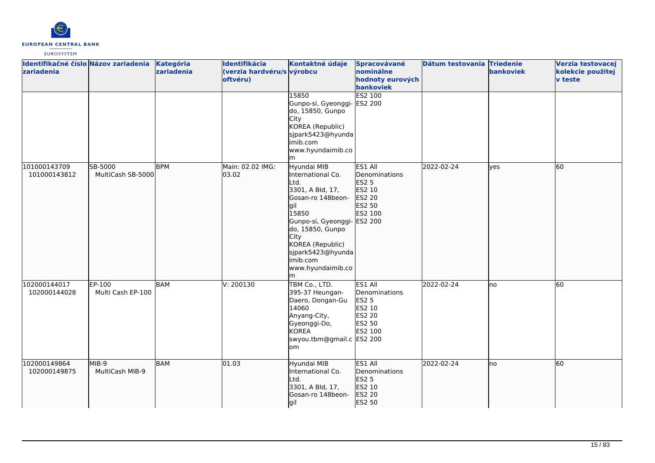

| Identifikačné číslo Názov zariadenia<br>zariadenia |                              | Kategória<br>zariadenia | Identifikácia<br>(verzia hardvéru/s výrobcu<br>oftvéru) | Kontaktné údaje<br>15850                                                                                                                                                                                                             | Spracovávané<br>nominálne<br>hodnoty eurových<br>bankoviek<br><b>ES2 100</b>                     | Dátum testovania Triedenie | bankoviek | Verzia testovacej<br>kolekcie použitej<br><b>v</b> teste |
|----------------------------------------------------|------------------------------|-------------------------|---------------------------------------------------------|--------------------------------------------------------------------------------------------------------------------------------------------------------------------------------------------------------------------------------------|--------------------------------------------------------------------------------------------------|----------------------------|-----------|----------------------------------------------------------|
|                                                    |                              |                         |                                                         | Gunpo-si, Gyeonggi-<br>do, 15850, Gunpo<br>City<br>KOREA (Republic)<br>sjpark5423@hyunda<br>imib.com<br>www.hyundaimib.co<br>m                                                                                                       | <b>ES2 200</b>                                                                                   |                            |           |                                                          |
| 101000143709<br>101000143812                       | SB-5000<br>MultiCash SB-5000 | <b>BPM</b>              | Main: 02.02 IMG:<br>03.02                               | Hyundai MIB<br>International Co.<br>Ltd.<br>3301, A Bld, 17,<br>Gosan-ro 148beon-<br>lgil<br>15850<br>Gunpo-si, Gyeonggi-<br>do, 15850, Gunpo<br>City<br>KOREA (Republic)<br>sjpark5423@hyunda<br>imib.com<br>www.hyundaimib.co<br>m | ES1 All<br>Denominations<br>ES2 <sub>5</sub><br>ES2 10<br>ES2 20<br>ES2 50<br>ES2 100<br>ES2 200 | 2022-02-24                 | lyes      | 60                                                       |
| 102000144017<br>102000144028                       | EP-100<br>Multi Cash EP-100  | <b>BAM</b>              | V: 200130                                               | TBM Co., LTD.<br>395-37 Heungan-<br>Daero, Dongan-Gu<br>14060<br>Anyang-City,<br>Gyeonggi-Do,<br><b>KOREA</b><br>swyou.tbm@gmail.c ES2 200<br>om                                                                                     | ES1 All<br>Denominations<br>ES2 5<br>ES2 10<br><b>ES2 20</b><br>ES2 50<br>ES2 100                | 2022-02-24                 | Ino       | 60                                                       |
| 102000149864<br>102000149875                       | MIB-9<br>MultiCash MIB-9     | <b>BAM</b>              | 01.03                                                   | Hyundai MIB<br>International Co.<br>Ltd.<br>3301, A Bld, 17,<br>Gosan-ro 148beon-<br>gil                                                                                                                                             | ES1 All<br>Denominations<br>ES2 5<br>ES2 10<br>ES2 20<br>ES2 50                                  | 2022-02-24                 | lno       | 60                                                       |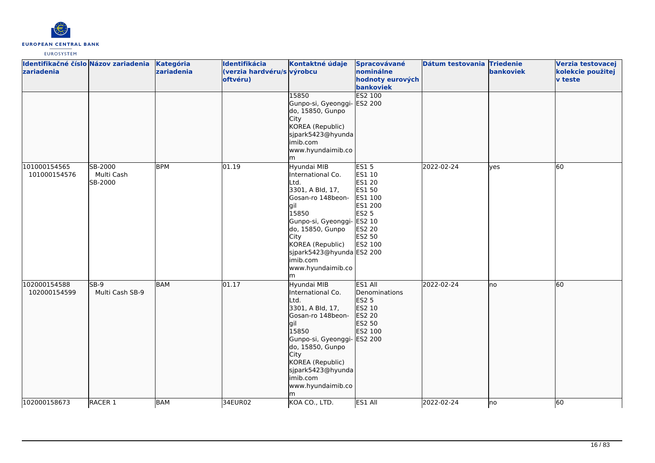

| Identifikačné číslo Názov zariadenia<br>zariadenia |                                  | Kategória<br>zariadenia | Identifikácia<br>(verzia hardvéru/s výrobcu<br>oftvéru) | Kontaktné údaje<br>15850<br>Gunpo-si, Gyeonggi-<br>do, 15850, Gunpo<br>City<br>KOREA (Republic)                                                                                                                                              | Spracovávané<br>nominálne<br>hodnoty eurových<br>bankoviek<br>ES2 100<br>ES2 200                                                | Dátum testovania Triedenie | bankoviek | Verzia testovacej<br>kolekcie použitej<br><b>v</b> teste |
|----------------------------------------------------|----------------------------------|-------------------------|---------------------------------------------------------|----------------------------------------------------------------------------------------------------------------------------------------------------------------------------------------------------------------------------------------------|---------------------------------------------------------------------------------------------------------------------------------|----------------------------|-----------|----------------------------------------------------------|
|                                                    |                                  |                         |                                                         | sjpark5423@hyunda<br>imib.com<br>www.hyundaimib.co<br>lm                                                                                                                                                                                     |                                                                                                                                 |                            |           |                                                          |
| 101000154565<br>101000154576                       | SB-2000<br>Multi Cash<br>SB-2000 | <b>BPM</b>              | 01.19                                                   | Hyundai MIB<br>International Co.<br>Ltd.<br>3301, A Bld, 17,<br>Gosan-ro 148beon-<br>gil<br>15850<br>Gunpo-si, Gyeonggi-<br>do, 15850, Gunpo<br>City<br>KOREA (Republic)<br>sjpark5423@hyunda ES2 200<br>imib.com<br>www.hyundaimib.co<br>lm | <b>ES15</b><br>ES1 10<br><b>ES1 20</b><br>ES1 50<br>ES1 100<br>ES1 200<br><b>ES2 5</b><br>ES2 10<br>ES2 20<br>ES2 50<br>ES2 100 | 2022-02-24                 | ves       | 60                                                       |
| 102000154588<br>102000154599                       | $SB-9$<br>Multi Cash SB-9        | <b>BAM</b>              | 01.17                                                   | Hyundai MIB<br>International Co.<br>Ltd.<br>3301, A Bld, 17,<br>Gosan-ro 148beon-<br>lgil<br>15850<br>Gunpo-si, Gyeonggi- ES2 200<br>do, 15850, Gunpo<br>City<br>KOREA (Republic)<br>sjpark5423@hyunda<br>imib.com<br>www.hyundaimib.co<br>m | ES1 All<br>Denominations<br><b>ES2 5</b><br>ES2 10<br>ES2 20<br>ES2 50<br>ES2 100                                               | 2022-02-24                 | lno       | 60                                                       |
| 102000158673                                       | RACER <sub>1</sub>               | <b>BAM</b>              | 34EUR02                                                 | KOA CO., LTD.                                                                                                                                                                                                                                | ES1 All                                                                                                                         | 2022-02-24                 | Ino       | 60                                                       |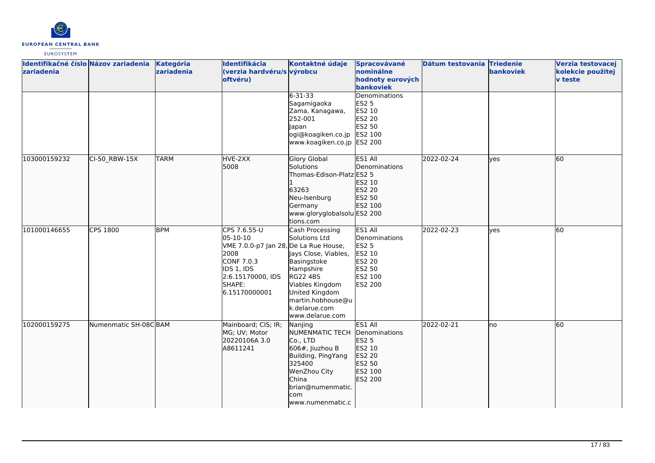

| Identifikačné číslo Názov zariadenia<br>zariadenia |                      | Kategória<br>zariadenia | Identifikácia<br>(verzia hardvéru/s výrobcu<br>oftvéru)                                                                                               | Kontaktné údaje                                                                                                                                                                                       | Spracovávané<br>nominálne<br>hodnoty eurových<br>bankoviek                                          | Dátum testovania Triedenie | bankoviek  | Verzia testovacej<br>kolekcie použitej<br><b>v</b> teste |
|----------------------------------------------------|----------------------|-------------------------|-------------------------------------------------------------------------------------------------------------------------------------------------------|-------------------------------------------------------------------------------------------------------------------------------------------------------------------------------------------------------|-----------------------------------------------------------------------------------------------------|----------------------------|------------|----------------------------------------------------------|
|                                                    |                      |                         |                                                                                                                                                       | $6 - 31 - 33$<br>Sagamigaoka<br>Zama, Kanagawa,<br>252-001<br><b>Japan</b><br>ogi@koagiken.co.jp<br>www.koagiken.co.jp ES2 200                                                                        | Denominations<br><b>ES2 5</b><br>ES2 10<br><b>ES2 20</b><br>ES2 50<br>ES2 100                       |                            |            |                                                          |
| 103000159232                                       | CI-50 RBW-15X        | <b>TARM</b>             | HVE-2XX<br>5008                                                                                                                                       | Glory Global<br>Solutions<br>Thomas-Edison-Platz ES2 5<br>63263<br>Neu-Isenburg<br>Germany<br>www.gloryglobalsolu ES2 200<br>tions.com                                                                | <b>IES1 AII</b><br>Denominations<br>ES2 10<br>ES2 20<br>ES2 50<br><b>ES2 100</b>                    | 2022-02-24                 | lves       | 60                                                       |
| 101000146655                                       | CPS 1800             | <b>BPM</b>              | CPS 7.6.55-U<br>05-10-10<br>VME 7.0.0-p7 Jan 28, De La Rue House,<br>2008<br>CONF 7.0.3<br>IDS 1, IDS<br>2:6.15170000, IDS<br>SHAPE:<br>6.15170000001 | Cash Processing<br>Solutions Ltd<br>Jays Close, Viables,<br>Basingstoke<br>Hampshire<br><b>RG22 4BS</b><br>Viables Kingdom<br>United Kingdom<br>martin.hobhouse@u<br>k.delarue.com<br>www.delarue.com | ES1 All<br>Denominations<br><b>ES2 5</b><br>ES2 10<br><b>ES2 20</b><br>ES2 50<br>ES2 100<br>ES2 200 | 2022-02-23                 | <b>ves</b> | 60                                                       |
| 102000159275                                       | Numenmatic SH-08CBAM |                         | Mainboard; CIS; IR;<br>MG; UV; Motor<br>20220106A 3.0<br>A8611241                                                                                     | Nanjing<br>NUMENMATIC TECH<br>Co., LTD<br>606#, Jiuzhou B<br>Building, PingYang<br>325400<br>WenZhou City<br>China<br>brian@numenmatic.<br>com<br>www.numenmatic.c                                    | ES1 All<br>Denominations<br>ES2 5<br>ES2 10<br>ES2 20<br>ES2 50<br>ES2 100<br>ES2 200               | 2022-02-21                 | Ino        | 60                                                       |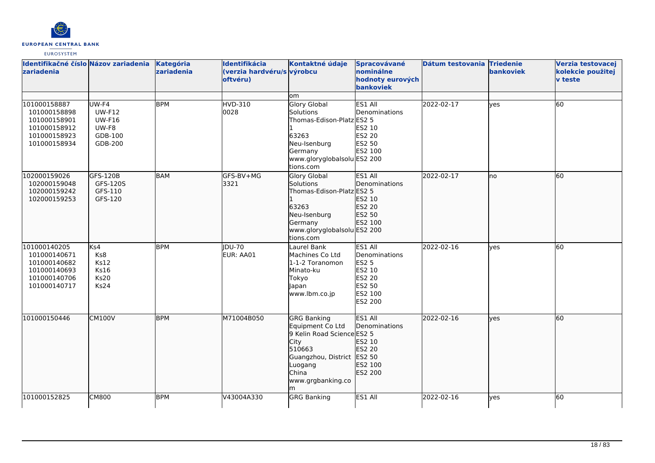

| Identifikačné číslo Názov zariadenia<br>zariadenia                                           |                                                                        | Kategória<br>zariadenia | Identifikácia<br>(verzia hardvéru/s výrobcu<br>oftvéru) | Kontaktné údaje                                                                                                                                                     | Spracovávané<br>nominálne<br>hodnoty eurových<br>bankoviek                                          | Dátum testovania Triedenie | bankoviek | Verzia testovacej<br>kolekcie použitej<br>v teste |
|----------------------------------------------------------------------------------------------|------------------------------------------------------------------------|-------------------------|---------------------------------------------------------|---------------------------------------------------------------------------------------------------------------------------------------------------------------------|-----------------------------------------------------------------------------------------------------|----------------------------|-----------|---------------------------------------------------|
|                                                                                              |                                                                        |                         |                                                         | om                                                                                                                                                                  |                                                                                                     |                            |           |                                                   |
| 101000158887<br>101000158898<br>101000158901<br>101000158912<br>101000158923<br>101000158934 | UW-F4<br><b>UW-F12</b><br><b>UW-F16</b><br>UW-F8<br>GDB-100<br>GDB-200 | <b>BPM</b>              | <b>HVD-310</b><br>0028                                  | Glory Global<br>Solutions<br>Thomas-Edison-Platz ES2 5<br>63263<br>Neu-Isenburg<br>Germany<br>www.gloryglobalsolu ES2 200<br>tions.com                              | ES1 All<br>Denominations<br>ES2 10<br>ES2 20<br>ES2 50<br>ES2 100                                   | 2022-02-17                 | yes       | 60                                                |
| 102000159026<br>102000159048<br>102000159242<br>102000159253                                 | GFS-120B<br>GFS-120S<br>GFS-110<br>GFS-120                             | <b>BAM</b>              | GFS-BV+MG<br>3321                                       | Glory Global<br>Solutions<br>Thomas-Edison-Platz ES2 5<br>63263<br>Neu-Isenburg<br>Germany<br>www.gloryglobalsolu ES2 200<br>tions.com                              | ES1 All<br>Denominations<br>ES2 10<br>ES2 20<br>ES2 50<br>ES2 100                                   | 2022-02-17                 | no        | 60                                                |
| 101000140205<br>101000140671<br>101000140682<br>101000140693<br>101000140706<br>101000140717 | Ks4<br>Ks8<br><b>Ks12</b><br><b>Ks16</b><br><b>Ks20</b><br>Ks24        | <b>BPM</b>              | <b>IDU-70</b><br>EUR: AA01                              | Laurel Bank<br>Machines Co Ltd<br>1-1-2 Toranomon<br>Minato-ku<br>Tokyo<br>Japan<br>www.lbm.co.jp                                                                   | ES1 All<br>Denominations<br><b>ES2 5</b><br>ES2 10<br>ES2 20<br>ES2 50<br>ES2 100<br><b>ES2 200</b> | 2022-02-16                 | ves       | 60                                                |
| 101000150446                                                                                 | <b>CM100V</b>                                                          | <b>BPM</b>              | M71004B050                                              | <b>GRG Banking</b><br>Equipment Co Ltd<br>9 Kelin Road Science ES2 5<br>City<br>510663<br>Guangzhou, District ES2 50<br>Luogang<br>China<br>www.grgbanking.co<br>lm | ES1 All<br>Denominations<br>ES2 10<br>ES2 20<br>ES2 100<br>ES2 200                                  | 2022-02-16                 | ves       | 60                                                |
| 101000152825                                                                                 | CM800                                                                  | <b>BPM</b>              | V43004A330                                              | <b>GRG Banking</b>                                                                                                                                                  | ES1 All                                                                                             | 2022-02-16                 | ves       | 60                                                |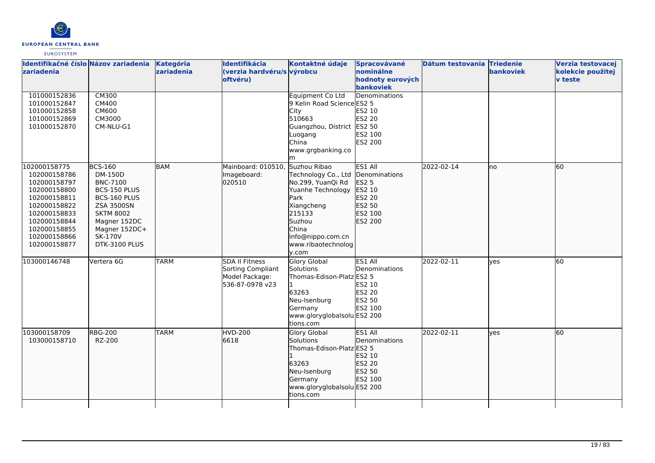

| <b>Izariadenia</b><br>101000152836                                                                                                                                           | Identifikačné číslo Názov zariadenia<br><b>CM300</b>                                                                                                                               | Kategória<br>zariadenia | Identifikácia<br>(verzia hardvéru/s výrobcu<br>oftvéru)                         | Kontaktné údaje<br>Equipment Co Ltd                                                                                                                                                                       | Spracovávané<br><b>nominálne</b><br>hodnoty eurových<br>bankoviek<br>Denominations | Dátum testovania Triedenie | <b>bankoviek</b> | Verzia testovacej<br>kolekcie použitej<br><b>v</b> teste |
|------------------------------------------------------------------------------------------------------------------------------------------------------------------------------|------------------------------------------------------------------------------------------------------------------------------------------------------------------------------------|-------------------------|---------------------------------------------------------------------------------|-----------------------------------------------------------------------------------------------------------------------------------------------------------------------------------------------------------|------------------------------------------------------------------------------------|----------------------------|------------------|----------------------------------------------------------|
| 101000152847<br>101000152858<br>101000152869<br>101000152870                                                                                                                 | CM400<br>CM600<br>CM3000<br>CM-NLU-G1                                                                                                                                              |                         |                                                                                 | 9 Kelin Road Science ES2 5<br>City<br>510663<br>Guangzhou, District ES2 50<br>Luogang<br>China<br>www.grgbanking.co<br>m                                                                                  | ES2 10<br><b>ES2 20</b><br>ES2 100<br>ES2 200                                      |                            |                  |                                                          |
| 102000158775<br>102000158786<br>102000158797<br>102000158800<br>102000158811<br>102000158822<br>102000158833<br>102000158844<br>102000158855<br>102000158866<br>102000158877 | <b>BCS-160</b><br>DM-150D<br><b>BNC-7100</b><br>BCS-150 PLUS<br>BCS-160 PLUS<br><b>ZSA 3500SN</b><br><b>SKTM 8002</b><br>Magner 152DC<br>Magner 152DC+<br>SK-170V<br>DTK-3100 PLUS | <b>BAM</b>              | Mainboard: 010510,<br>Imageboard:<br>020510                                     | Suzhou Ribao<br>Technology Co., Ltd Denominations<br>No.299, YuanQi Rd<br>Yuanhe Technology<br>Park<br>Xiangcheng<br>215133<br>Suzhou<br><b>China</b><br>info@nippo.com.cn<br>www.ribaotechnolog<br>y.com | ES1 All<br><b>ES2 5</b><br>ES2 10<br>ES2 20<br>ES2 50<br>ES2 100<br>ES2 200        | 2022-02-14                 | no               | 60                                                       |
| 103000146748                                                                                                                                                                 | Vertera 6G                                                                                                                                                                         | <b>TARM</b>             | <b>SDA II Fitness</b><br>Sorting Compliant<br>Model Package:<br>536-87-0978 v23 | Glory Global<br>Solutions<br>Thomas-Edison-Platz ES2 5<br>1<br>63263<br>Neu-Isenburg<br>Germany<br>www.gloryglobalsolu ES2 200<br>tions.com                                                               | ES1 All<br>Denominations<br>ES2 10<br><b>ES2 20</b><br>ES2 50<br>ES2 100           | 2022-02-11                 | ves              | <b>60</b>                                                |
| 103000158709<br>103000158710                                                                                                                                                 | <b>RBG-200</b><br>RZ-200                                                                                                                                                           | <b>TARM</b>             | <b>HVD-200</b><br>6618                                                          | <b>Glory Global</b><br>Solutions<br>Thomas-Edison-Platz ES2 5<br>63263<br>Neu-Isenburg<br>Germany<br>www.gloryglobalsolu ES2 200<br>tions.com                                                             | ES1 All<br><b>IDenominations</b><br>ES2 10<br>ES2 20<br>ES2 50<br>ES2 100          | 2022-02-11                 | yes              | 60                                                       |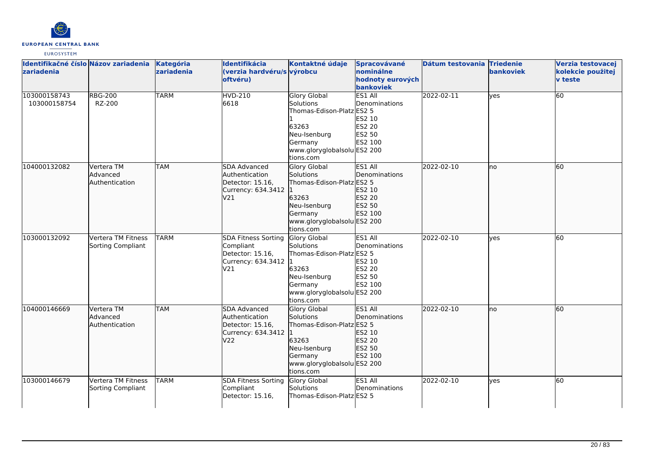

| Identifikačné číslo Názov zariadenia<br>zariadenia |                                                 | Kategória<br>zariadenia | Identifikácia<br>(verzia hardvéru/s výrobcu<br>oftvéru)                                    | Kontaktné údaje                                                                                                                                      | Spracovávané<br>nominálne<br>hodnoty eurových<br>bankoviek                        | Dátum testovania Triedenie | bankoviek | Verzia testovacej<br>kolekcie použitej<br><b>v</b> teste |
|----------------------------------------------------|-------------------------------------------------|-------------------------|--------------------------------------------------------------------------------------------|------------------------------------------------------------------------------------------------------------------------------------------------------|-----------------------------------------------------------------------------------|----------------------------|-----------|----------------------------------------------------------|
| 103000158743<br>103000158754                       | <b>RBG-200</b><br>RZ-200                        | <b>TARM</b>             | <b>HVD-210</b><br>6618                                                                     | <b>Glory Global</b><br><b>Solutions</b><br>Thomas-Edison-Platz ES2 5<br>63263<br>Neu-Isenburg<br>Germany<br>www.gloryglobalsolu ES2 200<br>tions.com | ES1 All<br>Denominations<br>ES2 10<br><b>ES2 20</b><br>ES2 50<br>ES2 100          | 2022-02-11                 | yes       | 60                                                       |
| 104000132082                                       | Vertera TM<br>Advanced<br>Authentication        | <b>TAM</b>              | <b>SDA Advanced</b><br>Authentication<br>Detector: 15.16,<br>Currency: 634.3412 1<br>V21   | <b>Glory Global</b><br>Solutions<br>Thomas-Edison-Platz ES2 5<br>63263<br>Neu-Isenburg<br>Germany<br>www.gloryglobalsolu ES2 200<br>tions.com        | ES1 All<br>Denominations<br>ES2 10<br>ES2 20<br>ES2 50<br>ES2 100                 | 2022-02-10                 | lno       | 60                                                       |
| 103000132092                                       | Vertera TM Fitness<br>Sorting Compliant         | <b>TARM</b>             | <b>SDA Fitness Sorting</b><br>Compliant<br>Detector: 15.16,<br>Currency: 634.3412 1<br>V21 | Glory Global<br>Solutions<br>Thomas-Edison-Platz ES2 5<br>63263<br>Neu-Isenburg<br>Germany<br>www.gloryglobalsolu ES2 200<br>tions.com               | ES1 All<br>Denominations<br>ES2 10<br><b>ES2 20</b><br>ES2 50<br>ES2 100          | 2022-02-10                 | lyes      | 60                                                       |
| 104000146669                                       | Vertera TM<br><b>Advanced</b><br>Authentication | <b>TAM</b>              | SDA Advanced<br>Authentication<br>Detector: 15.16,<br>Currency: 634.3412<br>V22            | <b>Glory Global</b><br>Solutions<br>Thomas-Edison-Platz ES2 5<br>63263<br>Neu-Isenburg<br>Germany<br>www.gloryglobalsolu ES2 200<br>tions.com        | ES1 All<br><b>IDenominations</b><br>ES2 10<br>ES2 20<br>ES2 50<br><b>IES2 100</b> | 2022-02-10                 | lno       | 60                                                       |
| 103000146679                                       | Vertera TM Fitness<br>Sorting Compliant         | <b>TARM</b>             | <b>SDA Fitness Sorting</b><br>Compliant<br>Detector: 15.16,                                | Glory Global<br>Solutions<br>Thomas-Edison-Platz ES2 5                                                                                               | ES1 All<br>Denominations                                                          | 2022-02-10                 | lves      | 60                                                       |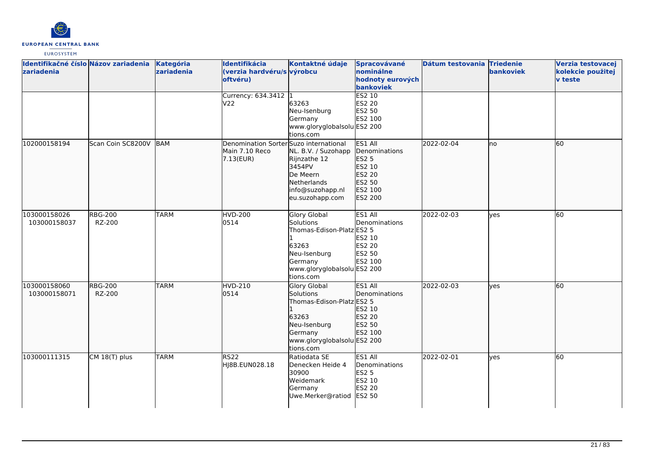

| Identifikačné číslo Názov zariadenia<br>zariadenia |                          | Kategória<br>zariadenia | Identifikácia<br>(verzia hardvéru/s výrobcu<br>oftvéru)               | Kontaktné údaje                                                                                                                        | Spracovávané<br>nominálne<br>hodnoty eurových<br>bankoviek                                   | Dátum testovania Triedenie | <b>bankoviek</b> | Verzia testovacej<br>kolekcie použitej<br><b>v</b> teste |
|----------------------------------------------------|--------------------------|-------------------------|-----------------------------------------------------------------------|----------------------------------------------------------------------------------------------------------------------------------------|----------------------------------------------------------------------------------------------|----------------------------|------------------|----------------------------------------------------------|
|                                                    |                          |                         | Currency: 634.3412 1<br>V22                                           | 63263<br>Neu-Isenburg<br>Germany<br>www.gloryglobalsolu ES2 200<br>tions.com                                                           | ES2 10<br><b>ES2 20</b><br>ES2 50<br>ES2 100                                                 |                            |                  |                                                          |
| 102000158194                                       | Scan Coin SC8200V        | BAM                     | Denomination Sorter Suzo international<br>Main 7.10 Reco<br>7.13(EUR) | NL. B.V. / Suzohapp<br>Rijnzathe 12<br>3454PV<br>De Meern<br><b>Netherlands</b><br>info@suzohapp.nl<br>eu.suzohapp.com                 | ES1 All<br>Denominations<br><b>ES2 5</b><br>ES2 10<br>ES2 20<br>ES2 50<br>ES2 100<br>ES2 200 | 2022-02-04                 | no               | 60                                                       |
| 103000158026<br>103000158037                       | <b>RBG-200</b><br>RZ-200 | <b>TARM</b>             | <b>HVD-200</b><br>0514                                                | Glory Global<br>Solutions<br>Thomas-Edison-Platz ES2 5<br>63263<br>Neu-Isenburg<br>Germany<br>www.gloryglobalsolu ES2 200<br>tions.com | ES1 All<br>Denominations<br>ES2 10<br><b>ES2 20</b><br>ES2 50<br>ES2 100                     | 2022-02-03                 | lves             | 60                                                       |
| 103000158060<br>103000158071                       | <b>RBG-200</b><br>RZ-200 | <b>TARM</b>             | <b>HVD-210</b><br>0514                                                | Glory Global<br>Solutions<br>Thomas-Edison-Platz ES2 5<br>63263<br>Neu-Isenburg<br>Germany<br>www.gloryglobalsolu ES2 200<br>tions.com | ES1 All<br>Denominations<br>ES2 10<br>ES2 20<br>ES2 50<br>ES2 100                            | 2022-02-03                 | lves             | 60                                                       |
| 103000111315                                       | CM 18(T) plus            | <b>TARM</b>             | <b>RS22</b><br>HJ8B.EUN028.18                                         | Ratiodata SE<br>Denecken Heide 4<br>30900<br>Weidemark<br>Germany<br>Uwe.Merker@ratiod                                                 | ES1 All<br>Denominations<br><b>ES2 5</b><br>ES2 10<br>ES2 20<br>ES2 50                       | 2022-02-01                 | lyes             | 60                                                       |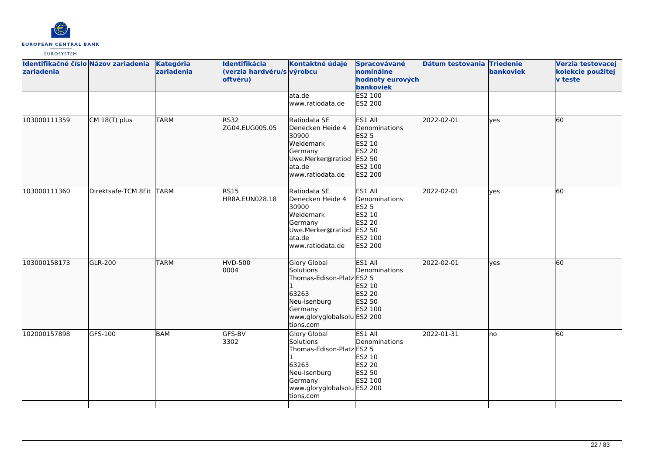

| Identifikačné číslo Názov zariadenia<br>zariadenia |                          | Kategória<br>zariadenia | Identifikácia<br>(verzia hardvéru/s výrobcu<br>oftvéru) | Kontaktné údaje                                                                                                                               | Spracovávané<br>nominálne<br>hodnoty eurových<br>bankoviek                                          | Dátum testovania Triedenie | bankoviek    | Verzia testovacej<br>kolekcie použitej<br><b>v</b> teste |
|----------------------------------------------------|--------------------------|-------------------------|---------------------------------------------------------|-----------------------------------------------------------------------------------------------------------------------------------------------|-----------------------------------------------------------------------------------------------------|----------------------------|--------------|----------------------------------------------------------|
|                                                    |                          |                         |                                                         | lata.de<br>www.ratiodata.de                                                                                                                   | ES2 100<br>ES2 200                                                                                  |                            |              |                                                          |
| 103000111359                                       | CM 18(T) plus            | <b>TARM</b>             | RS32<br>ZG04.EUG005.05                                  | Ratiodata SE<br>Denecken Heide 4<br>30900<br>Weidemark<br>Germany<br>Uwe.Merker@ratiod<br>ata.de<br>lwww.ratiodata.de                         | ES1 All<br>Denominations<br><b>ES2 5</b><br>ES2 10<br>ES2 20<br>ES2 50<br>ES2 100<br><b>ES2 200</b> | 2022-02-01                 | lves         | <b>60</b>                                                |
| 103000111360                                       | Direktsafe-TCM.8Fit TARM |                         | <b>RS15</b><br>HR8A.EUN028.18                           | Ratiodata SE<br>Denecken Heide 4<br>30900<br>Weidemark<br>Germany<br>Uwe.Merker@ratiod<br>ata.de<br>www.ratiodata.de                          | ES1 All<br>Denominations<br><b>ES2 5</b><br>ES2 10<br><b>ES2 20</b><br>ES2 50<br>ES2 100<br>ES2 200 | 2022-02-01                 | <b>ves</b>   | 60                                                       |
| 103000158173                                       | <b>GLR-200</b>           | <b>TARM</b>             | <b>HVD-500</b><br>0004                                  | <b>Glory Global</b><br>Solutions<br>Thomas-Edison-Platz ES2 5<br>63263<br>Neu-Isenburg<br>Germany<br>www.gloryglobalsolu ES2 200<br>tions.com | ES1 All<br>Denominations<br>ES2 10<br>ES2 20<br>ES2 50<br>ES2 100                                   | 2022-02-01                 | <b>l</b> ves | 60                                                       |
| 102000157898                                       | GFS-100                  | BAM                     | GFS-BV<br>3302                                          | Glory Global<br>Solutions<br>Thomas-Edison-Platz ES2 5<br>63263<br>Neu-Isenburg<br>Germany<br>www.gloryglobalsolu ES2 200<br>tions.com        | ES1 All<br>Denominations<br>ES2 10<br><b>ES2 20</b><br>ES2 50<br>ES2 100                            | 2022-01-31                 | lno          | 60                                                       |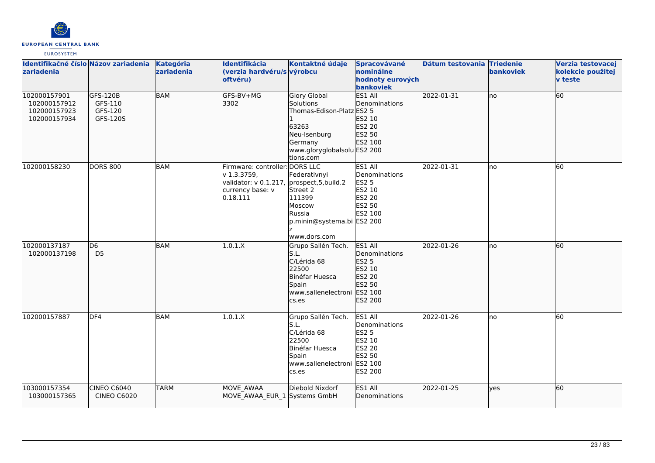

| Identifikačné číslo Názov zariadenia<br>zariadenia           |                                            | Kategória<br>zariadenia | Identifikácia<br>(verzia hardvéru/s výrobcu<br>oftvéru)                                                                     | Kontaktné údaje                                                                                                                               | Spracovávané<br>nominálne<br>hodnoty eurových<br>bankoviek                            | Dátum testovania Triedenie | bankoviek | Verzia testovacej<br>kolekcie použitej<br><b>v</b> teste |
|--------------------------------------------------------------|--------------------------------------------|-------------------------|-----------------------------------------------------------------------------------------------------------------------------|-----------------------------------------------------------------------------------------------------------------------------------------------|---------------------------------------------------------------------------------------|----------------------------|-----------|----------------------------------------------------------|
| 102000157901<br>102000157912<br>102000157923<br>102000157934 | GFS-120B<br>GFS-110<br>GFS-120<br>GFS-120S | <b>BAM</b>              | GFS-BV+MG<br>3302                                                                                                           | <b>Glory Global</b><br>Solutions<br>Thomas-Edison-Platz ES2 5<br>63263<br>Neu-Isenburg<br>Germany<br>www.gloryglobalsolu ES2 200<br>tions.com | ES1 All<br>Denominations<br>ES2 10<br>ES2 20<br>ES2 50<br>ES2 100                     | 2022-01-31                 | no        | 60                                                       |
| 102000158230                                                 | <b>DORS 800</b>                            | <b>BAM</b>              | Firmware: controller: DORS LLC<br>v 1.3.3759,<br>validator: v 0.1.217, prospect, 5, build.2<br>currency base: v<br>0.18.111 | Federativnyi<br>Street 2<br>111399<br>Moscow<br>Russia<br>p.minin@systema.bi ES2 200<br>www.dors.com                                          | ES1 All<br>Denominations<br><b>ES2 5</b><br>ES2 10<br>ES2 20<br>ES2 50<br>ES2 100     | 2022-01-31                 | no        | 60                                                       |
| 102000137187<br>102000137198                                 | D <sub>6</sub><br>D <sub>5</sub>           | <b>BAM</b>              | 1.0.1.X                                                                                                                     | Grupo Sallén Tech.<br>S.L.<br>C/Lérida 68<br>22500<br>Binéfar Huesca<br>Spain<br>www.sallenelectroni<br>cs.es                                 | ES1 All<br>Denominations<br>ES2 5<br>ES2 10<br>ES2 20<br>ES2 50<br>ES2 100<br>ES2 200 | 2022-01-26                 | no        | 60                                                       |
| 102000157887                                                 | DF4                                        | <b>BAM</b>              | 1.0.1.X                                                                                                                     | Grupo Sallén Tech.<br>S.L.<br>C/Lérida 68<br>22500<br>Binéfar Huesca<br>Spain<br>www.sallenelectroni<br>cs.es                                 | ES1 All<br>Denominations<br>ES2 5<br>ES2 10<br>ES2 20<br>ES2 50<br>ES2 100<br>ES2 200 | 2022-01-26                 | no        | 60                                                       |
| 103000157354<br>103000157365                                 | <b>CINEO C6040</b><br><b>CINEO C6020</b>   | <b>TARM</b>             | MOVE AWAA<br>MOVE_AWAA_EUR_1 Systems GmbH                                                                                   | Diebold Nixdorf                                                                                                                               | ES1 All<br>Denominations                                                              | 2022-01-25                 | lyes      | 60                                                       |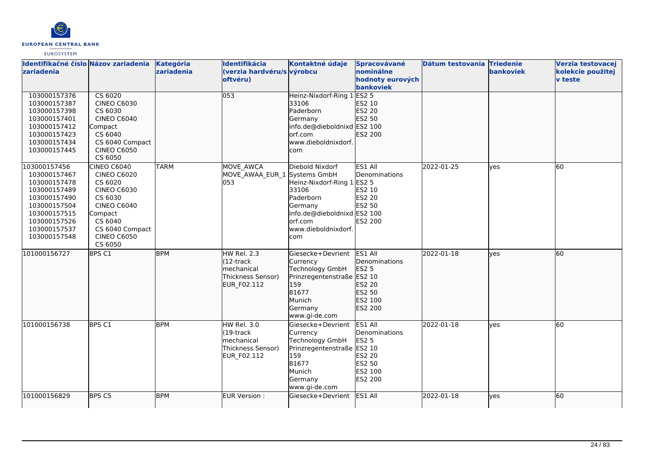

| Identifikačné číslo Názov zariadenia<br>zariadenia                                                                                                           |                                                                                                                                                                                      | Kategória<br>zariadenia | Identifikácia<br>(verzia hardvéru/s výrobcu<br>oftvéru)                                          | Kontaktné údaje                                                                                                                                         | Spracovávané<br>nominálne<br>hodnoty eurových                                                       | Dátum testovania Triedenie | bankoviek  | Verzia testovacej<br>kolekcie použitej<br><b>v</b> teste |
|--------------------------------------------------------------------------------------------------------------------------------------------------------------|--------------------------------------------------------------------------------------------------------------------------------------------------------------------------------------|-------------------------|--------------------------------------------------------------------------------------------------|---------------------------------------------------------------------------------------------------------------------------------------------------------|-----------------------------------------------------------------------------------------------------|----------------------------|------------|----------------------------------------------------------|
| 103000157376<br>103000157387<br>103000157398<br>103000157401<br>103000157412<br>103000157423<br>103000157434<br>103000157445                                 | CS 6020<br><b>CINEO C6030</b><br>CS 6030<br><b>CINEO C6040</b><br>Compact<br>CS 6040<br>CS 6040 Compact<br><b>CINEO C6050</b><br>CS 6050                                             |                         | 053                                                                                              | Heinz-Nixdorf-Ring 1<br>33106<br>Paderborn<br>Germany<br>info.de@dieboldnixd ES2 100<br>orf.com<br>www.dieboldnixdorf.<br>com                           | bankoviek<br>ES2 <sub>5</sub><br>ES2 10<br>ES2 20<br>ES2 50<br>ES2 200                              |                            |            |                                                          |
| 103000157456<br>103000157467<br>103000157478<br>103000157489<br>103000157490<br>103000157504<br>103000157515<br>103000157526<br>103000157537<br>103000157548 | <b>CINEO C6040</b><br><b>CINEO C6020</b><br>CS 6020<br><b>CINEO C6030</b><br>CS 6030<br><b>CINEO C6040</b><br>Compact<br>CS 6040<br>CS 6040 Compact<br><b>CINEO C6050</b><br>CS 6050 | <b>TARM</b>             | <b>MOVE AWCA</b><br>MOVE AWAA EUR 1 Systems GmbH<br>053                                          | Diebold Nixdorf<br>Heinz-Nixdorf-Ring 1<br>33106<br>Paderborn<br><b>Germany</b><br>info.de@dieboldnixd ES2 100<br>orf.com<br>www.dieboldnixdorf.<br>com | ES1 All<br>Denominations<br><b>ES2 5</b><br>ES2 10<br>ES2 20<br><b>ES2 50</b><br>ES2 200            | 2022-01-25                 | <b>ves</b> | 60                                                       |
| 101000156727                                                                                                                                                 | BPS C1                                                                                                                                                                               | <b>BPM</b>              | <b>HW Rel. 2.3</b><br>(12-track<br>lmechanical<br>Thickness Sensor)<br><b>EUR F02.112</b>        | Giesecke+Devrient<br>Currency<br>Technology GmbH<br>Prinzregentenstraße ES2 10<br>159<br>81677<br>Munich<br>Germany<br>www.gi-de.com                    | ES1 All<br><b>Denominations</b><br>ES2 5<br>ES2 20<br>ES2 50<br>ES2 100<br>ES2 200                  | 2022-01-18                 | lyes       | 60                                                       |
| 101000156738                                                                                                                                                 | BPS <sub>C1</sub>                                                                                                                                                                    | <b>BPM</b>              | <b>HW Rel. 3.0</b><br>(19-track<br><b>Imechanical</b><br>Thickness Sensor)<br><b>EUR F02.112</b> | Giesecke+Devrient<br>Currency<br>Technology GmbH<br>Prinzregentenstraße<br>159<br>81677<br>Munich<br>Germany<br>www.gi-de.com                           | ES1 All<br>Denominations<br><b>ES2 5</b><br>ES2 10<br>ES2 20<br>ES2 50<br>ES2 100<br><b>ES2 200</b> | 2022-01-18                 | <b>ves</b> | 60                                                       |
| 101000156829                                                                                                                                                 | BPS C5                                                                                                                                                                               | <b>BPM</b>              | EUR Version :                                                                                    | Giesecke+Devrient                                                                                                                                       | ES1 All                                                                                             | 2022-01-18                 | lyes       | 60                                                       |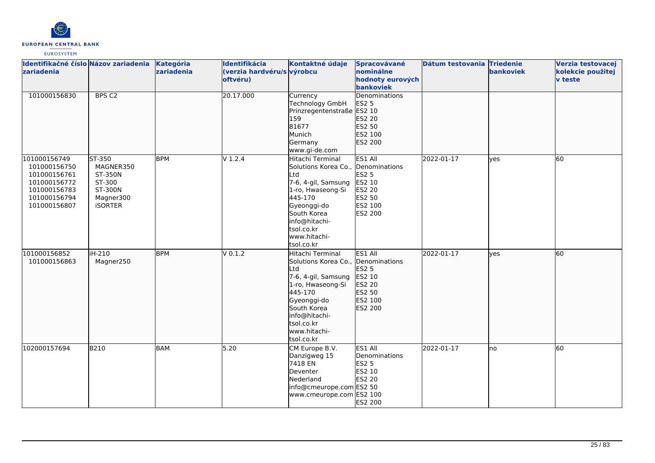

| Identifikačné číslo Názov zariadenia<br>zariadenia                                                           |                                                                                    | Kategória<br>zariadenia | Identifikácia<br>(verzia hardvéru/s výrobcu<br>oftvéru) | Kontaktné údaje                                                                                                                                                                                                 | Spracovávané<br>nominálne<br>hodnoty eurových<br>bankoviek                            | Dátum testovania Triedenie | bankoviek    | Verzia testovacej<br>kolekcie použitej<br><b>v</b> teste |
|--------------------------------------------------------------------------------------------------------------|------------------------------------------------------------------------------------|-------------------------|---------------------------------------------------------|-----------------------------------------------------------------------------------------------------------------------------------------------------------------------------------------------------------------|---------------------------------------------------------------------------------------|----------------------------|--------------|----------------------------------------------------------|
| 101000156830                                                                                                 | BPS <sub>C2</sub>                                                                  |                         | 20.17.000                                               | Currency<br>Technology GmbH<br>Prinzregentenstraße ES2 10<br>159<br>81677<br>Munich<br>Germany<br>www.gi-de.com                                                                                                 | <b>Denominations</b><br>ES2 5<br>ES2 20<br>ES2 50<br>ES2 100<br>ES2 200               |                            |              |                                                          |
| 101000156749<br>101000156750<br>101000156761<br>101000156772<br>101000156783<br>101000156794<br>101000156807 | ST-350<br>MAGNER350<br>ST-350N<br>ST-300<br>ST-300N<br>Magner300<br><b>iSORTER</b> | <b>BPM</b>              | $V$ 1.2.4                                               | Hitachi Terminal<br>Solutions Korea Co., Denominations<br>Ltd<br>7-6, 4-gil, Samsung<br>1-ro, Hwaseong-Si<br>445-170<br>Gyeonggi-do<br>South Korea<br>info@hitachi-<br>tsol.co.kr<br>www.hitachi-<br>tsol.co.kr | ES1 All<br><b>ES2 5</b><br>ES2 10<br>ES2 20<br>ES2 50<br>ES2 100<br>ES2 200           | 2022-01-17                 | <b>l</b> ves | 60                                                       |
| 101000156852<br>101000156863                                                                                 | iH-210<br>Magner250                                                                | <b>BPM</b>              | $V$ 0.1.2                                               | Hitachi Terminal<br>Solutions Korea Co., Denominations<br>Ltd<br>7-6, 4-gil, Samsung<br>1-ro, Hwaseong-Si<br>445-170<br>Gyeonggi-do<br>South Korea<br>info@hitachi-<br>tsol.co.kr<br>www.hitachi-<br>tsol.co.kr | ES1 All<br>ES2 5<br>ES2 10<br>ES2 20<br>ES2 50<br>ES2 100<br>ES2 200                  | 2022-01-17                 | lyes         | 60                                                       |
| 102000157694                                                                                                 | B210                                                                               | <b>BAM</b>              | 5.20                                                    | CM Europe B.V.<br>Danzigweg 15<br>7418 EN<br>Deventer<br>Nederland<br>info@cmeurope.com ES2 50<br>www.cmeurope.com ES2 100                                                                                      | ES1 All<br>Denominations<br><b>ES2 5</b><br>ES2 10<br><b>ES2 20</b><br><b>ES2 200</b> | 2022-01-17                 | lno          | 60                                                       |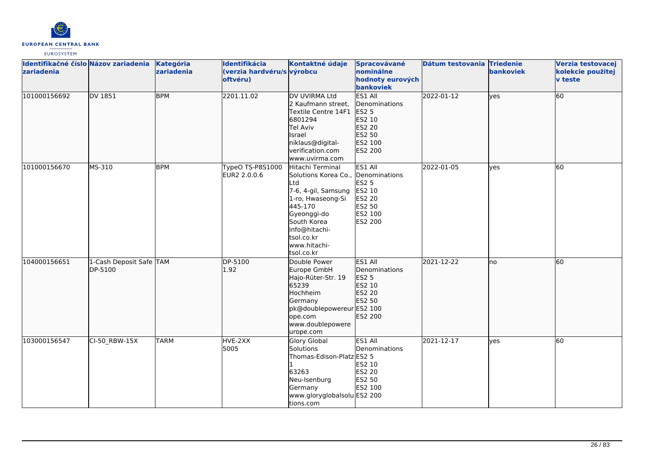

| Identifikačné číslo Názov zariadenia<br>zariadenia |                                    | Kategória<br>zariadenia | <b>Identifikácia</b><br>(verzia hardvéru/s výrobcu<br>oftvéru) | Kontaktné údaje                                                                                                                                                                                                  | Spracovávané<br><b>nominálne</b><br>hodnoty eurových<br><b>bankoviek</b>                                                                 | Dátum testovania Triedenie | <b>bankoviek</b> | Ve<br>ko<br>$\mathbf{v}$ |
|----------------------------------------------------|------------------------------------|-------------------------|----------------------------------------------------------------|------------------------------------------------------------------------------------------------------------------------------------------------------------------------------------------------------------------|------------------------------------------------------------------------------------------------------------------------------------------|----------------------------|------------------|--------------------------|
| 101000156692                                       | DV 1851                            | <b>BPM</b>              | 2201.11.02                                                     | DV UVIRMA Ltd<br>2 Kaufmann street,<br>Textile Centre 14F1<br>6801294<br>Tel Aviv<br>llsrael<br>niklaus@digital-<br>verification.com<br>www.uvirma.com                                                           | ES1 All<br><b>IDenominations</b><br>ES2 <sub>5</sub><br><b>IES2 10</b><br><b>IES2 20</b><br><b>IES2 50</b><br><b>IES2 100</b><br>ES2 200 | 2022-01-12                 | lves             | 60                       |
| 101000156670                                       | MS-310                             | <b>BPM</b>              | TypeO TS-P8S1000<br>EUR2 2.0.0.6                               | Hitachi Terminal<br>Solutions Korea Co., Denominations<br>Ltd<br>7-6, 4-gil, Samsung<br>1-ro, Hwaseong-Si<br>445-170<br>Gyeonggi-do<br>South Korea<br>linfo@hitachi-<br>tsol.co.kr<br>www.hitachi-<br>tsol.co.kr | ES1 All<br><b>ES2 5</b><br>ES2 10<br><b>ES2 20</b><br>ES2 50<br><b>IES2 100</b><br><b>IES2 200</b>                                       | 2022-01-05                 | ves              | 60                       |
| 104000156651                                       | 1-Cash Deposit Safe TAM<br>DP-5100 |                         | DP-5100<br>1.92                                                | Double Power<br>Europe GmbH<br>Hajo-Rüter-Str. 19<br>65239<br>Hochheim<br>Germany<br>pk@doublepowereur ES2 100<br>$\sim$ $\sim$ $\sim$ $\sim$                                                                    | <b>ES1 AII</b><br>Denominations<br>ES2 <sub>5</sub><br>ES2 10<br><b>IES2 20</b><br>ES2 50<br>lech pon                                    | 2021-12-22                 | lno              | 60                       |

|              |                                    |             |                 | info@hitachi-<br>tsol.co.kr<br>www.hitachi-<br>tsol.co.kr                                                                                                  |                                                                            |            |      |    |
|--------------|------------------------------------|-------------|-----------------|------------------------------------------------------------------------------------------------------------------------------------------------------------|----------------------------------------------------------------------------|------------|------|----|
| 104000156651 | 1-Cash Deposit Safe TAM<br>DP-5100 |             | DP-5100<br>1.92 | Double Power<br>Europe GmbH<br>Hajo-Rüter-Str. 19<br>65239<br>Hochheim<br>Germany<br>pk@doublepowereur ES2 100<br>ope.com<br>www.doublepowere<br>urope.com | ES1 All<br>Denominations<br>ES2 5<br>ES2 10<br>ES2 20<br>ES2 50<br>ES2 200 | 2021-12-22 | lno. | 60 |
| 103000156547 | $CI-50$ RBW-15X                    | <b>TARM</b> | HVE-2XX<br>5005 | <b>Glory Global</b><br>Solutions<br>Thomas-Edison-Platz ES2 5<br>63263<br>Neu-Isenburg<br>Germany<br>www.gloryglobalsolu ES2 200<br>tions.com              | ES1 All<br>Denominations<br>ES2 10<br><b>ES2 20</b><br>ES2 50<br>ES2 100   | 2021-12-17 | lves | 60 |
|              |                                    |             |                 |                                                                                                                                                            |                                                                            |            |      |    |

**Verzia testovacej kolekcie použitej**

**v teste**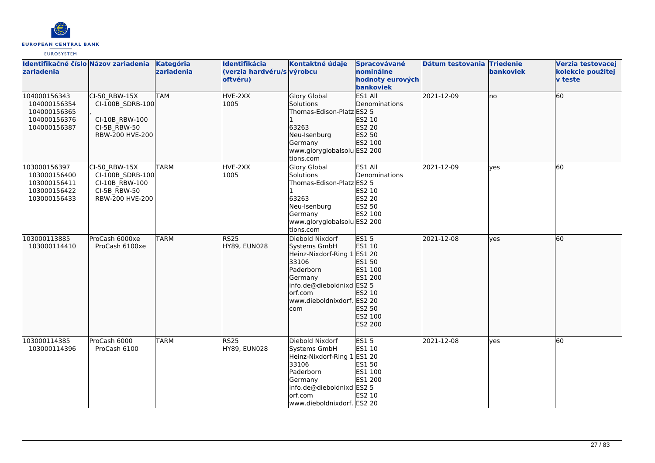

| Identifikačné číslo Názov zariadenia<br>zariadenia                           |                                                                                          | Kategória<br>zariadenia | Identifikácia<br>(verzia hardvéru/s výrobcu<br>oftvéru) | Kontaktné údaje                                                                                                                                                              | Spracovávané<br>nominálne<br>hodnoty eurových<br>bankoviek                                      | Dátum testovania Triedenie | bankoviek | Verzia testovacej<br>kolekcie použitej<br><b>v</b> teste |
|------------------------------------------------------------------------------|------------------------------------------------------------------------------------------|-------------------------|---------------------------------------------------------|------------------------------------------------------------------------------------------------------------------------------------------------------------------------------|-------------------------------------------------------------------------------------------------|----------------------------|-----------|----------------------------------------------------------|
| 104000156343<br>104000156354<br>104000156365<br>104000156376<br>104000156387 | $CI-50$ RBW-15X<br>CI-100B SDRB-100<br>CI-10B RBW-100<br>CI-5B RBW-50<br>RBW-200 HVE-200 | <b>TAM</b>              | HVE-2XX<br>1005                                         | <b>Glory Global</b><br><b>Solutions</b><br>Thomas-Edison-Platz ES2 5<br>63263<br>Neu-Isenburg<br>Germany<br>www.gloryglobalsolu ES2 200<br>tions.com                         | ES1 All<br>Denominations<br>ES2 10<br>ES2 20<br>ES2 50<br>ES2 100                               | 2021-12-09                 | lno       | 60                                                       |
| 103000156397<br>103000156400<br>103000156411<br>103000156422<br>103000156433 | CI-50 RBW-15X<br>CI-100B SDRB-100<br>CI-10B RBW-100<br>CI-5B RBW-50<br>RBW-200 HVE-200   | <b>TARM</b>             | HVE-2XX<br>1005                                         | <b>Glory Global</b><br>Solutions<br>Thomas-Edison-Platz ES2 5<br>63263<br>Neu-Isenburg<br>Germany<br>www.gloryglobalsolu ES2 200<br>tions.com                                | ES1 All<br>Denominations<br>ES2 10<br><b>ES2 20</b><br>ES2 50<br>ES2 100                        | 2021-12-09                 | lves      | 60                                                       |
| 103000113885<br>103000114410                                                 | ProCash 6000xe<br>ProCash 6100xe                                                         | <b>TARM</b>             | RS <sub>25</sub><br>HY89, EUN028                        | Diebold Nixdorf<br>Systems GmbH<br>Heinz-Nixdorf-Ring 1 ES1 20<br>33106<br>Paderborn<br>Germany<br>info.de@dieboldnixd ES2 5<br>orf.com<br>www.dieboldnixdorf. ES2 20<br>com | <b>ES15</b><br>ES1 10<br>ES1 50<br>ES1 100<br>ES1 200<br>ES2 10<br>ES2 50<br>ES2 100<br>ES2 200 | 2021-12-08                 | lyes      | 60                                                       |
| 103000114385<br>103000114396                                                 | ProCash 6000<br>ProCash 6100                                                             | <b>TARM</b>             | <b>RS25</b><br>HY89, EUN028                             | Diebold Nixdorf<br>Systems GmbH<br>Heinz-Nixdorf-Ring 1<br>33106<br>Paderborn<br>Germany<br>info.de@dieboldnixd ES2 5<br>lorf.com<br>www.dieboldnixdorf. ES2 20              | <b>ES15</b><br>ES1 10<br>ES1 20<br>ES1 50<br>ES1 100<br>ES1 200<br>ES2 10                       | 2021-12-08                 | yes       | 60                                                       |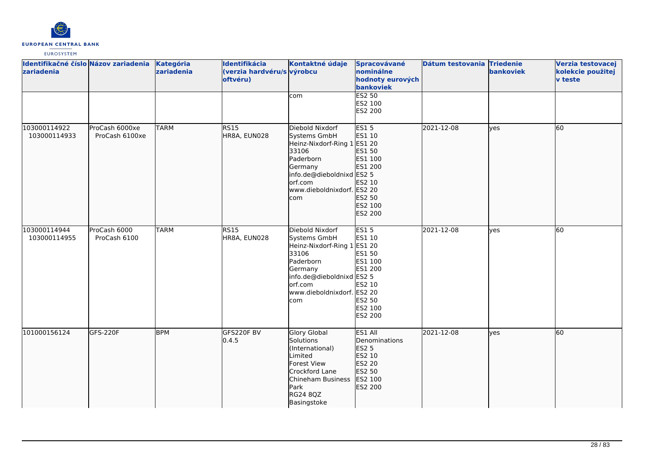

| Identifikačné číslo Názov zariadenia<br>zariadenia |                                  | Kategória<br>zariadenia | Identifikácia<br>(verzia hardvéru/s výrobcu<br>oftvéru) | Kontaktné údaje                                                                                                                                                              | Spracovávané<br>nominálne<br>hodnoty eurových<br>bankoviek                                                | Dátum testovania Triedenie | bankoviek | Verzia testovacej<br>kolekcie použitej<br>v teste |
|----------------------------------------------------|----------------------------------|-------------------------|---------------------------------------------------------|------------------------------------------------------------------------------------------------------------------------------------------------------------------------------|-----------------------------------------------------------------------------------------------------------|----------------------------|-----------|---------------------------------------------------|
|                                                    |                                  |                         |                                                         | com                                                                                                                                                                          | <b>ES2 50</b><br>ES2 100<br>ES2 200                                                                       |                            |           |                                                   |
| 103000114922<br>103000114933                       | ProCash 6000xe<br>ProCash 6100xe | <b>TARM</b>             | <b>RS15</b><br>HR8A, EUN028                             | Diebold Nixdorf<br>Systems GmbH<br>Heinz-Nixdorf-Ring 1<br>33106<br>Paderborn<br>Germany<br>info.de@dieboldnixd ES2 5<br>orf.com<br>www.dieboldnixdorf. ES2 20<br>com        | <b>ES15</b><br>ES1 10<br>ES1 20<br>ES1 50<br>ES1 100<br>ES1 200<br>ES2 10<br>ES2 50<br>ES2 100<br>ES2 200 | 2021-12-08                 | lves      | 60                                                |
| 103000114944<br>103000114955                       | ProCash 6000<br>ProCash 6100     | <b>TARM</b>             | <b>RS15</b><br>HR8A, EUN028                             | Diebold Nixdorf<br>Systems GmbH<br>Heinz-Nixdorf-Ring 1 ES1 20<br>33106<br>Paderborn<br>Germany<br>info.de@dieboldnixd ES2 5<br>orf.com<br>www.dieboldnixdorf. ES2 20<br>com | ES15<br>ES1 10<br>ES1 50<br>ES1 100<br>ES1 200<br>ES2 10<br>ES2 50<br>ES2 100<br>ES2 200                  | 2021-12-08                 | yes       | 60                                                |
| 101000156124                                       | GFS-220F                         | <b>BPM</b>              | GFS220F BV<br>0.4.5                                     | <b>Glory Global</b><br>Solutions<br>(International)<br>Limited<br>Forest View<br>Crockford Lane<br>Chineham Business<br>Park<br>RG24 8QZ<br>Basingstoke                      | ES1 All<br>Denominations<br>ES2 5<br>ES2 10<br>ES2 20<br>ES2 50<br>ES2 100<br>ES2 200                     | 2021-12-08                 | ves       | 60                                                |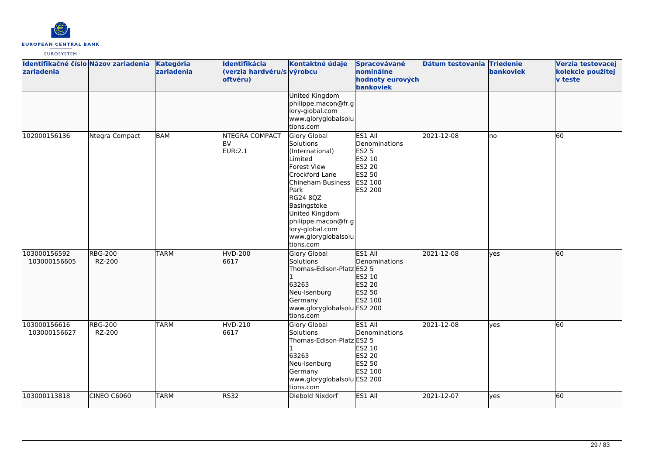

| Identifikačné číslo Názov zariadenia<br>zariadenia |                          | Kategória<br>zariadenia | Identifikácia<br>(verzia hardvéru/s výrobcu<br>oftvéru) | Kontaktné údaje                                                                                                                                                                                                                                  | Spracovávané<br>nominálne<br>hodnoty eurových<br>bankoviek                            | Dátum testovania Triedenie | bankoviek  | Verzia testovacej<br>kolekcie použitej<br><b>v</b> teste |
|----------------------------------------------------|--------------------------|-------------------------|---------------------------------------------------------|--------------------------------------------------------------------------------------------------------------------------------------------------------------------------------------------------------------------------------------------------|---------------------------------------------------------------------------------------|----------------------------|------------|----------------------------------------------------------|
|                                                    |                          |                         |                                                         | <b>United Kingdom</b><br>philippe.macon@fr.g<br>lory-global.com<br>www.gloryglobalsolu<br>tions.com                                                                                                                                              |                                                                                       |                            |            |                                                          |
| 102000156136                                       | Ntegra Compact           | <b>BAM</b>              | <b>NTEGRA COMPACT</b><br><b>BV</b><br>EUR:2.1           | Glory Global<br>Solutions<br>(International)<br>Limited<br>Forest View<br>Crockford Lane<br>Chineham Business<br>Park<br>RG24 8QZ<br>Basingstoke<br>United Kingdom<br>philippe.macon@fr.g<br>lory-global.com<br>www.gloryglobalsolu<br>tions.com | ES1 All<br>Denominations<br>ES2 5<br>ES2 10<br>ES2 20<br>ES2 50<br>ES2 100<br>ES2 200 | 2021-12-08                 | lno        | 60                                                       |
| 103000156592<br>103000156605                       | <b>RBG-200</b><br>RZ-200 | <b>TARM</b>             | <b>HVD-200</b><br>6617                                  | <b>Glory Global</b><br>Solutions<br>Thomas-Edison-Platz ES2 5<br>63263<br>Neu-Isenburg<br>Germany<br>www.gloryglobalsolu ES2 200<br>tions.com                                                                                                    | ES1 All<br>Denominations<br>ES2 10<br>ES2 20<br>ES2 50<br>ES2 100                     | 2021-12-08                 | lyes       | 60                                                       |
| 103000156616<br>103000156627                       | <b>RBG-200</b><br>RZ-200 | <b>TARM</b>             | <b>HVD-210</b><br>6617                                  | <b>Glory Global</b><br>Solutions<br>Thomas-Edison-Platz ES2 5<br>63263<br>Neu-Isenburg<br>Germany<br>www.gloryglobalsolu ES2 200<br>tions.com                                                                                                    | ES1 All<br>Denominations<br>ES2 10<br>ES2 20<br>ES2 50<br>ES2 100                     | 2021-12-08                 | lves       | 60                                                       |
| 103000113818                                       | CINEO C6060              | <b>TARM</b>             | <b>RS32</b>                                             | Diebold Nixdorf                                                                                                                                                                                                                                  | ES1 All                                                                               | 2021-12-07                 | <b>yes</b> | 60                                                       |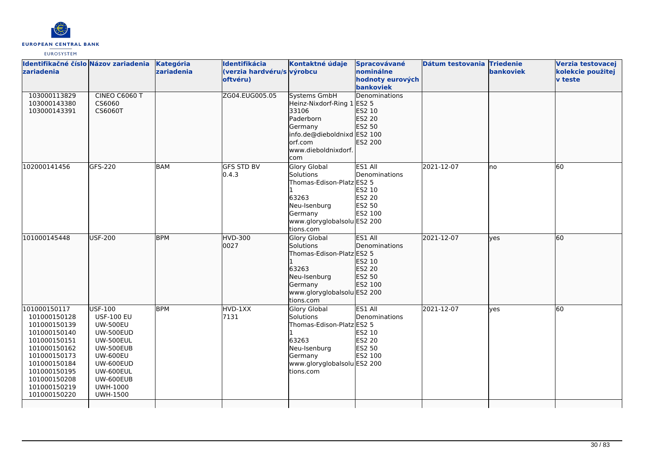

| Identifikačné číslo Názov zariadenia<br>zariadenia<br>103000113829                                                                                                                           | CINEO C6060 T                                                                                                                                                                                        | Kategória<br>zariadenia | Identifikácia<br>(verzia hardvéru/s výrobcu<br>oftvéru)<br>ZG04.EUG005.05 | Kontaktné údaje<br><b>Systems GmbH</b>                                                                                                        | Spracovávané<br>nominálne<br>hodnoty eurových<br>bankoviek<br><b>Denominations</b> | Dátum testovania Triedenie | bankoviek | Verzia testovacej<br>kolekcie použitej<br><b>v</b> teste |
|----------------------------------------------------------------------------------------------------------------------------------------------------------------------------------------------|------------------------------------------------------------------------------------------------------------------------------------------------------------------------------------------------------|-------------------------|---------------------------------------------------------------------------|-----------------------------------------------------------------------------------------------------------------------------------------------|------------------------------------------------------------------------------------|----------------------------|-----------|----------------------------------------------------------|
| 103000143380<br>103000143391                                                                                                                                                                 | CS6060<br>CS6060T                                                                                                                                                                                    |                         |                                                                           | Heinz-Nixdorf-Ring 1 ES2 5<br>33106<br>Paderborn<br>Germany<br>info.de@dieboldnixd ES2 100<br>orf.com<br>www.dieboldnixdorf.<br>com           | ES2 10<br>ES2 20<br>ES2 50<br>ES2 200                                              |                            |           |                                                          |
| 102000141456                                                                                                                                                                                 | GFS-220                                                                                                                                                                                              | BAM                     | <b>GFS STD BV</b><br>0.4.3                                                | <b>Glory Global</b><br>Solutions<br>Thomas-Edison-Platz ES2 5<br>63263<br>Neu-Isenburg<br>Germany<br>www.gloryglobalsolu ES2 200<br>tions.com | ES1 All<br>Denominations<br>ES2 10<br><b>ES2 20</b><br>ES2 50<br>ES2 100           | 2021-12-07                 | Ino       | 60                                                       |
| 101000145448                                                                                                                                                                                 | <b>USF-200</b>                                                                                                                                                                                       | <b>BPM</b>              | <b>HVD-300</b><br>0027                                                    | Glory Global<br>Solutions<br>Thomas-Edison-Platz ES2 5<br>63263<br>Neu-Isenburg<br>Germany<br>www.gloryglobalsolu ES2 200<br>tions.com        | ES1 All<br>Denominations<br>ES2 10<br>ES2 20<br>ES2 50<br>ES2 100                  | 2021-12-07                 | lves      | 60                                                       |
| 101000150117<br>101000150128<br>101000150139<br>101000150140<br>101000150151<br>101000150162<br>101000150173<br>101000150184<br>101000150195<br>101000150208<br>101000150219<br>101000150220 | USF-100<br><b>USF-100 EU</b><br><b>UW-500EU</b><br><b>UW-500EUD</b><br><b>UW-500EUL</b><br>UW-500EUB<br><b>UW-600EU</b><br>UW-600EUD<br>UW-600EUL<br>UW-600EUB<br><b>UWH-1000</b><br><b>UWH-1500</b> | <b>BPM</b>              | HVD-1XX<br>7131                                                           | <b>Glory Global</b><br>Solutions<br>Thomas-Edison-Platz ES2 5<br>63263<br>Neu-Isenburg<br>Germany<br>www.gloryglobalsolu ES2 200<br>tions.com | ES1 All<br>Denominations<br>ES2 10<br><b>ES2 20</b><br>ES2 50<br>ES2 100           | 2021-12-07                 | lves      | 60                                                       |
|                                                                                                                                                                                              |                                                                                                                                                                                                      |                         |                                                                           |                                                                                                                                               |                                                                                    |                            |           |                                                          |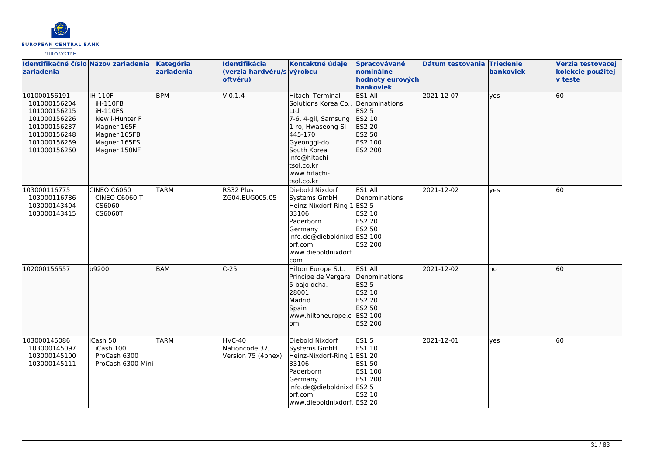

| Identifikačné číslo Názov zariadenia<br>zariadenia                                                                           |                                                                                                                                | Kategória<br>zariadenia | Identifikácia<br>(verzia hardvéru/s výrobcu<br>oftvéru) | Kontaktné údaje                                                                                                                                                                                   | Spracovávané<br>nominálne<br>hodnoty eurových<br>bankoviek                                          | Dátum testovania Triedenie | bankoviek | Verzia testovacej<br>kolekcie použitej<br><b>v</b> teste |
|------------------------------------------------------------------------------------------------------------------------------|--------------------------------------------------------------------------------------------------------------------------------|-------------------------|---------------------------------------------------------|---------------------------------------------------------------------------------------------------------------------------------------------------------------------------------------------------|-----------------------------------------------------------------------------------------------------|----------------------------|-----------|----------------------------------------------------------|
| 101000156191<br>101000156204<br>101000156215<br>101000156226<br>101000156237<br>101000156248<br>101000156259<br>101000156260 | <b>iH-110F</b><br>iH-110FB<br><b>iH-110FS</b><br>New i-Hunter F<br>Magner 165F<br>Magner 165FB<br>Magner 165FS<br>Magner 150NF | <b>BPM</b>              | V 0.1.4                                                 | Hitachi Terminal<br>Solutions Korea Co.,<br>Ltd<br>7-6, 4-gil, Samsung<br>1-ro, Hwaseong-Si<br>445-170<br>Gyeonggi-do<br>South Korea<br>info@hitachi-<br>tsol.co.kr<br>www.hitachi-<br>tsol.co.kr | <b>ES1 All</b><br>Denominations<br><b>ES2 5</b><br>ES2 10<br>ES2 20<br>ES2 50<br>ES2 100<br>ES2 200 | 2021-12-07                 | lves      | $\overline{60}$                                          |
| 103000116775<br>103000116786<br>103000143404<br>103000143415                                                                 | <b>CINEO C6060</b><br>CINEO C6060 T<br>CS6060<br>CS6060T                                                                       | <b>TARM</b>             | RS32 Plus<br>ZG04.EUG005.05                             | Diebold Nixdorf<br>Systems GmbH<br>Heinz-Nixdorf-Ring 1 ES2 5<br>33106<br>Paderborn<br>Germany<br>info.de@dieboldnixd ES2 100<br>orf.com<br>www.dieboldnixdorf.<br>com                            | ES1 All<br>Denominations<br>ES2 10<br>ES2 20<br>ES2 50<br>ES2 200                                   | 2021-12-02                 | lves      | 60                                                       |
| 102000156557                                                                                                                 | b9200                                                                                                                          | BAM                     | $C-25$                                                  | Hilton Europe S.L.<br>Principe de Vergara<br>5-bajo dcha.<br>28001<br>Madrid<br>Spain<br>www.hiltoneurope.c ES2 100<br>om                                                                         | ES1 All<br>Denominations<br>ES2 5<br>ES2 10<br>ES2 20<br>ES2 50<br>ES2 200                          | 2021-12-02                 | lno       | 60                                                       |
| 103000145086<br>103000145097<br>103000145100<br>103000145111                                                                 | iCash 50<br>iCash 100<br>ProCash 6300<br>ProCash 6300 Mini                                                                     | <b>TARM</b>             | HVC-40<br>Nationcode 37,<br>Version 75 (4bhex)          | Diebold Nixdorf<br>Systems GmbH<br>Heinz-Nixdorf-Ring 1 ES1 20<br>33106<br>Paderborn<br>Germany<br>info.de@dieboldnixd ES2 5<br>lorf.com<br>www.dieboldnixdorf. ES2 20                            | <b>ES15</b><br>ES1 10<br>ES1 50<br>ES1 100<br>ES1 200<br>ES2 10                                     | 2021-12-01                 | lves      | 60                                                       |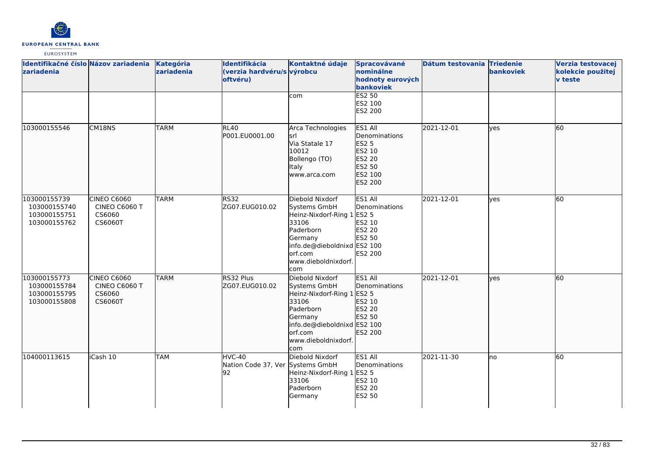

| Identifikačné číslo Názov zariadenia Kategória<br>zariadenia |                                                          | zariadenia  | Identifikácia<br>(verzia hardvéru/s výrobcu<br>oftvéru) | Kontaktné údaje                                                                                                                                                        | Spracovávané<br>nominálne<br>hodnoty eurových<br>bankoviek                                   | Dátum testovania Triedenie | bankoviek  | Verzia testovacej<br>kolekcie použitej<br><b>v</b> teste |
|--------------------------------------------------------------|----------------------------------------------------------|-------------|---------------------------------------------------------|------------------------------------------------------------------------------------------------------------------------------------------------------------------------|----------------------------------------------------------------------------------------------|----------------------------|------------|----------------------------------------------------------|
|                                                              |                                                          |             |                                                         | com                                                                                                                                                                    | ES2 50<br>ES2 100<br>ES2 200                                                                 |                            |            |                                                          |
| 103000155546                                                 | CM18NS                                                   | <b>TARM</b> | <b>RL40</b><br>P001.EU0001.00                           | Arca Technologies<br>srl<br>Via Statale 17<br>10012<br>Bollengo (TO)<br>Italy<br>www.arca.com                                                                          | ES1 All<br>Denominations<br><b>ES2 5</b><br>ES2 10<br>ES2 20<br>ES2 50<br>ES2 100<br>ES2 200 | 2021-12-01                 | lves       | 60                                                       |
| 103000155739<br>103000155740<br>103000155751<br>103000155762 | <b>CINEO C6060</b><br>CINEO C6060 T<br>CS6060<br>CS6060T | <b>TARM</b> | <b>RS32</b><br>ZG07.EUG010.02                           | Diebold Nixdorf<br>Systems GmbH<br>Heinz-Nixdorf-Ring 1 ES2 5<br>33106<br>Paderborn<br>Germany<br>info.de@dieboldnixd ES2 100<br>orf.com<br>www.dieboldnixdorf.<br>com | ES1 All<br>Denominations<br>ES2 10<br><b>ES2 20</b><br>ES2 50<br>ES2 200                     | 2021-12-01                 | <b>ves</b> | 60                                                       |
| 103000155773<br>103000155784<br>103000155795<br>103000155808 | CINEO C6060<br>CINEO C6060 T<br>CS6060<br>CS6060T        | <b>TARM</b> | RS32 Plus<br>ZG07.EUG010.02                             | Diebold Nixdorf<br>Systems GmbH<br>Heinz-Nixdorf-Ring 1 ES2 5<br>33106<br>Paderborn<br>Germany<br>info.de@dieboldnixd ES2 100<br>orf.com<br>www.dieboldnixdorf.<br>com | ES1 All<br>Denominations<br>ES2 10<br><b>ES2 20</b><br>ES2 50<br>ES2 200                     | 2021-12-01                 | lves       | 60                                                       |
| 104000113615                                                 | iCash 10                                                 | TAM         | HVC-40<br>Nation Code 37, Ver Systems GmbH<br>92        | Diebold Nixdorf<br>Heinz-Nixdorf-Ring 1<br>33106<br>Paderborn<br>Germany                                                                                               | ES1 All<br>Denominations<br><b>ES2 5</b><br>ES2 10<br><b>ES2 20</b><br>ES2 50                | 2021-11-30                 | lno        | 60                                                       |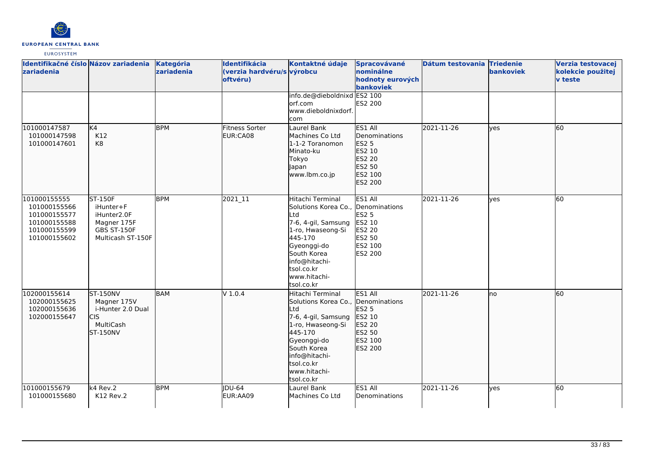

| Identifikačné číslo Názov zariadenia<br>zariadenia                                           |                                                                                               | <b>Kategória</b><br>zariadenia | <b>Identifikácia</b><br>(verzia hardvéru/s výrobcu<br>oftvéru) | Kontaktné údaje<br>info.de@dieboldnixd ES2 100                                                                                                                                                                  | Spracovávané<br>nominálne<br>hodnoty eurových<br>bankoviek                            | Dátum testovania Triedenie | bankoviek | Verzia testovacej<br>kolekcie použitej<br>v teste |
|----------------------------------------------------------------------------------------------|-----------------------------------------------------------------------------------------------|--------------------------------|----------------------------------------------------------------|-----------------------------------------------------------------------------------------------------------------------------------------------------------------------------------------------------------------|---------------------------------------------------------------------------------------|----------------------------|-----------|---------------------------------------------------|
|                                                                                              |                                                                                               |                                |                                                                | orf.com<br>www.dieboldnixdorf.<br>com                                                                                                                                                                           | ES2 200                                                                               |                            |           |                                                   |
| 101000147587<br>101000147598<br>101000147601                                                 | K4<br>K12<br>K8                                                                               | <b>BPM</b>                     | <b>Fitness Sorter</b><br>EUR:CA08                              | Laurel Bank<br>Machines Co Ltd<br>1-1-2 Toranomon<br>Minato-ku<br>Tokyo<br>Japan<br>www.lbm.co.jp                                                                                                               | ES1 All<br>Denominations<br>ES2 5<br>ES2 10<br>ES2 20<br>ES2 50<br>ES2 100<br>ES2 200 | 2021-11-26                 | lves      | 60                                                |
| 101000155555<br>101000155566<br>101000155577<br>101000155588<br>101000155599<br>101000155602 | <b>ST-150F</b><br>iHunter+F<br>iHunter2.0F<br>Magner 175F<br>GBS ST-150F<br>Multicash ST-150F | <b>BPM</b>                     | 2021_11                                                        | Hitachi Terminal<br>Solutions Korea Co., Denominations<br>Ltd<br>7-6, 4-gil, Samsung<br>1-ro, Hwaseong-Si<br>445-170<br>Gyeonggi-do<br>South Korea<br>info@hitachi-<br>tsol.co.kr<br>www.hitachi-<br>tsol.co.kr | ES1 All<br>ES2 5<br>ES2 10<br>ES2 20<br>ES2 50<br>ES2 100<br>ES2 200                  | 2021-11-26                 | yes       | 60                                                |
| 102000155614<br>102000155625<br>102000155636<br>102000155647                                 | <b>ST-150NV</b><br>Magner 175V<br>i-Hunter 2.0 Dual<br>CIS<br>MultiCash<br><b>ST-150NV</b>    | <b>BAM</b>                     | V 1.0.4                                                        | Hitachi Terminal<br>Solutions Korea Co., Denominations<br>Ltd<br>7-6, 4-gil, Samsung<br>1-ro, Hwaseong-Si<br>445-170<br>Gyeonggi-do<br>South Korea<br>info@hitachi-<br>tsol.co.kr<br>www.hitachi-<br>tsol.co.kr | ES1 All<br><b>ES2 5</b><br>ES2 10<br>ES2 20<br>ES2 50<br>ES2 100<br>ES2 200           | 2021-11-26                 | lno       | 60                                                |
| 101000155679<br>101000155680                                                                 | $k4$ Rev.2<br>K12 Rev.2                                                                       | <b>BPM</b>                     | IDU-64<br>EUR:AA09                                             | Laurel Bank<br>Machines Co Ltd                                                                                                                                                                                  | ES1 All<br>Denominations                                                              | 2021-11-26                 | ves       | 60                                                |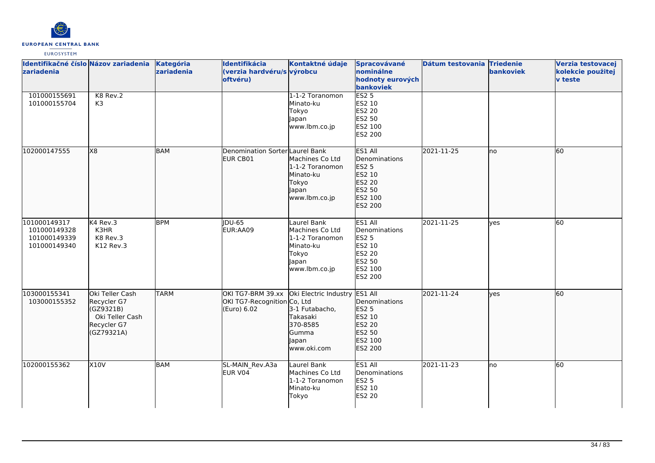

| Identifikačné číslo Názov zariadenia<br>zariadenia           |                                                                                             | Kategória<br>zariadenia | Identifikácia<br>(verzia hardvéru/s výrobcu<br>oftvéru)         | Kontaktné údaje                                                                                   | Spracovávané<br>nominálne<br>hodnoty eurových<br>bankoviek                                   | Dátum testovania Triedenie | bankoviek | Verzia testovacej<br>kolekcie použitej<br><b>v</b> teste |
|--------------------------------------------------------------|---------------------------------------------------------------------------------------------|-------------------------|-----------------------------------------------------------------|---------------------------------------------------------------------------------------------------|----------------------------------------------------------------------------------------------|----------------------------|-----------|----------------------------------------------------------|
| 101000155691<br>101000155704                                 | K8 Rev.2<br>K <sub>3</sub>                                                                  |                         |                                                                 | 1-1-2 Toranomon<br>Minato-ku<br>Tokyo<br>Japan<br>www.lbm.co.jp                                   | ES2 <sub>5</sub><br>ES2 10<br>ES2 20<br>ES2 50<br>ES2 100<br>ES2 200                         |                            |           |                                                          |
| 102000147555                                                 | X8                                                                                          | <b>BAM</b>              | Denomination Sorter Laurel Bank<br>EUR CB01                     | Machines Co Ltd<br>1-1-2 Toranomon<br>Minato-ku<br>Tokyo<br>Japan<br>www.lbm.co.jp                | ES1 All<br>Denominations<br><b>ES2 5</b><br>ES2 10<br>ES2 20<br>ES2 50<br>ES2 100<br>ES2 200 | 2021-11-25                 | Ino       | $\overline{60}$                                          |
| 101000149317<br>101000149328<br>101000149339<br>101000149340 | K4 Rev.3<br>K3HR<br>K8 Rev.3<br>K12 Rev.3                                                   | <b>BPM</b>              | <b>IDU-65</b><br>EUR:AA09                                       | Laurel Bank<br>Machines Co Ltd<br>1-1-2 Toranomon<br>Minato-ku<br>Tokyo<br>Japan<br>www.lbm.co.jp | ES1 All<br>Denominations<br><b>ES2 5</b><br>ES2 10<br>ES2 20<br>ES2 50<br>ES2 100<br>ES2 200 | 2021-11-25                 | ves       | 60                                                       |
| 103000155341<br>103000155352                                 | Oki Teller Cash<br>Recycler G7<br>(GZ9321B)<br>Oki Teller Cash<br>Recycler G7<br>(GZ79321A) | <b>TARM</b>             | OKI TG7-BRM 39.xx<br>OKI TG7-Recognition Co, Ltd<br>(Euro) 6.02 | Oki Electric Industry<br>3-1 Futabacho,<br>Takasaki<br>370-8585<br>Gumma<br>Japan<br>www.oki.com  | ES1 All<br>Denominations<br>ES2 5<br>ES2 10<br>ES2 20<br>ES2 50<br>ES2 100<br>ES2 200        | 2021-11-24                 | lyes      | 60                                                       |
| 102000155362                                                 | <b>X10V</b>                                                                                 | <b>BAM</b>              | SL-MAIN_Rev.A3a<br>EUR V04                                      | Laurel Bank<br>Machines Co Ltd<br>1-1-2 Toranomon<br>Minato-ku<br>Tokyo                           | ES1 All<br>Denominations<br><b>ES2 5</b><br>ES2 10<br><b>ES2 20</b>                          | 2021-11-23                 | lno       | 60                                                       |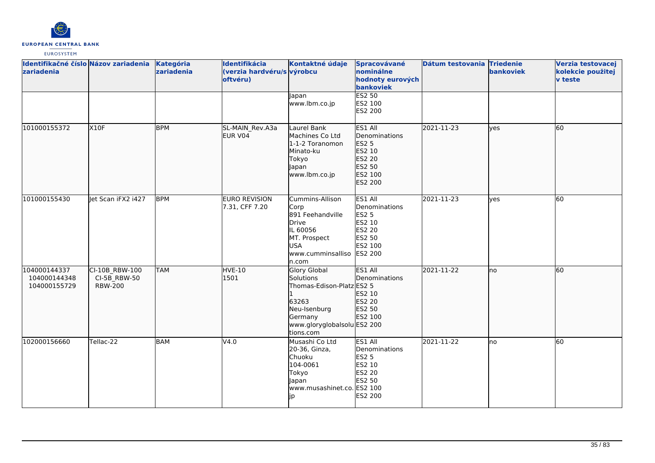

| Identifikačné číslo Názov zariadenia<br>zariadenia |                                                                | Kategória<br>zariadenia | Identifikácia<br>(verzia hardvéru/s výrobcu<br>oftvéru) | Kontaktné údaje                                                                                                                               | Spracovávané<br>nominálne<br>hodnoty eurových<br>bankoviek                                          | Dátum testovania Triedenie | bankoviek   | Verzia testovacej<br>kolekcie použitej<br><b>v</b> teste |
|----------------------------------------------------|----------------------------------------------------------------|-------------------------|---------------------------------------------------------|-----------------------------------------------------------------------------------------------------------------------------------------------|-----------------------------------------------------------------------------------------------------|----------------------------|-------------|----------------------------------------------------------|
|                                                    |                                                                |                         |                                                         | Japan<br>www.lbm.co.jp                                                                                                                        | <b>ES2 50</b><br>ES2 100<br>ES2 200                                                                 |                            |             |                                                          |
| 101000155372                                       | X10F                                                           | <b>BPM</b>              | SL-MAIN_Rev.A3a<br>EUR V04                              | Laurel Bank<br>Machines Co Ltd<br>1-1-2 Toranomon<br>Minato-ku<br>Tokyo<br>Japan<br>www.lbm.co.jp                                             | ES1 All<br>Denominations<br>ES2 5<br>ES2 10<br>ES2 20<br>ES2 50<br>ES2 100<br>ES2 200               | 2021-11-23                 | lves        | 60                                                       |
| 101000155430                                       | let Scan iFX2 i427                                             | <b>BPM</b>              | <b>EURO REVISION</b><br>7.31, CFF 7.20                  | Cummins-Allison<br>Corp<br>891 Feehandville<br>Drive<br>IL 60056<br>MT. Prospect<br><b>USA</b><br>www.cumminsalliso<br>n.com                  | ES1 All<br>Denominations<br><b>ES2 5</b><br>ES2 10<br>ES2 20<br>ES2 50<br>ES2 100<br><b>ES2 200</b> | 2021-11-23                 | <b>ves</b>  | 60                                                       |
| 104000144337<br>104000144348<br>104000155729       | CI-10B RBW-100<br>$CI-5B$ <sub>_RBW-50</sub><br><b>RBW-200</b> | <b>TAM</b>              | <b>HVE-10</b><br>1501                                   | <b>Glory Global</b><br>Solutions<br>Thomas-Edison-Platz ES2 5<br>63263<br>Neu-Isenburg<br>Germany<br>www.gloryglobalsolu ES2 200<br>tions.com | ES1 All<br>Denominations<br>lES2 10<br>ES2 20<br>ES2 50<br>ES2 100                                  | 2021-11-22                 | lno         | 60                                                       |
| 102000156660                                       | Tellac-22                                                      | BAM                     | V4.0                                                    | Musashi Co Ltd<br>20-36, Ginza,<br>Chuoku<br>104-0061<br>Tokyo<br>Japan<br>www.musashinet.co. ES2 100<br>Jp                                   | ES1 All<br>Denominations<br><b>ES2 5</b><br>ES2 10<br>ES2 20<br>ES2 50<br><b>ES2 200</b>            | 2021-11-22                 | <b>I</b> no | 60                                                       |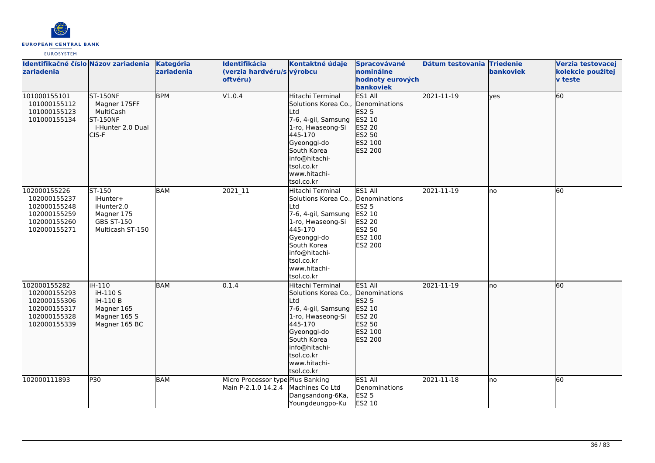

| Identifikačné číslo Názov zariadenia<br>zariadenia                                           |                                                                                                     | Kategória<br>zariadenia | Identifikácia<br>(verzia hardvéru/s výrobcu<br>oftvéru)  | Kontaktné údaje                                                                                                                                                                                                 | Spracovávané<br>nominálne<br>hodnoty eurových<br>bankoviek                         | Dátum testovania Triedenie | bankoviek   | Verzia testovacej<br>kolekcie použitej<br><b>v</b> teste |
|----------------------------------------------------------------------------------------------|-----------------------------------------------------------------------------------------------------|-------------------------|----------------------------------------------------------|-----------------------------------------------------------------------------------------------------------------------------------------------------------------------------------------------------------------|------------------------------------------------------------------------------------|----------------------------|-------------|----------------------------------------------------------|
| 101000155101<br>101000155112<br>101000155123<br>101000155134                                 | <b>ST-150NF</b><br>Magner 175FF<br>MultiCash<br><b>ST-150NF</b><br>i-Hunter 2.0 Dual<br>CIS-F       | <b>BPM</b>              | V1.0.4                                                   | Hitachi Terminal<br>Solutions Korea Co., Denominations<br>Ltd<br>7-6, 4-gil, Samsung<br>1-ro, Hwaseong-Si<br>445-170<br>Gyeonggi-do<br>South Korea<br>info@hitachi-<br>tsol.co.kr<br>www.hitachi-<br>tsol.co.kr | ES1 All<br><b>ES2 5</b><br>ES2 10<br>ES2 20<br>ES2 50<br>ES2 100<br>ES2 200        | 2021-11-19                 | <b>lves</b> | 60                                                       |
| 102000155226<br>102000155237<br>102000155248<br>102000155259<br>102000155260<br>102000155271 | ST-150<br>iHunter+<br>iHunter <sub>2.0</sub><br>Magner 175<br><b>GBS ST-150</b><br>Multicash ST-150 | <b>BAM</b>              | 2021_11                                                  | Hitachi Terminal<br>Solutions Korea Co., Denominations<br>Ltd<br>7-6, 4-gil, Samsung<br>1-ro, Hwaseong-Si<br>445-170<br>Gyeonggi-do<br>South Korea<br>info@hitachi-<br>tsol.co.kr<br>www.hitachi-<br>tsol.co.kr | ES1 All<br><b>ES2 5</b><br>ES2 10<br><b>ES2 20</b><br>ES2 50<br>ES2 100<br>ES2 200 | 2021-11-19                 | Ino         | <b>60</b>                                                |
| 102000155282<br>102000155293<br>102000155306<br>102000155317<br>102000155328<br>102000155339 | liH-110<br>iH-110 S<br>iH-110 B<br>Magner 165<br>Magner 165 S<br>Magner 165 BC                      | BAM                     | 0.1.4                                                    | Hitachi Terminal<br>Solutions Korea Co., Denominations<br>Ltd<br>7-6, 4-gil, Samsung<br>1-ro, Hwaseong-Si<br>445-170<br>Gyeonggi-do<br>South Korea<br>info@hitachi-<br>tsol.co.kr<br>www.hitachi-<br>tsol.co.kr | ES1 All<br>ES2 5<br>ES2 10<br>ES2 20<br>ES2 50<br>ES2 100<br>ES2 200               | 2021-11-19                 | lno         | 60                                                       |
| 102000111893                                                                                 | P30                                                                                                 | <b>BAM</b>              | Micro Processor type Plus Banking<br>Main P-2.1.0 14.2.4 | Machines Co Ltd<br>Dangsandong-6Ka,<br>Youngdeungpo-Ku                                                                                                                                                          | ES1 All<br>Denominations<br><b>ES2 5</b><br>ES2 10                                 | 2021-11-18                 | lno         | 60                                                       |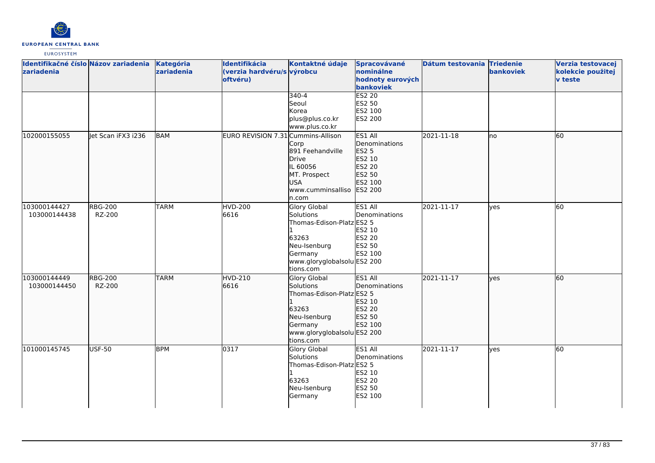

| Identifikačné číslo Názov zariadenia<br>zariadenia |                          | Kategória<br>zariadenia | Identifikácia<br>(verzia hardvéru/s výrobcu<br>oftvéru) | Kontaktné údaje<br>$340 - 4$                                                                                                           | Spracovávané<br>nominálne<br>hodnoty eurových<br>bankoviek<br>ES2 20                         | Dátum testovania Triedenie | bankoviek | Verzia testovacej<br>kolekcie použitej<br>v teste |
|----------------------------------------------------|--------------------------|-------------------------|---------------------------------------------------------|----------------------------------------------------------------------------------------------------------------------------------------|----------------------------------------------------------------------------------------------|----------------------------|-----------|---------------------------------------------------|
|                                                    |                          |                         |                                                         | Seoul<br>Korea<br>plus@plus.co.kr<br>www.plus.co.kr                                                                                    | ES2 50<br>ES2 100<br><b>ES2 200</b>                                                          |                            |           |                                                   |
| 102000155055                                       | let Scan iFX3 i236       | <b>BAM</b>              | EURO REVISION 7.31 Cummins-Allison                      | Corp<br>891 Feehandville<br>Drive<br>IL 60056<br>MT. Prospect<br><b>USA</b><br>www.cumminsalliso<br>n.com                              | ES1 All<br>Denominations<br><b>ES2 5</b><br>ES2 10<br>ES2 20<br>ES2 50<br>ES2 100<br>ES2 200 | 2021-11-18                 | no        | 60                                                |
| 103000144427<br>103000144438                       | <b>RBG-200</b><br>RZ-200 | <b>TARM</b>             | <b>HVD-200</b><br>6616                                  | Glory Global<br>Solutions<br>Thomas-Edison-Platz ES2 5<br>63263<br>Neu-Isenburg<br>Germany<br>www.gloryglobalsolu ES2 200<br>tions.com | ES1 All<br>Denominations<br>ES2 10<br><b>ES2 20</b><br>ES2 50<br>ES2 100                     | 2021-11-17                 | yes       | 60                                                |
| 103000144449<br>103000144450                       | <b>RBG-200</b><br>RZ-200 | <b>TARM</b>             | <b>HVD-210</b><br>6616                                  | Glory Global<br>Solutions<br>Thomas-Edison-Platz ES2 5<br>63263<br>Neu-Isenburg<br>Germany<br>www.gloryglobalsolu ES2 200<br>tions.com | ES1 All<br>Denominations<br>ES2 10<br>ES2 20<br>ES2 50<br>ES2 100                            | 2021-11-17                 | lves      | 60                                                |
| 101000145745                                       | USF-50                   | <b>BPM</b>              | 0317                                                    | Glory Global<br>Solutions<br>Thomas-Edison-Platz ES2 5<br>63263<br>Neu-Isenburg<br>Germany                                             | ES1 All<br>Denominations<br>ES2 10<br>ES2 20<br>ES2 50<br>ES2 100                            | 2021-11-17                 | ves       | 60                                                |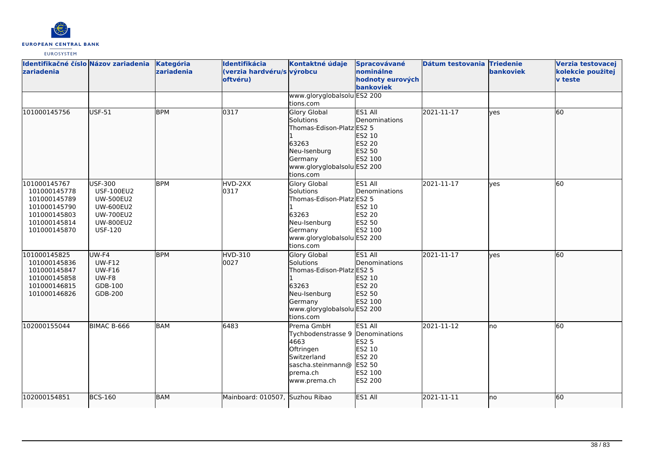

| Identifikačné číslo Názov zariadenia<br><b>zariadenia</b>                                                    |                                                                                                                                       | Kategória<br>zariadenia | Identifikácia<br>(verzia hardvéru/s výrobcu<br>oftvéru) | Kontaktné údaje<br>www.gloryglobalsolu ES2 200                                                                                                | Spracovávané<br>nominálne<br>hodnoty eurových<br>bankoviek                                          | Dátum testovania Triedenie | <b>bankoviek</b> | Verzia testovacej<br>kolekcie použitej<br><b>v</b> teste |
|--------------------------------------------------------------------------------------------------------------|---------------------------------------------------------------------------------------------------------------------------------------|-------------------------|---------------------------------------------------------|-----------------------------------------------------------------------------------------------------------------------------------------------|-----------------------------------------------------------------------------------------------------|----------------------------|------------------|----------------------------------------------------------|
|                                                                                                              |                                                                                                                                       |                         |                                                         | tions.com                                                                                                                                     |                                                                                                     |                            |                  |                                                          |
| 101000145756                                                                                                 | USF-51                                                                                                                                | <b>BPM</b>              | 0317                                                    | Glory Global<br>Solutions<br>Thomas-Edison-Platz ES2 5<br>63263<br>Neu-Isenburg<br>Germany<br>www.gloryglobalsolu ES2 200<br>tions.com        | ES1 All<br>Denominations<br>ES2 10<br>ES2 20<br>ES2 50<br>ES2 100                                   | 2021-11-17                 | ves              | 60                                                       |
| 101000145767<br>101000145778<br>101000145789<br>101000145790<br>101000145803<br>101000145814<br>101000145870 | <b>USF-300</b><br><b>USF-100EU2</b><br><b>UW-500EU2</b><br><b>UW-600EU2</b><br><b>UW-700EU2</b><br><b>UW-800EU2</b><br><b>USF-120</b> | <b>BPM</b>              | HVD-2XX<br>0317                                         | <b>Glory Global</b><br>Solutions<br>Thomas-Edison-Platz ES2 5<br>63263<br>Neu-Isenburg<br>Germany<br>www.gloryglobalsolu ES2 200<br>tions.com | ES1 All<br>Denominations<br>ES2 10<br>ES2 20<br>ES2 50<br>ES2 100                                   | 2021-11-17                 | ves              | 60                                                       |
| 101000145825<br>101000145836<br>101000145847<br>101000145858<br>101000146815<br>101000146826                 | UW-F4<br><b>UW-F12</b><br><b>UW-F16</b><br>UW-F8<br>GDB-100<br>GDB-200                                                                | <b>BPM</b>              | <b>HVD-310</b><br>0027                                  | Glory Global<br>Solutions<br>Thomas-Edison-Platz ES2 5<br>63263<br>Neu-Isenburg<br>Germany<br>www.gloryglobalsolu ES2 200<br>tions.com        | ES1 All<br>Denominations<br>ES2 10<br>ES2 20<br>ES2 50<br>ES2 100                                   | 2021-11-17                 | ves              | 60                                                       |
| 102000155044                                                                                                 | BIMAC B-666                                                                                                                           | <b>BAM</b>              | 6483                                                    | Prema GmbH<br>Tychbodenstrasse 9<br>4663<br>Oftringen<br>Switzerland<br>sascha.steinmann@<br>prema.ch<br>www.prema.ch                         | ES1 All<br>Denominations<br><b>ES2 5</b><br>ES2 10<br>ES2 20<br>ES2 50<br>ES2 100<br><b>ES2 200</b> | 2021-11-12                 | lno              | 60                                                       |
| 102000154851                                                                                                 | <b>BCS-160</b>                                                                                                                        | <b>BAM</b>              | Mainboard: 010507,                                      | Suzhou Ribao                                                                                                                                  | ES1 All                                                                                             | 2021-11-11                 | lno              | 60                                                       |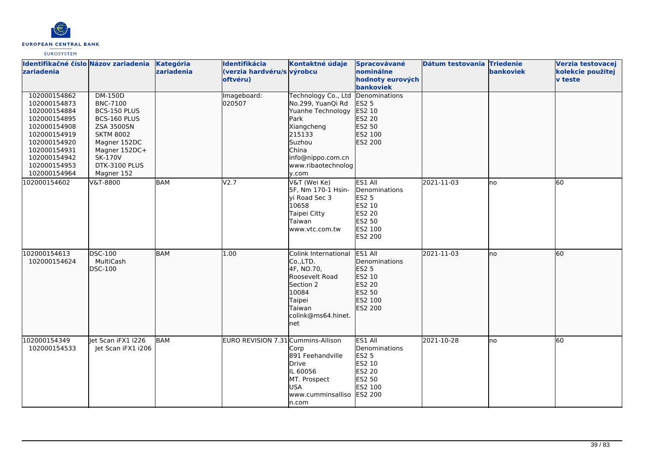

| Identifikačné číslo Názov zariadenia<br>zariadenia                                                                                                                           |                                                                                                                                                                                              | <b>Kategória</b><br>zariadenia | Identifikácia<br>(verzia hardvéru/s výrobcu<br>oftvéru) | Kontaktné údaje                                                                                                                                                      | Spracovávané<br>nominálne<br>hodnoty eurových<br>bankoviek                                                 | Dátum testovania Triedenie | bankoviek | Verzia testovacej<br>kolekcie použitej<br><b>v</b> teste |
|------------------------------------------------------------------------------------------------------------------------------------------------------------------------------|----------------------------------------------------------------------------------------------------------------------------------------------------------------------------------------------|--------------------------------|---------------------------------------------------------|----------------------------------------------------------------------------------------------------------------------------------------------------------------------|------------------------------------------------------------------------------------------------------------|----------------------------|-----------|----------------------------------------------------------|
| 102000154862<br>102000154873<br>102000154884<br>102000154895<br>102000154908<br>102000154919<br>102000154920<br>102000154931<br>102000154942<br>102000154953<br>102000154964 | <b>DM-150D</b><br><b>BNC-7100</b><br>BCS-150 PLUS<br>BCS-160 PLUS<br><b>ZSA 3500SN</b><br><b>SKTM 8002</b><br>Magner 152DC<br>Magner 152DC+<br><b>SK-170V</b><br>DTK-3100 PLUS<br>Magner 152 |                                | Imageboard:<br>020507                                   | Technology Co., Ltd<br>No.299, YuanQi Rd<br>Yuanhe Technology<br>Park<br>Xiangcheng<br>215133<br>Suzhou<br>China<br>info@nippo.com.cn<br>www.ribaotechnolog<br>y.com | Denominations<br>ES2 5<br>ES2 10<br><b>ES2 20</b><br>ES2 50<br>ES2 100<br>ES2 200                          |                            |           |                                                          |
| 102000154602                                                                                                                                                                 | V&T-8800                                                                                                                                                                                     | BAM                            | V <sub>2.7</sub>                                        | V&T (Wei Ke)<br>5F, Nm 170-1 Hsin-<br>yi Road Sec 3<br>10658<br>Taipei Citty<br><b>Taiwan</b><br>www.vtc.com.tw                                                      | ES1 All<br>Denominations<br><b>ES2 5</b><br>ES2 10<br><b>ES2 20</b><br>ES2 50<br>ES2 100<br><b>ES2 200</b> | 2021-11-03                 | lno       | 60                                                       |
| 102000154613<br>102000154624                                                                                                                                                 | DSC-100<br>MultiCash<br>DSC-100                                                                                                                                                              | <b>BAM</b>                     | 1.00                                                    | Colink International<br>Co.,LTD.<br>4F, NO.70,<br>Roosevelt Road<br>Section 2<br>10084<br>Taipei<br>Taiwan<br>colink@ms64.hinet.<br>net                              | ES1 All<br>Denominations<br>ES2 5<br>ES2 10<br>ES2 20<br>ES2 50<br>ES2 100<br>ES2 200                      | 2021-11-03                 | Ino       | 60                                                       |
| 102000154349<br>102000154533                                                                                                                                                 | let Scan iFX1 i226<br>Jet Scan iFX1 i206                                                                                                                                                     | <b>BAM</b>                     | EURO REVISION 7.31 Cummins-Allison                      | Corp<br>891 Feehandville<br>Drive<br>IL 60056<br>MT. Prospect<br><b>USA</b><br>www.cumminsalliso<br>n.com                                                            | ES1 All<br>Denominations<br><b>ES2 5</b><br>ES2 10<br><b>ES2 20</b><br>ES2 50<br>ES2 100<br><b>ES2 200</b> | 2021-10-28                 | lno       | 60                                                       |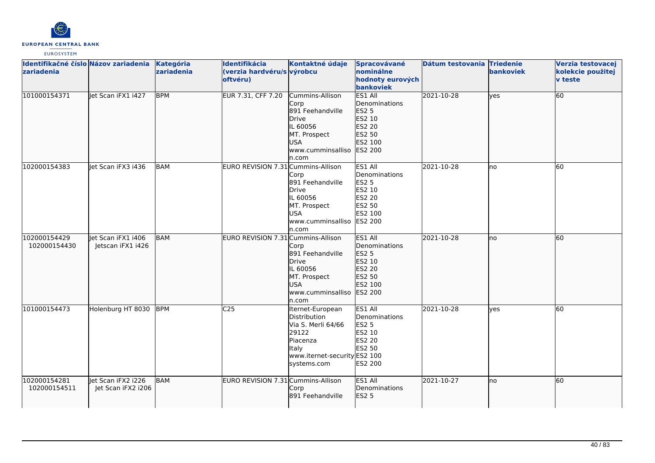

| Identifikačné číslo Názov zariadenia<br>zariadenia |                                          | Kategória<br>zariadenia | Identifikácia<br>(verzia hardvéru/s výrobcu<br>oftvéru) | Kontaktné údaje                                                                                                                            | Spracovávané<br>nominálne<br>hodnoty eurových<br>bankoviek                                          | Dátum testovania Triedenie | <b>bankoviek</b> | Verzia testovacej<br>kolekcie použitej<br><b>v</b> teste |
|----------------------------------------------------|------------------------------------------|-------------------------|---------------------------------------------------------|--------------------------------------------------------------------------------------------------------------------------------------------|-----------------------------------------------------------------------------------------------------|----------------------------|------------------|----------------------------------------------------------|
| 101000154371                                       | let Scan iFX1 i427                       | <b>BPM</b>              | EUR 7.31, CFF 7.20                                      | Cummins-Allison<br>Corp<br>891 Feehandville<br>Drive<br>IL 60056<br>MT. Prospect<br><b>USA</b><br>www.cumminsalliso<br>n.com               | ES1 All<br>Denominations<br>ES2 5<br>ES2 10<br>ES2 20<br>ES2 50<br>ES2 100<br><b>ES2 200</b>        | 2021-10-28                 | ves              | 60                                                       |
| 102000154383                                       | Jet Scan iFX3 i436                       | <b>BAM</b>              | EURO REVISION 7.31 Cummins-Allison                      | Corp<br>891 Feehandville<br><b>Drive</b><br>IL 60056<br>MT. Prospect<br>USA<br>www.cumminsalliso<br>n.com                                  | ES1 All<br>Denominations<br><b>ES2 5</b><br>ES2 10<br>ES2 20<br>ES2 50<br>ES2 100<br><b>ES2 200</b> | 2021-10-28                 | lno              | 60                                                       |
| 102000154429<br>102000154430                       | let Scan iFX1 i406<br>Jetscan iFX1 i426  | BAM                     | EURO REVISION 7.31 Cummins-Allison                      | Corp<br>891 Feehandville<br>Drive<br>IL 60056<br>MT. Prospect<br><b>USA</b><br>www.cumminsalliso<br>n.com                                  | ES1 All<br>Denominations<br>ES2 5<br>ES2 10<br>ES2 20<br>ES2 50<br>ES2 100<br>ES2 200               | 2021-10-28                 | lno              | 60                                                       |
| 101000154473                                       | Holenburg HT 8030                        | <b>BPM</b>              | C <sub>25</sub>                                         | Iternet-European<br>Distribution<br>Via S. Merli 64/66<br>29122<br><b>Piacenza</b><br>Italy<br>www.iternet-security ES2 100<br>systems.com | ES1 All<br>Denominations<br><b>ES2 5</b><br>ES2 10<br><b>ES2 20</b><br>ES2 50<br>ES2 200            | 2021-10-28                 | ves              | 60                                                       |
| 102000154281<br>102000154511                       | let Scan iFX2 i226<br>Jet Scan iFX2 i206 | <b>BAM</b>              | EURO REVISION 7.31 Cummins-Allison                      | Corp<br>891 Feehandville                                                                                                                   | ES1 All<br>Denominations<br><b>ES2 5</b>                                                            | 2021-10-27                 | lno              | 60                                                       |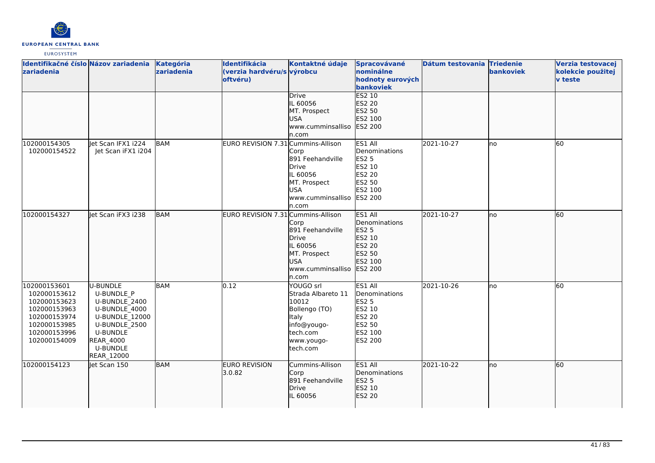

| Identifikačné číslo Názov zariadenia<br>zariadenia                                                                           |                                                                                                                                                                     | Kategória<br>zariadenia | Identifikácia<br>(verzia hardvéru/s výrobcu<br>oftvéru) | Kontaktné údaje<br>Drive                                                                                                       | Spracovávané<br>nominálne<br>hodnoty eurových<br>bankoviek<br>ES2 10                                | Dátum testovania Triedenie | bankoviek | Verzia testovacej<br>kolekcie použitej<br><b>v</b> teste |
|------------------------------------------------------------------------------------------------------------------------------|---------------------------------------------------------------------------------------------------------------------------------------------------------------------|-------------------------|---------------------------------------------------------|--------------------------------------------------------------------------------------------------------------------------------|-----------------------------------------------------------------------------------------------------|----------------------------|-----------|----------------------------------------------------------|
|                                                                                                                              |                                                                                                                                                                     |                         |                                                         | IL 60056<br>MT. Prospect<br><b>USA</b><br>www.cumminsalliso<br>n.com                                                           | ES2 20<br>ES2 50<br>ES2 100<br>ES2 200                                                              |                            |           |                                                          |
| 102000154305<br>102000154522                                                                                                 | let Scan IFX1 i224<br>Jet Scan iFX1 i204                                                                                                                            | <b>BAM</b>              | EURO REVISION 7.31 Cummins-Allison                      | Corp<br>891 Feehandville<br>Drive<br>IL 60056<br>MT. Prospect<br>lusa.<br>www.cumminsalliso<br>n.com                           | ES1 All<br>Denominations<br>ES2 5<br>ES2 10<br>ES2 20<br>ES2 50<br>ES2 100<br><b>ES2 200</b>        | 2021-10-27                 | lno       | 60                                                       |
| 102000154327                                                                                                                 | et Scan iFX3 i238                                                                                                                                                   | <b>BAM</b>              | EURO REVISION 7.31 Cummins-Allison                      | Corp<br>891 Feehandville<br>Drive<br>IL 60056<br>MT. Prospect<br><b>USA</b><br>www.cumminsalliso<br>n.com                      | ES1 All<br>Denominations<br>ES2 5<br>ES2 10<br>ES2 20<br>ES2 50<br>ES2 100<br>ES2 200               | 2021-10-27                 | lno       | 60                                                       |
| 102000153601<br>102000153612<br>102000153623<br>102000153963<br>102000153974<br>102000153985<br>102000153996<br>102000154009 | U-BUNDLE<br>U-BUNDLE P<br>U-BUNDLE 2400<br>U-BUNDLE 4000<br>U-BUNDLE 12000<br>U-BUNDLE_2500<br><b>U-BUNDLE</b><br><b>REAR_4000</b><br><b>U-BUNDLE</b><br>REAR_12000 | <b>BAM</b>              | 0.12                                                    | YOUGO srl<br><b>Strada Albareto 11</b><br>10012<br>Bollengo (TO)<br>Italy<br>info@yougo-<br>tech.com<br>www.yougo-<br>tech.com | ES1 All<br>Denominations<br><b>ES2 5</b><br>ES2 10<br>ES2 20<br>ES2 50<br>ES2 100<br><b>ES2 200</b> | 2021-10-26                 | lno       | 60                                                       |
| 102000154123                                                                                                                 | Jet Scan 150                                                                                                                                                        | <b>BAM</b>              | <b>EURO REVISION</b><br>3.0.82                          | Cummins-Allison<br>Corp<br>891 Feehandville<br>Drive<br>IL 60056                                                               | ES1 All<br>Denominations<br>ES2 5<br>ES2 10<br>ES2 20                                               | 2021-10-22                 | lno       | 60                                                       |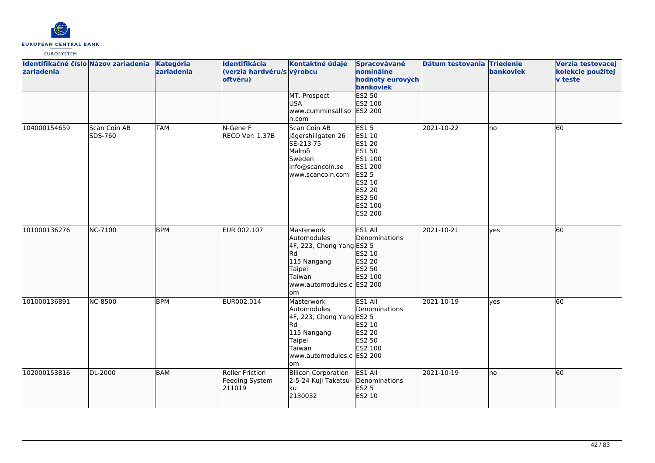

| zariadenia   | Identifikačné číslo Názov zariadenia | Kategória<br>zariadenia | Identifikácia<br>(verzia hardvéru/s výrobcu<br>oftvéru) | Kontaktné údaje                                                                                                                                   | Spracovávané<br>nominálne<br>hodnoty eurových<br>bankoviek                                                                          | Dátum testovania Triedenie | bankoviek | Verzia testovacej<br>kolekcie použitej<br><b>v</b> teste |
|--------------|--------------------------------------|-------------------------|---------------------------------------------------------|---------------------------------------------------------------------------------------------------------------------------------------------------|-------------------------------------------------------------------------------------------------------------------------------------|----------------------------|-----------|----------------------------------------------------------|
|              |                                      |                         |                                                         | MT. Prospect<br><b>USA</b><br>www.cumminsalliso<br>n.com                                                                                          | ES2 50<br>ES2 100<br>ES2 200                                                                                                        |                            |           |                                                          |
| 104000154659 | Scan Coin AB<br>SDS-760              | <b>TAM</b>              | N-Gene F<br><b>RECO Ver: 1.37B</b>                      | Scan Coin AB<br>Jägershillgaten 26<br>SE-213 75<br>Malmö<br>Sweden<br>info@scancoin.se<br>www.scancoin.com                                        | <b>ES15</b><br>ES1 10<br>ES1 20<br>ES1 50<br>ES1 100<br>ES1 200<br><b>ES2 5</b><br>ES2 10<br>ES2 20<br>ES2 50<br>ES2 100<br>ES2 200 | 2021-10-22                 | lno       | 60                                                       |
| 101000136276 | NC-7100                              | <b>BPM</b>              | EUR 002.107                                             | Masterwork<br>Automodules<br>4F, 223, Chong Yang ES2 5<br><b>I</b> Rd<br>115 Nangang<br>Taipei<br>Taiwan<br>www.automodules.c ES2 200<br>lom      | ES1 All<br>Denominations<br>ES2 10<br>ES2 20<br>ES2 50<br>ES2 100                                                                   | 2021-10-21                 | yes       | 60                                                       |
| 101000136891 | <b>NC-8500</b>                       | <b>BPM</b>              | EUR002.014                                              | <b>Masterwork</b><br>Automodules<br>4F, 223, Chong Yang ES2 5<br><b>Rd</b><br>115 Nangang<br>Taipei<br>Taiwan<br>www.automodules.c ES2 200<br>lom | ES1 All<br>Denominations<br>ES2 10<br>ES2 20<br>ES2 50<br>ES2 100                                                                   | 2021-10-19                 | ves       | 60                                                       |
| 102000153816 | DL-2000                              | <b>BAM</b>              | Roller Friction<br>Feeding System<br>211019             | <b>Billcon Corporation</b><br>2-5-24 Kuji Takatsu-<br>ku<br>2130032                                                                               | ES1 All<br>Denominations<br><b>ES2 5</b><br>ES2 10                                                                                  | 2021-10-19                 | no        | 60                                                       |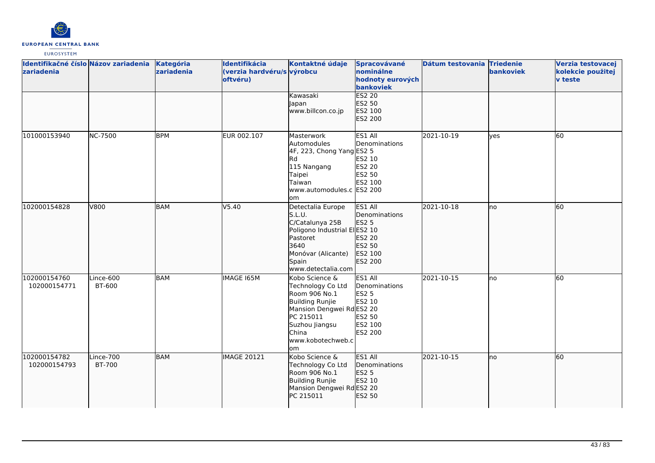

| Identifikačné číslo Názov zariadenia<br>zariadenia |                     | Kategória<br>zariadenia | Identifikácia<br>(verzia hardvéru/s výrobcu<br>oftvéru) | Kontaktné údaje                                                                                                                                                         | Spracovávané<br>nominálne<br>hodnoty eurových<br>bankoviek                                | Dátum testovania Triedenie | bankoviek    | Verzia testovacej<br>kolekcie použitej<br><b>v</b> teste |
|----------------------------------------------------|---------------------|-------------------------|---------------------------------------------------------|-------------------------------------------------------------------------------------------------------------------------------------------------------------------------|-------------------------------------------------------------------------------------------|----------------------------|--------------|----------------------------------------------------------|
|                                                    |                     |                         |                                                         | Kawasaki<br>Japan<br>www.billcon.co.jp                                                                                                                                  | <b>ES2 20</b><br>ES2 50<br>ES2 100<br>ES2 200                                             |                            |              |                                                          |
| 101000153940                                       | <b>NC-7500</b>      | <b>BPM</b>              | EUR 002.107                                             | <b>Masterwork</b><br>Automodules<br>4F, 223, Chong Yang ES2 5<br><b>I</b> Rd<br>115 Nangang<br>Taipei<br>Taiwan<br>www.automodules.c ES2 200<br>om                      | ES1 All<br>Denominations<br>ES2 10<br><b>ES2 20</b><br>ES2 50<br>ES2 100                  | 2021-10-19                 | <b>l</b> ves | 60                                                       |
| 102000154828                                       | V800                | BAM                     | V5.40                                                   | Detectalia Europe<br>S.L.U.<br>C/Catalunya 25B<br>Poligono Industrial ElES2 10<br>Pastoret<br>3640<br>Monóvar (Alicante)<br>Spain<br>www.detectalia.com                 | ES1 All<br>Denominations<br><b>ES2 5</b><br>ES2 20<br>ES2 50<br>ES2 100<br>ES2 200        | 2021-10-18                 | no           | 60                                                       |
| 102000154760<br>102000154771                       | Lince-600<br>BT-600 | <b>BAM</b>              | <b>IMAGE 165M</b>                                       | Kobo Science &<br>Technology Co Ltd<br>Room 906 No.1<br>Building Runjie<br>Mansion Dengwei RdES2 20<br>PC 215011<br>Suzhou Jiangsu<br>China<br>www.kobotechweb.c<br>lom | ES1 All<br>Denominations<br><b>ES2 5</b><br>ES2 10<br>ES2 50<br>ES2 100<br><b>ES2 200</b> | 2021-10-15                 | no           | 60                                                       |
| 102000154782<br>102000154793                       | Lince-700<br>BT-700 | <b>BAM</b>              | <b>IMAGE 20121</b>                                      | Kobo Science &<br>Technology Co Ltd<br>Room 906 No.1<br><b>Building Runjie</b><br>Mansion Dengwei RdES2 20<br>PC 215011                                                 | ES1 All<br>Denominations<br>ES2 5<br>ES2 10<br>ES2 50                                     | 2021-10-15                 | no           | 60                                                       |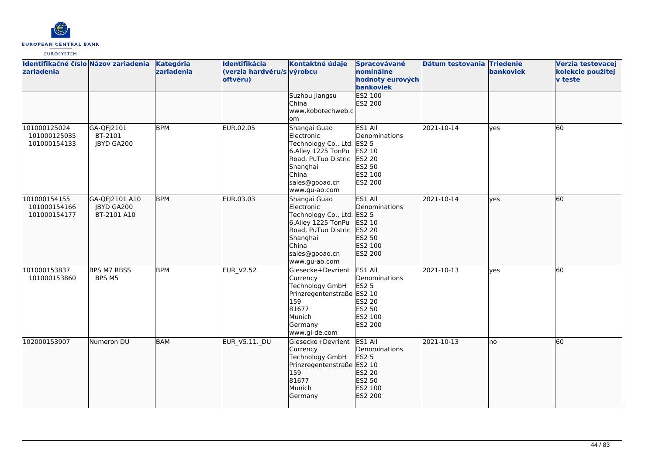

| zariadenia                                   | Identifikačné číslo Názov zariadenia        | Kategória<br>zariadenia | Identifikácia<br>(verzia hardvéru/s výrobcu<br>oftvéru) | Kontaktné údaje                                                                                                                                                | Spracovávané<br>nominálne<br>hodnoty eurových<br>bankoviek                                          | Dátum testovania Triedenie | bankoviek    | Verzia testovacej<br>kolekcie použitej<br><b>v</b> teste |
|----------------------------------------------|---------------------------------------------|-------------------------|---------------------------------------------------------|----------------------------------------------------------------------------------------------------------------------------------------------------------------|-----------------------------------------------------------------------------------------------------|----------------------------|--------------|----------------------------------------------------------|
|                                              |                                             |                         |                                                         | Suzhou Jiangsu<br><b>China</b><br>www.kobotechweb.c<br>om                                                                                                      | ES2 100<br>ES2 200                                                                                  |                            |              |                                                          |
| 101000125024<br>101000125035<br>101000154133 | GA-QFJ2101<br>BT-2101<br>JBYD GA200         | <b>BPM</b>              | EUR.02.05                                               | Shangai Guao<br>Electronic<br>Technology Co., Ltd.<br>6, Alley 1225 TonPu<br>Road, PuTuo Distric<br>Shanghai<br>China<br>sales@gooao.cn<br>www.gu-ao.com       | ES1 All<br>Denominations<br><b>ES2 5</b><br>ES2 10<br><b>ES2 20</b><br>ES2 50<br>ES2 100<br>ES2 200 | 2021-10-14                 | lyes         | 60                                                       |
| 101000154155<br>101000154166<br>101000154177 | GA-QFJ2101 A10<br>JBYD GA200<br>BT-2101 A10 | <b>BPM</b>              | EUR.03.03                                               | Shangai Guao<br>Electronic<br>Technology Co., Ltd. ES2 5<br>6, Alley 1225 TonPu<br>Road, PuTuo Distric<br>Shanghai<br>China<br>sales@gooao.cn<br>www.gu-ao.com | ES1 All<br>Denominations<br>ES2 10<br>ES2 20<br>ES2 50<br>ES2 100<br>ES2 200                        | 2021-10-14                 | lyes         | 60                                                       |
| 101000153837<br>101000153860                 | <b>BPS M7 RBSS</b><br>BPS M5                | <b>BPM</b>              | <b>EUR_V2.52</b>                                        | Giesecke+Devrient<br>Currency<br>Technology GmbH<br>Prinzregentenstraße ES2 10<br>159<br>81677<br>Munich<br>Germany<br>www.gi-de.com                           | ES1 All<br>Denominations<br><b>ES2 5</b><br>ES2 20<br>ES2 50<br>ES2 100<br>ES2 200                  | 2021-10-13                 | <b>l</b> ves | 60                                                       |
| 102000153907                                 | Numeron DU                                  | <b>BAM</b>              | EUR_V5.11._DU                                           | Giesecke+Devrient<br>Currency<br>Technology GmbH<br>Prinzregentenstraße ES2 10<br>159<br>81677<br>Munich<br>Germany                                            | ES1 All<br><b>IDenominations</b><br>ES2 5<br>ES2 20<br>ES2 50<br>ES2 100<br>ES2 200                 | 2021-10-13                 | lno          | 60                                                       |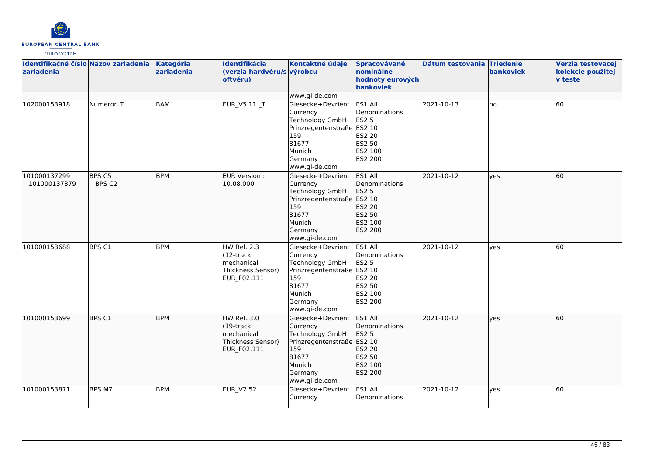

| Identifikačné číslo Názov zariadenia<br>zariadenia |                             | Kategória<br>zariadenia | Identifikácia<br>(verzia hardvéru/s výrobcu<br>oftvéru)                        | Kontaktné údaje                                                                                                                             | Spracovávané<br>nominálne<br>hodnoty eurových<br>bankoviek                         | Dátum testovania Triedenie | <b>bankoviek</b> | Verzia testovacej<br>kolekcie použitej<br><b>v</b> teste |
|----------------------------------------------------|-----------------------------|-------------------------|--------------------------------------------------------------------------------|---------------------------------------------------------------------------------------------------------------------------------------------|------------------------------------------------------------------------------------|----------------------------|------------------|----------------------------------------------------------|
|                                                    |                             |                         |                                                                                | www.gi-de.com                                                                                                                               |                                                                                    |                            |                  |                                                          |
| 102000153918                                       | Numeron T                   | <b>BAM</b>              | <b>EUR V5.11. T</b>                                                            | Giesecke+Devrient<br>Currency<br><b>Technology GmbH</b><br>Prinzregentenstraße ES2 10<br>159<br>81677<br>Munich<br>Germany<br>www.gi-de.com | ES1 All<br>Denominations<br><b>ES2 5</b><br>ES2 20<br>ES2 50<br>ES2 100<br>ES2 200 | 2021-10-13                 | Ino              | 60                                                       |
| 101000137299<br>101000137379                       | BPS <sub>C5</sub><br>BPS C2 | <b>BPM</b>              | EUR Version :<br>10.08.000                                                     | Giesecke+Devrient<br>Currency<br>Technology GmbH<br>Prinzregentenstraße ES2 10<br>159<br>81677<br>Munich<br>Germany<br>www.gi-de.com        | ES1 All<br>Denominations<br>ES2 5<br>ES2 20<br>ES2 50<br>ES2 100<br>ES2 200        | 2021-10-12                 | ves              | 60                                                       |
| 101000153688                                       | BPS C1                      | <b>BPM</b>              | HW Rel. 2.3<br>$(12 -$ track<br>mechanical<br>Thickness Sensor)<br>EUR_F02.111 | Giesecke+Devrient<br>Currency<br><b>Technology GmbH</b><br>Prinzregentenstraße ES2 10<br>159<br>81677<br>Munich<br>Germany<br>www.gi-de.com | ES1 All<br>Denominations<br><b>ES2 5</b><br>ES2 20<br>ES2 50<br>ES2 100<br>ES2 200 | 2021-10-12                 | ves              | 60                                                       |
| 101000153699                                       | BPS C1                      | <b>BPM</b>              | HW Rel. 3.0<br>(19-track<br>mechanical<br>Thickness Sensor)<br>EUR_F02.111     | Giesecke+Devrient<br>Currency<br><b>Technology GmbH</b><br>Prinzregentenstraße ES2 10<br>159<br>81677<br>Munich<br>Germany<br>www.gi-de.com | ES1 All<br>Denominations<br><b>ES2 5</b><br>ES2 20<br>ES2 50<br>ES2 100<br>ES2 200 | 2021-10-12                 | yes              | 60                                                       |
| 101000153871                                       | BPS M7                      | <b>BPM</b>              | <b>EUR_V2.52</b>                                                               | Giesecke+Devrient<br>Currency                                                                                                               | ES1 All<br>Denominations                                                           | 2021-10-12                 | ves              | 60                                                       |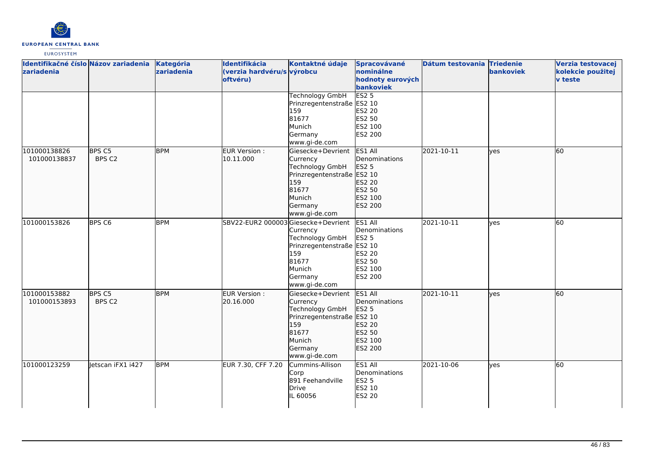

| Identifikačné číslo Názov zariadenia<br>zariadenia |                             | Kategória<br>zariadenia | Identifikácia<br>(verzia hardvéru/s výrobcu<br>oftvéru) | Kontaktné údaje                                                                                                                      | Spracovávané<br>nominálne<br>hodnoty eurových<br>bankoviek                                | Dátum testovania Triedenie | bankoviek | Verzia testovacej<br>kolekcie použitej<br><b>v</b> teste |
|----------------------------------------------------|-----------------------------|-------------------------|---------------------------------------------------------|--------------------------------------------------------------------------------------------------------------------------------------|-------------------------------------------------------------------------------------------|----------------------------|-----------|----------------------------------------------------------|
|                                                    |                             |                         |                                                         | <b>Technology GmbH</b><br>Prinzregentenstraße ES2 10<br>159<br>81677<br>Munich<br>Germany<br>www.gi-de.com                           | ES2 <sub>5</sub><br><b>ES2 20</b><br>ES2 50<br>ES2 100<br>ES2 200                         |                            |           |                                                          |
| 101000138826<br>101000138837                       | BPS <sub>C5</sub><br>BPS C2 | <b>BPM</b>              | EUR Version:<br>10.11.000                               | Giesecke+Devrient<br>Currency<br>Technology GmbH<br>Prinzregentenstraße ES2 10<br>159<br>81677<br>Munich<br>Germany<br>www.gi-de.com | ES1 All<br>Denominations<br>ES2 5<br>ES2 20<br>ES2 50<br>ES2 100<br>ES2 200               | 2021-10-11                 | lves      | 60                                                       |
| 101000153826                                       | <b>BPS C6</b>               | <b>BPM</b>              | SBV22-EUR2 000003 Giesecke+Devrient                     | Currency<br>Technology GmbH<br>Prinzregentenstraße ES2 10<br>159<br>81677<br>Munich<br>Germany<br>www.gi-de.com                      | ES1 All<br>Denominations<br><b>ES2 5</b><br><b>ES2 20</b><br>ES2 50<br>ES2 100<br>ES2 200 | 2021-10-11                 | ves       | 60                                                       |
| 101000153882<br>101000153893                       | BPS C5<br>BPS C2            | <b>BPM</b>              | EUR Version :<br>20.16.000                              | Giesecke+Devrient<br>Currency<br>Technology GmbH<br>Prinzregentenstraße ES2 10<br>159<br>81677<br>Munich<br>Germany<br>www.gi-de.com | ES1 All<br>Denominations<br><b>ES2 5</b><br>ES2 20<br>ES2 50<br>ES2 100<br>ES2 200        | 2021-10-11                 | lves      | 60                                                       |
| 101000123259                                       | Jetscan iFX1 i427           | <b>BPM</b>              | EUR 7.30, CFF 7.20                                      | Cummins-Allison<br>Corp<br>891 Feehandville<br>Drive<br>IL 60056                                                                     | ES1 All<br>Denominations<br>ES2 5<br>ES2 10<br><b>ES2 20</b>                              | 2021-10-06                 | yes       | 60                                                       |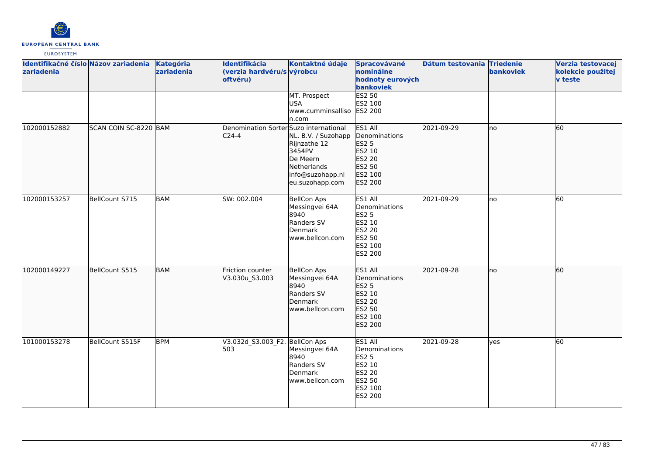

| Identifikačné číslo Názov zariadenia<br>zariadenia |                       | Kategória<br>zariadenia | Identifikácia<br>(verzia hardvéru/s výrobcu<br>oftvéru) | Kontaktné údaje                                                                                                 | Spracovávané<br>nominálne<br>hodnoty eurových<br>bankoviek                                          | Dátum testovania Triedenie | bankoviek | Verzia testovacej<br>kolekcie použitej<br><b>v</b> teste |
|----------------------------------------------------|-----------------------|-------------------------|---------------------------------------------------------|-----------------------------------------------------------------------------------------------------------------|-----------------------------------------------------------------------------------------------------|----------------------------|-----------|----------------------------------------------------------|
|                                                    |                       |                         |                                                         | MT. Prospect<br><b>USA</b><br>www.cumminsalliso ES2 200<br>ln.com                                               | <b>ES2 50</b><br>ES2 100                                                                            |                            |           |                                                          |
| 102000152882                                       | SCAN COIN SC-8220 BAM |                         | Denomination Sorter Suzo international<br>$C24-4$       | NL. B.V. / Suzohapp<br>Rijnzathe 12<br>3454PV<br>De Meern<br>Netherlands<br>info@suzohapp.nl<br>eu.suzohapp.com | ES1 All<br>Denominations<br>ES2 5<br>ES2 10<br><b>ES2 20</b><br>ES2 50<br>ES2 100<br>ES2 200        | 2021-09-29                 | Ino       | 60                                                       |
| 102000153257                                       | BellCount S715        | <b>BAM</b>              | SW: 002.004                                             | <b>BellCon Aps</b><br>Messingvei 64A<br>8940<br>Randers SV<br>Denmark<br>www.bellcon.com                        | ES1 All<br>Denominations<br><b>ES2 5</b><br>ES2 10<br>ES2 20<br>ES2 50<br>ES2 100<br>ES2 200        | 2021-09-29                 | no        | 60                                                       |
| 102000149227                                       | BellCount S515        | <b>BAM</b>              | Friction counter<br>V3.030u_S3.003                      | <b>BellCon Aps</b><br>Messingvei 64A<br>8940<br>Randers SV<br>Denmark<br>www.bellcon.com                        | ES1 All<br>Denominations<br>ES2 5<br>ES2 10<br>ES2 20<br>ES2 50<br>ES2 100<br>ES2 200               | 2021-09-28                 | lno       | 60                                                       |
| 101000153278                                       | BellCount S515F       | <b>BPM</b>              | V3.032d_S3.003_F2. BellCon Aps<br>503                   | Messingvei 64A<br>8940<br>Randers SV<br>Denmark<br>www.bellcon.com                                              | ES1 All<br>Denominations<br><b>ES2 5</b><br>ES2 10<br><b>ES2 20</b><br>ES2 50<br>ES2 100<br>ES2 200 | 2021-09-28                 | lyes      | 60                                                       |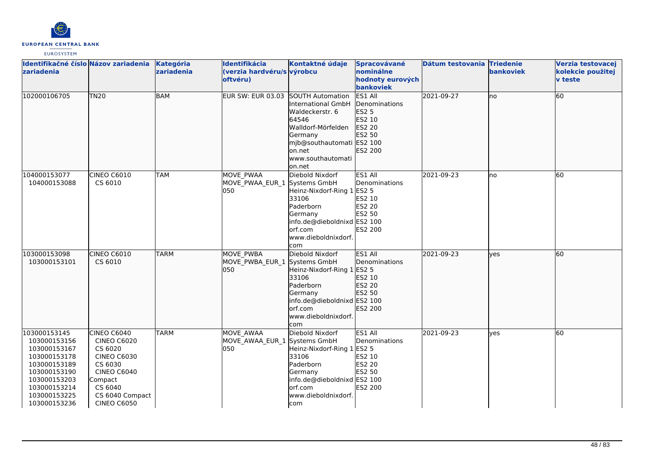

| Identifikačné číslo Názov zariadenia<br>zariadenia                                                                                                           |                                                                                                                                                                    | Kategória<br>zariadenia | Identifikácia<br>(verzia hardvéru/s výrobcu<br>oftvéru) | Kontaktné údaje                                                                                                                                                  | Spracovávané<br>nominálne<br>hodnoty eurových<br>bankoviek                               | Dátum testovania Triedenie | bankoviek | Verzia testovacej<br>kolekcie použitej<br><b>v</b> teste |
|--------------------------------------------------------------------------------------------------------------------------------------------------------------|--------------------------------------------------------------------------------------------------------------------------------------------------------------------|-------------------------|---------------------------------------------------------|------------------------------------------------------------------------------------------------------------------------------------------------------------------|------------------------------------------------------------------------------------------|----------------------------|-----------|----------------------------------------------------------|
| 102000106705                                                                                                                                                 | <b>TN20</b>                                                                                                                                                        | <b>BAM</b>              | EUR SW: EUR 03.03 SOUTH Automation                      | International GmbH<br>Waldeckerstr. 6<br>64546<br>Walldorf-Mörfelden<br>Germany<br>mjb@southautomati ES2 100<br>lon.net<br>www.southautomati<br>on.net           | ES1 All<br>Denominations<br>ES2 5<br>ES2 10<br>ES2 20<br>ES2 50<br>ES2 200               | 2021-09-27                 | lno       | 60                                                       |
| 104000153077<br>104000153088                                                                                                                                 | CINEO C6010<br>CS 6010                                                                                                                                             | <b>TAM</b>              | <b>MOVE PWAA</b><br>MOVE PWAA EUR 1 Systems GmbH<br>050 | Diebold Nixdorf<br>Heinz-Nixdorf-Ring 1<br>33106<br>Paderborn<br>Germany<br>info.de@dieboldnixd ES2 100<br>orf.com<br>www.dieboldnixdorf.<br>com                 | ES1 All<br>Denominations<br><b>ES2 5</b><br>ES2 10<br><b>ES2 20</b><br>ES2 50<br>ES2 200 | 2021-09-23                 | lno       | 60                                                       |
| 103000153098<br>103000153101                                                                                                                                 | CINEO C6010<br>CS 6010                                                                                                                                             | <b>TARM</b>             | <b>MOVE PWBA</b><br>MOVE PWBA EUR 1<br>050              | Diebold Nixdorf<br>Systems GmbH<br>Heinz-Nixdorf-Ring 1<br>33106<br>Paderborn<br>Germany<br>info.de@dieboldnixd ES2 100<br>orf.com<br>www.dieboldnixdorf.<br>com | <b>ES1 All</b><br>Denominations<br>ES2 5<br>ES2 10<br>ES2 20<br>ES2 50<br>ES2 200        | 2021-09-23                 | lves      | 60                                                       |
| 103000153145<br>103000153156<br>103000153167<br>103000153178<br>103000153189<br>103000153190<br>103000153203<br>103000153214<br>103000153225<br>103000153236 | CINEO C6040<br><b>CINEO C6020</b><br>CS 6020<br><b>CINEO C6030</b><br>CS 6030<br><b>CINEO C6040</b><br>Compact<br>CS 6040<br>CS 6040 Compact<br><b>CINEO C6050</b> | <b>TARM</b>             | <b>MOVE AWAA</b><br>MOVE AWAA EUR 1 Systems GmbH<br>050 | Diebold Nixdorf<br>Heinz-Nixdorf-Ring 1<br>33106<br>Paderborn<br>Germany<br>info.de@dieboldnixd ES2 100<br>orf.com<br>www.dieboldnixdorf.<br>Icom                | ES1 All<br>Denominations<br><b>ES2 5</b><br>ES2 10<br><b>ES2 20</b><br>ES2 50<br>ES2 200 | 2021-09-23                 | lves      | 60                                                       |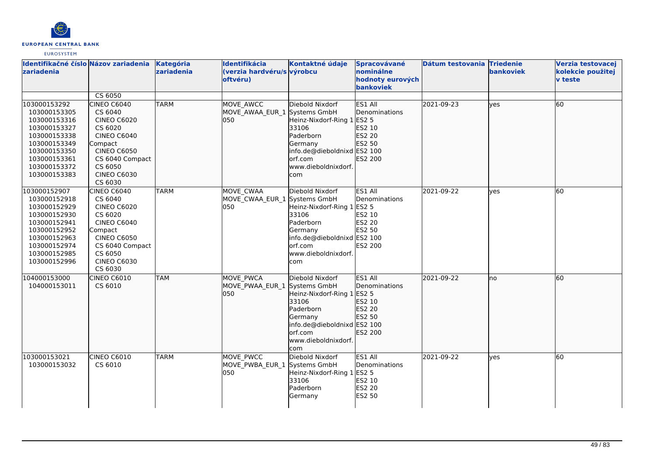

| zariadenia                                                                                                                                                   | Identifikačné číslo Názov zariadenia                                                                                                                                          | Kategória<br>zariadenia | Identifikácia<br>(verzia hardvéru/s výrobcu<br>oftvéru) | Kontaktné údaje                                                                                                                                                        | <b>Spracovávané</b><br>nominálne<br>hodnoty eurových<br><b>bankoviek</b>          | Dátum testovania Triedenie | bankoviek | Verzia testovacej<br>kolekcie použitej<br><b>v</b> teste |
|--------------------------------------------------------------------------------------------------------------------------------------------------------------|-------------------------------------------------------------------------------------------------------------------------------------------------------------------------------|-------------------------|---------------------------------------------------------|------------------------------------------------------------------------------------------------------------------------------------------------------------------------|-----------------------------------------------------------------------------------|----------------------------|-----------|----------------------------------------------------------|
|                                                                                                                                                              | CS 6050                                                                                                                                                                       |                         |                                                         |                                                                                                                                                                        |                                                                                   |                            |           |                                                          |
| 103000153292<br>103000153305<br>103000153316<br>103000153327<br>103000153338<br>103000153349<br>103000153350<br>103000153361<br>103000153372<br>103000153383 | <b>CINEO C6040</b><br>CS 6040<br><b>CINEO C6020</b><br>CS 6020<br>CINEO C6040<br>Compact<br><b>CINEO C6050</b><br>CS 6040 Compact<br>CS 6050<br><b>CINEO C6030</b><br>CS 6030 | <b>TARM</b>             | MOVE_AWCC<br>MOVE AWAA EUR 1 Systems GmbH<br>050        | Diebold Nixdorf<br>Heinz-Nixdorf-Ring 1 ES2 5<br>33106<br>Paderborn<br>Germany<br>info.de@dieboldnixd ES2 100<br>orf.com<br>www.dieboldnixdorf.<br>com                 | ES1 All<br>Denominations<br>ES2 10<br>ES2 20<br>ES2 50<br>ES2 200                 | 2021-09-23                 | lyes      | 60                                                       |
| 103000152907<br>103000152918<br>103000152929<br>103000152930<br>103000152941<br>103000152952<br>103000152963<br>103000152974<br>103000152985<br>103000152996 | CINEO C6040<br>CS 6040<br><b>CINEO C6020</b><br>CS 6020<br>CINEO C6040<br>Compact<br><b>CINEO C6050</b><br>CS 6040 Compact<br>CS 6050<br><b>CINEO C6030</b><br>CS 6030        | TARM                    | MOVE_CWAA<br>MOVE CWAA EUR 1 Systems GmbH<br>050        | Diebold Nixdorf<br>Heinz-Nixdorf-Ring 1<br>33106<br>Paderborn<br>Germany<br>info.de@dieboldnixd ES2 100<br>orf.com<br>www.dieboldnixdorf.<br>com                       | ES1 All<br>Denominations<br>ES2 5<br>ES2 10<br><b>ES2 20</b><br>ES2 50<br>ES2 200 | 2021-09-22                 | ves       | 60                                                       |
| 104000153000<br>104000153011                                                                                                                                 | CINEO C6010<br>CS 6010                                                                                                                                                        | <b>TAM</b>              | <b>MOVE PWCA</b><br>MOVE PWAA EUR 1<br>050              | Diebold Nixdorf<br>Systems GmbH<br>Heinz-Nixdorf-Ring 1 ES2 5<br>33106<br>Paderborn<br>Germany<br>info.de@dieboldnixd ES2 100<br>orf.com<br>www.dieboldnixdorf.<br>com | ES1 All<br>Denominations<br>ES2 10<br>ES2 20<br>ES2 50<br>ES2 200                 | 2021-09-22                 | lno       | 60                                                       |
| 103000153021<br>103000153032                                                                                                                                 | CINEO C6010<br>CS 6010                                                                                                                                                        | <b>TARM</b>             | MOVE_PWCC<br>MOVE_PWBA_EUR_1<br>050                     | Diebold Nixdorf<br>Systems GmbH<br>Heinz-Nixdorf-Ring 1 ES2 5<br>33106<br>Paderborn<br>Germany                                                                         | ES1 All<br>Denominations<br>ES2 10<br><b>ES2 20</b><br>ES2 50                     | 2021-09-22                 | ves       | 60                                                       |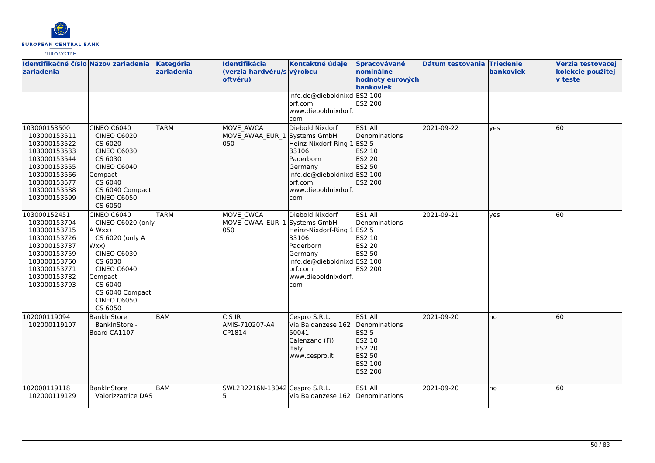

| Identifikačné číslo Názov zariadenia<br>zariadenia                                                                                                           |                                                                                                                                                                                                        | Kategória<br>zariadenia | Identifikácia<br>(verzia hardvéru/s výrobcu<br>oftvéru) | Kontaktné údaje<br>info.de@dieboldnixd ES2 100                                                                                                         | Spracovávané<br>nominálne<br>hodnoty eurových<br>bankoviek                                   | Dátum testovania Triedenie | bankoviek | <b>Verzia testovacej</b><br>kolekcie použitej<br><b>v</b> teste |
|--------------------------------------------------------------------------------------------------------------------------------------------------------------|--------------------------------------------------------------------------------------------------------------------------------------------------------------------------------------------------------|-------------------------|---------------------------------------------------------|--------------------------------------------------------------------------------------------------------------------------------------------------------|----------------------------------------------------------------------------------------------|----------------------------|-----------|-----------------------------------------------------------------|
|                                                                                                                                                              |                                                                                                                                                                                                        |                         |                                                         | orf.com<br>www.dieboldnixdorf.<br>com                                                                                                                  | ES2 200                                                                                      |                            |           |                                                                 |
| 103000153500<br>103000153511<br>103000153522<br>103000153533<br>103000153544<br>103000153555<br>103000153566<br>103000153577<br>103000153588<br>103000153599 | CINEO C6040<br><b>CINEO C6020</b><br>CS 6020<br><b>CINEO C6030</b><br>CS 6030<br><b>CINEO C6040</b><br>Compact<br>CS 6040<br>CS 6040 Compact<br><b>CINEO C6050</b><br>CS 6050                          | <b>TARM</b>             | MOVE AWCA<br>MOVE AWAA EUR 1 Systems GmbH<br>lo50       | Diebold Nixdorf<br>Heinz-Nixdorf-Ring 1 ES2 5<br>33106<br>Paderborn<br>Germany<br>info.de@dieboldnixd ES2 100<br>orf.com<br>www.dieboldnixdorf.<br>com | ES1 All<br>Denominations<br>ES2 10<br>ES2 20<br>ES2 50<br>ES2 200                            | 2021-09-22                 | lves      | 60                                                              |
| 103000152451<br>103000153704<br>103000153715<br>103000153726<br>103000153737<br>103000153759<br>103000153760<br>103000153771<br>103000153782<br>103000153793 | CINEO C6040<br>CINEO C6020 (only<br>A Wxx)<br>CS 6020 (only A<br>Wxx)<br><b>CINEO C6030</b><br>CS 6030<br><b>CINEO C6040</b><br>Compact<br>CS 6040<br>CS 6040 Compact<br><b>CINEO C6050</b><br>CS 6050 | <b>TARM</b>             | MOVE CWCA<br>MOVE_CWAA_EUR_1 Systems GmbH<br>050        | Diebold Nixdorf<br>Heinz-Nixdorf-Ring 1 ES2 5<br>33106<br>Paderborn<br>Germany<br>info.de@dieboldnixd ES2 100<br>orf.com<br>www.dieboldnixdorf.<br>com | ES1 All<br>Denominations<br>ES2 10<br>ES2 20<br>ES2 50<br>ES2 200                            | 2021-09-21                 | ves       | 60                                                              |
| 102000119094<br>102000119107                                                                                                                                 | BankInStore<br>BankInStore -<br>Board CA1107                                                                                                                                                           | BAM                     | ICIS IR<br>AMIS-710207-A4<br>CP1814                     | Cespro S.R.L.<br>Via Baldanzese 162<br>50041<br>Calenzano (Fi)<br>Italy<br>www.cespro.it                                                               | ES1 All<br>Denominations<br><b>ES2 5</b><br>ES2 10<br>ES2 20<br>ES2 50<br>ES2 100<br>ES2 200 | 2021-09-20                 | no        | 60                                                              |
| 102000119118<br>102000119129                                                                                                                                 | BankInStore<br>Valorizzatrice DAS                                                                                                                                                                      | BAM                     | lSWL2R2216N-13042 lCespro S.R.L.                        | Via Baldanzese 162                                                                                                                                     | ES1 All<br>Denominations                                                                     | 2021-09-20                 | lno       | 60                                                              |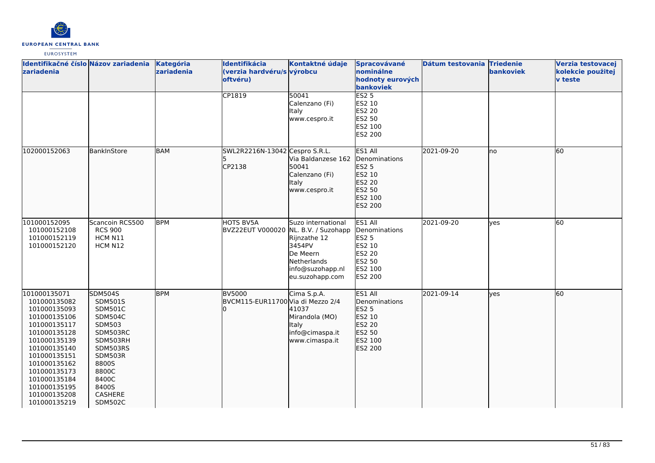

| Identifikačné číslo Názov zariadenia<br>zariadenia                                                                                                                                                                                           |                                                                                                                                                                                         | Kategória<br>zariadenia | Identifikácia<br>(verzia hardvéru/s výrobcu<br>oftvéru) | Kontaktné údaje                                                                                                | Spracovávané<br>nominálne<br>hodnoty eurových<br>bankoviek                                                 | Dátum testovania Triedenie | bankoviek | Verzia testovacej<br>kolekcie použitej<br><b>v</b> teste |
|----------------------------------------------------------------------------------------------------------------------------------------------------------------------------------------------------------------------------------------------|-----------------------------------------------------------------------------------------------------------------------------------------------------------------------------------------|-------------------------|---------------------------------------------------------|----------------------------------------------------------------------------------------------------------------|------------------------------------------------------------------------------------------------------------|----------------------------|-----------|----------------------------------------------------------|
|                                                                                                                                                                                                                                              |                                                                                                                                                                                         |                         | CP1819                                                  | 50041<br>Calenzano (Fi)<br>Italy<br>www.cespro.it                                                              | <b>ES2 5</b><br>ES2 10<br>ES2 20<br>ES2 50<br>ES2 100<br><b>ES2 200</b>                                    |                            |           |                                                          |
| 102000152063                                                                                                                                                                                                                                 | BankInStore                                                                                                                                                                             | <b>BAM</b>              | SWL2R2216N-13042 Cespro S.R.L.<br>CP2138                | Via Baldanzese 162<br>50041<br>Calenzano (Fi)<br><b>Italy</b><br>www.cespro.it                                 | ES1 All<br>Denominations<br>ES2 5<br>ES2 10<br>ES2 20<br>ES2 50<br>ES2 100<br>ES2 200                      | 2021-09-20                 | no        | 60                                                       |
| 101000152095<br>101000152108<br>101000152119<br>101000152120                                                                                                                                                                                 | Scancoin RCS500<br><b>RCS 900</b><br>HCM N11<br>HCM N12                                                                                                                                 | <b>BPM</b>              | HOTS BV5A<br>BVZ22EUT V000020 NL. B.V. / Suzohapp       | Suzo international<br>Rijnzathe 12<br>3454PV<br>De Meern<br>Netherlands<br>info@suzohapp.nl<br>eu.suzohapp.com | ES1 All<br>Denominations<br><b>ES2 5</b><br>ES2 10<br><b>ES2 20</b><br>ES2 50<br>ES2 100<br><b>ES2 200</b> | 2021-09-20                 | ves       | 60                                                       |
| 101000135071<br>101000135082<br>101000135093<br>101000135106<br>101000135117<br>101000135128<br>101000135139<br>101000135140<br>101000135151<br>101000135162<br>101000135173<br>101000135184<br>101000135195<br>101000135208<br>101000135219 | <b>SDM504S</b><br>SDM501S<br><b>SDM501C</b><br><b>SDM504C</b><br>SDM503<br>SDM503RC<br>SDM503RH<br>SDM503RS<br>SDM503R<br>8800S<br>8800C<br>8400C<br>8400S<br>CASHERE<br><b>SDM502C</b> | <b>BPM</b>              | BV5000<br>BVCM115-EUR11700 Via di Mezzo 2/4             | Cima S.p.A.<br>41037<br>Mirandola (MO)<br>Italy<br>info@cimaspa.it<br>www.cimaspa.it                           | ES1 All<br>Denominations<br><b>ES2 5</b><br>ES2 10<br>ES2 20<br>ES2 50<br>ES2 100<br>ES2 200               | 2021-09-14                 | lves      | 60                                                       |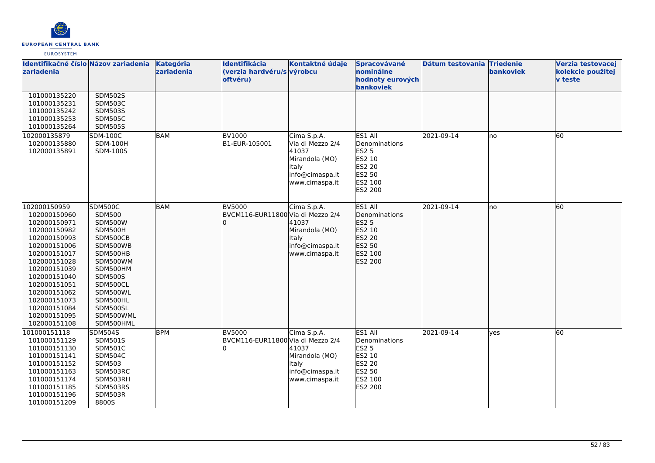

| Identifikačné číslo Názov zariadenia<br>zariadenia                                                                                                                                                                                                           |                                                                                                                                                                                                                      | Kategória<br>zariadenia | Identifikácia<br>(verzia hardvéru/s výrobcu<br>oftvéru) | Kontaktné údaje                                                                                          | Spracovávané<br>nominálne<br>hodnoty eurových<br>bankoviek                                          | Dátum testovania Triedenie | bankoviek | Verzia testovacej<br>kolekcie použitej<br><b>v</b> teste |
|--------------------------------------------------------------------------------------------------------------------------------------------------------------------------------------------------------------------------------------------------------------|----------------------------------------------------------------------------------------------------------------------------------------------------------------------------------------------------------------------|-------------------------|---------------------------------------------------------|----------------------------------------------------------------------------------------------------------|-----------------------------------------------------------------------------------------------------|----------------------------|-----------|----------------------------------------------------------|
| 101000135220<br>101000135231<br>101000135242<br>101000135253<br>101000135264                                                                                                                                                                                 | <b>SDM502S</b><br><b>SDM503C</b><br><b>SDM503S</b><br><b>SDM505C</b><br><b>SDM505S</b>                                                                                                                               |                         |                                                         |                                                                                                          |                                                                                                     |                            |           |                                                          |
| 102000135879<br>102000135880<br>102000135891                                                                                                                                                                                                                 | <b>SDM-100C</b><br><b>SDM-100H</b><br>SDM-100S                                                                                                                                                                       | <b>BAM</b>              | <b>BV1000</b><br>B1-EUR-105001                          | Cima S.p.A.<br>Via di Mezzo 2/4<br>41037<br>Mirandola (MO)<br>Italy<br>info@cimaspa.it<br>www.cimaspa.it | ES1 All<br>Denominations<br><b>ES2 5</b><br>ES2 10<br>ES2 20<br>ES2 50<br>ES2 100<br><b>ES2 200</b> | 2021-09-14                 | Ino       | 60                                                       |
| 102000150959<br>102000150960<br>102000150971<br>102000150982<br>102000150993<br>102000151006<br>102000151017<br>102000151028<br>102000151039<br>102000151040<br>102000151051<br>102000151062<br>102000151073<br>102000151084<br>102000151095<br>102000151108 | <b>SDM500C</b><br><b>SDM500</b><br><b>SDM500W</b><br>SDM500H<br>SDM500CB<br>SDM500WB<br>SDM500HB<br>SDM500WM<br>SDM500HM<br><b>SDM500S</b><br>SDM500CL<br>SDM500WL<br>SDM500HL<br>SDM500SL<br>SDM500WML<br>SDM500HML | <b>BAM</b>              | <b>BV5000</b><br>BVCM116-EUR11800 Via di Mezzo 2/4      | Cima S.p.A.<br>41037<br>Mirandola (MO)<br>Italy<br>info@cimaspa.it<br>www.cimaspa.it                     | ES1 All<br>Denominations<br>ES2 5<br>ES2 10<br>ES2 20<br>ES2 50<br>ES2 100<br>ES2 200               | 2021-09-14                 | Ino       | 60                                                       |
| 101000151118<br>101000151129<br>101000151130<br>101000151141<br>101000151152<br>101000151163<br>101000151174<br>101000151185<br>101000151196<br>101000151209                                                                                                 | <b>SDM504S</b><br>SDM501S<br><b>SDM501C</b><br><b>SDM504C</b><br><b>SDM503</b><br>SDM503RC<br>SDM503RH<br>SDM503RS<br>SDM503R<br>8800S                                                                               | <b>BPM</b>              | <b>BV5000</b><br>BVCM116-EUR11800 Via di Mezzo 2/4      | Cima S.p.A.<br>41037<br>Mirandola (MO)<br>Italy<br>info@cimaspa.it<br>www.cimaspa.it                     | ES1 All<br>Denominations<br>ES2 5<br>ES2 10<br><b>ES2 20</b><br>ES2 50<br>ES2 100<br>ES2 200        | 2021-09-14                 | lyes      | 60                                                       |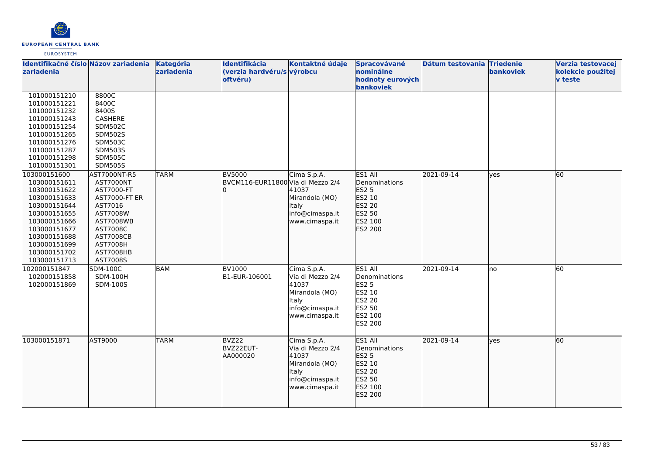

| Identifikačné číslo Názov zariadenia<br>zariadenia                                                                                                                           |                                                                                                                                                                        | Kategória<br>zariadenia | Identifikácia<br>(verzia hardvéru/s výrobcu<br>oftvéru) | Kontaktné údaje                                                                                                 | Spracovávané<br>nominálne<br>hodnoty eurových                                                    | Dátum testovania Triedenie | bankoviek | Verzia testovacej<br>kolekcie použitej<br><b>v</b> teste |
|------------------------------------------------------------------------------------------------------------------------------------------------------------------------------|------------------------------------------------------------------------------------------------------------------------------------------------------------------------|-------------------------|---------------------------------------------------------|-----------------------------------------------------------------------------------------------------------------|--------------------------------------------------------------------------------------------------|----------------------------|-----------|----------------------------------------------------------|
| 101000151210<br>101000151221<br>101000151232<br>101000151243<br>101000151254<br>101000151265<br>101000151276<br>101000151287<br>101000151298<br>101000151301<br>103000151600 | 8800C<br>8400C<br>8400S<br>CASHERE<br><b>SDM502C</b><br><b>SDM502S</b><br><b>SDM503C</b><br><b>SDM503S</b><br><b>SDM505C</b><br><b>SDM505S</b><br>AST7000NT-R5         | <b>TARM</b>             | <b>BV5000</b>                                           | Cima S.p.A.                                                                                                     | bankoviek<br>ES1 All                                                                             | 2021-09-14                 | ves       | 60                                                       |
| 103000151611<br>103000151622<br>103000151633<br>103000151644<br>103000151655<br>103000151666<br>103000151677<br>103000151688<br>103000151699<br>103000151702<br>103000151713 | AST7000NT<br>AST7000-FT<br><b>AST7000-FT ER</b><br>AST7016<br>AST7008W<br><b>AST7008WB</b><br>AST7008C<br><b>AST7008CB</b><br><b>AST7008H</b><br>AST7008HB<br>AST7008S |                         | BVCM116-EUR11800 Via di Mezzo 2/4                       | 41037<br>Mirandola (MO)<br><b>Italy</b><br>info@cimaspa.it<br>www.cimaspa.it                                    | Denominations<br>ES2 5<br>ES2 10<br>ES2 20<br>ES2 50<br>ES2 100<br>ES2 200                       |                            |           |                                                          |
| 102000151847<br>102000151858<br>102000151869                                                                                                                                 | <b>SDM-100C</b><br><b>SDM-100H</b><br>SDM-100S                                                                                                                         | <b>BAM</b>              | <b>BV1000</b><br>B1-EUR-106001                          | Cima S.p.A.<br>Via di Mezzo 2/4<br>41037<br>Mirandola (MO)<br>Italy<br>info@cimaspa.it<br>www.cimaspa.it        | ES1 All<br>Denominations<br><b>ES2 5</b><br>ES2 10<br>ES2 20<br>ES2 50<br>ES2 100<br>ES2 200     | 2021-09-14                 | lno       | 60                                                       |
| 103000151871                                                                                                                                                                 | AST9000                                                                                                                                                                | <b>TARM</b>             | BVZ22<br>BVZ22EUT-<br>AA000020                          | Cima S.p.A.<br>Via di Mezzo 2/4<br>41037<br>Mirandola (MO)<br><b>Italy</b><br>info@cimaspa.it<br>www.cimaspa.it | ES1 All<br>Denominations<br>ES2 <sub>5</sub><br>ES2 10<br>ES2 20<br>ES2 50<br>ES2 100<br>ES2 200 | 2021-09-14                 | yes       | 60                                                       |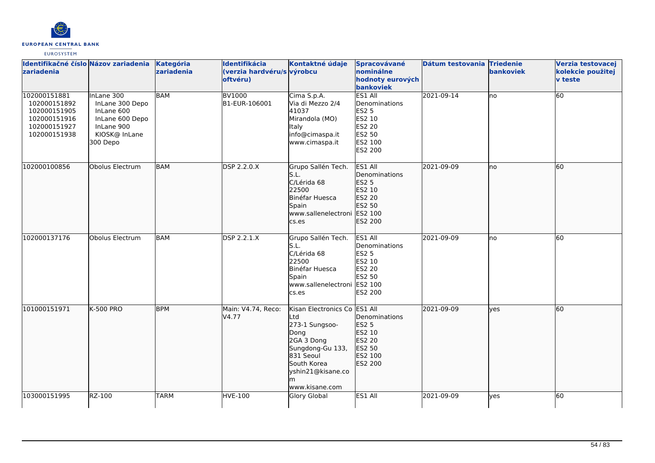

| Identifikačné číslo Názov zariadenia<br><b>zariadenia</b>                                    |                                                                                                           | Kategória<br>zariadenia | Identifikácia<br>(verzia hardvéru/s výrobcu<br>oftvéru) | Kontaktné údaje                                                                                                                                                    | Spracovávané<br>nominálne<br>hodnoty eurových<br>bankoviek                                          | Dátum testovania Triedenie | bankoviek | Verzia testovacej<br>kolekcie použitej<br>v teste |
|----------------------------------------------------------------------------------------------|-----------------------------------------------------------------------------------------------------------|-------------------------|---------------------------------------------------------|--------------------------------------------------------------------------------------------------------------------------------------------------------------------|-----------------------------------------------------------------------------------------------------|----------------------------|-----------|---------------------------------------------------|
| 102000151881<br>102000151892<br>102000151905<br>102000151916<br>102000151927<br>102000151938 | InLane 300<br>InLane 300 Depo<br>InLane 600<br>InLane 600 Depo<br>InLane 900<br>KIOSK@ InLane<br>300 Depo | <b>BAM</b>              | <b>BV1000</b><br>B1-EUR-106001                          | Cima S.p.A.<br>Via di Mezzo 2/4<br>41037<br>Mirandola (MO)<br><b>Italy</b><br>info@cimaspa.it<br>www.cimaspa.it                                                    | ES1 All<br>Denominations<br><b>ES2 5</b><br>ES2 10<br><b>ES2 20</b><br>ES2 50<br>ES2 100<br>ES2 200 | 2021-09-14                 | lno       | 60                                                |
| 102000100856                                                                                 | Obolus Electrum                                                                                           | <b>BAM</b>              | <b>DSP 2.2.0.X</b>                                      | Grupo Sallén Tech.<br>S.L.<br>C/Lérida 68<br>22500<br>Binéfar Huesca<br>Spain<br>www.sallenelectroni ES2 100<br>cs.es                                              | ES1 All<br>Denominations<br>ES2 5<br>ES2 10<br>ES2 20<br>ES2 50<br>ES2 200                          | 2021-09-09                 | lno       | 60                                                |
| 102000137176                                                                                 | Obolus Electrum                                                                                           | <b>BAM</b>              | DSP 2.2.1.X                                             | Grupo Sallén Tech.<br>S.L.<br>C/Lérida 68<br>22500<br>Binéfar Huesca<br>Spain<br>www.sallenelectroni<br>cs.es                                                      | ES1 All<br>Denominations<br><b>ES2 5</b><br>ES2 10<br><b>ES2 20</b><br>ES2 50<br>ES2 100<br>ES2 200 | 2021-09-09                 | lno       | 60                                                |
| 101000151971                                                                                 | <b>K-500 PRO</b>                                                                                          | <b>BPM</b>              | Main: V4.74, Reco:<br>V4.77                             | Kisan Electronics Co ES1 All<br>Ltd<br>273-1 Sungsoo-<br>Dong<br>2GA 3 Dong<br>Sungdong-Gu 133,<br>831 Seoul<br>South Korea<br>yshin21@kisane.co<br>www.kisane.com | Denominations<br><b>ES2 5</b><br>ES2 10<br>ES2 20<br>ES2 50<br><b>ES2 100</b><br>ES2 200            | 2021-09-09                 | lyes      | 60                                                |
| 103000151995                                                                                 | RZ-100                                                                                                    | <b>TARM</b>             | <b>HVE-100</b>                                          | <b>Glory Global</b>                                                                                                                                                | ES1 All                                                                                             | 2021-09-09                 | ves       | 60                                                |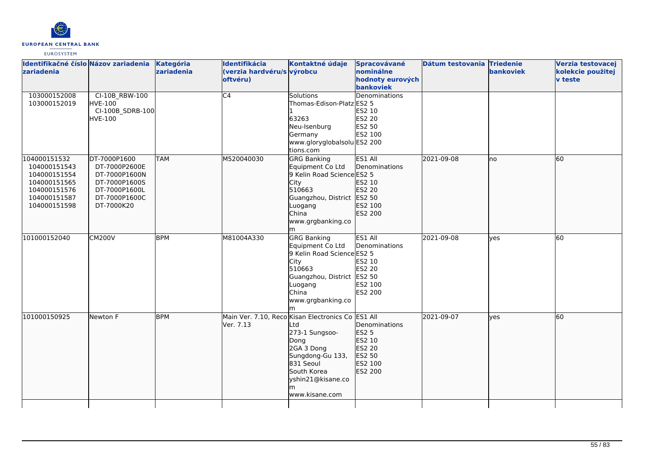

| Identifikačné číslo Názov zariadenia<br>zariadenia                                                           |                                                                                                                 | <b>Kategória</b><br>zariadenia | Identifikácia<br>(verzia hardvéru/s výrobcu<br>oftvéru) | Kontaktné údaje                                                                                                                                                                               | Spracovávané<br>nominálne<br>hodnoty eurových<br>bankoviek                        | Dátum testovania Triedenie | bankoviek | Verzia testovacej<br>kolekcie použitej<br><b>v</b> teste |
|--------------------------------------------------------------------------------------------------------------|-----------------------------------------------------------------------------------------------------------------|--------------------------------|---------------------------------------------------------|-----------------------------------------------------------------------------------------------------------------------------------------------------------------------------------------------|-----------------------------------------------------------------------------------|----------------------------|-----------|----------------------------------------------------------|
| 103000152008<br>103000152019                                                                                 | CI-10B_RBW-100<br><b>HVE-100</b><br>CI-100B_SDRB-100<br><b>HVE-100</b>                                          |                                | C4                                                      | Solutions<br>Thomas-Edison-Platz ES2 5<br>63263<br>Neu-Isenburg<br>Germany<br>www.gloryglobalsolu ES2 200<br>tions.com                                                                        | Denominations<br>ES2 10<br><b>ES2 20</b><br>ES2 50<br>ES2 100                     |                            |           |                                                          |
| 104000151532<br>104000151543<br>104000151554<br>104000151565<br>104000151576<br>104000151587<br>104000151598 | DT-7000P1600<br>DT-7000P2600E<br>DT-7000P1600N<br>DT-7000P1600S<br>DT-7000P1600L<br>DT-7000P1600C<br>DT-7000K20 | <b>TAM</b>                     | M520040030                                              | <b>GRG Banking</b><br>Equipment Co Ltd<br>9 Kelin Road Science ES2 5<br>City<br>510663<br>Guangzhou, District ES2 50<br>Luogang<br>China<br>www.grgbanking.co<br>m                            | ES1 All<br>Denominations<br>ES2 10<br>ES2 20<br>ES2 100<br>ES2 200                | 2021-09-08                 | lno       | 60                                                       |
| 101000152040                                                                                                 | <b>CM200V</b>                                                                                                   | <b>BPM</b>                     | M81004A330                                              | <b>GRG Banking</b><br>Equipment Co Ltd<br>9 Kelin Road Science ES2 5<br>City<br>510663<br>Guangzhou, District   ES2 50<br>Luogang<br>China<br>www.grgbanking.co                               | ES1 All<br>Denominations<br>ES2 10<br>ES2 20<br>ES2 100<br>ES2 200                | 2021-09-08                 | lyes      | 60                                                       |
| 101000150925                                                                                                 | Newton F                                                                                                        | <b>BPM</b>                     | Ver. 7.13                                               | Main Ver. 7.10, Reco Kisan Electronics Co ES1 All<br>_td<br>273-1 Sungsoo-<br>Dong<br>2GA 3 Dong<br>Sungdong-Gu 133,<br>831 Seoul<br>South Korea<br>yshin21@kisane.co<br>lm<br>www.kisane.com | Denominations<br><b>ES2 5</b><br>ES2 10<br>ES2 20<br>ES2 50<br>ES2 100<br>ES2 200 | 2021-09-07                 | lves      | 60                                                       |
|                                                                                                              |                                                                                                                 |                                |                                                         |                                                                                                                                                                                               |                                                                                   |                            |           |                                                          |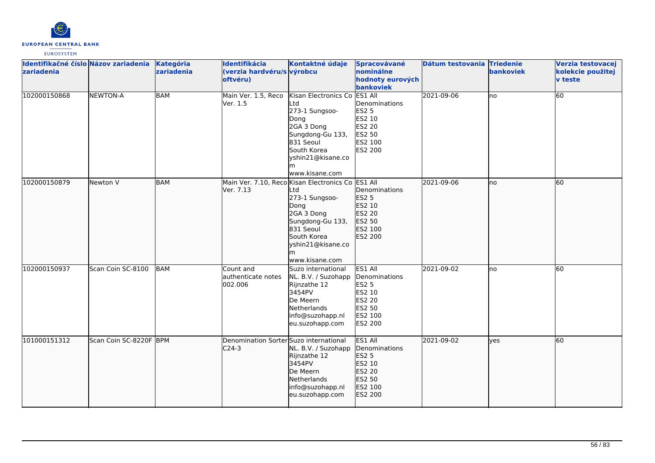

| Identifikačné číslo Názov zariadenia<br>zariadenia |                        | Kategória<br>zariadenia | Identifikácia<br>(verzia hardvéru/s výrobcu<br>oftvéru) | Kontaktné údaje                                                                                                                                                                         | Spracovávané<br>nominálne<br>hodnoty eurových<br>bankoviek                                   | Dátum testovania Triedenie | bankoviek | Verzia testovacej<br>kolekcie použitej<br><b>v</b> teste |
|----------------------------------------------------|------------------------|-------------------------|---------------------------------------------------------|-----------------------------------------------------------------------------------------------------------------------------------------------------------------------------------------|----------------------------------------------------------------------------------------------|----------------------------|-----------|----------------------------------------------------------|
| 102000150868                                       | NEWTON-A               | <b>BAM</b>              | Main Ver. 1.5, Reco<br>Ver. 1.5                         | Kisan Electronics Co ES1 All<br>Ltd<br>273-1 Sungsoo-<br>Dong<br>2GA 3 Dong<br>Sungdong-Gu 133,<br>831 Seoul<br>South Korea<br>yshin21@kisane.co<br>www.kisane.com                      | Denominations<br><b>ES2 5</b><br>ES2 10<br>ES2 20<br>ES2 50<br>ES2 100<br>ES2 200            | 2021-09-06                 | no        | 60                                                       |
| 102000150879                                       | Newton V               | <b>BAM</b>              | Ver. 7.13                                               | Main Ver. 7.10, Reco Kisan Electronics Co ES1 All<br>Ltd<br>273-1 Sungsoo-<br>Dong<br>2GA 3 Dong<br>Sungdong-Gu 133,<br>831 Seoul<br>South Korea<br>yshin21@kisane.co<br>www.kisane.com | Denominations<br><b>ES2 5</b><br>ES2 10<br>ES2 20<br>ES2 50<br>ES2 100<br>ES2 200            | 2021-09-06                 | Ino       | 60                                                       |
| 102000150937                                       | Scan Coin SC-8100      | BAM                     | Count and<br>authenticate notes<br>002.006              | Suzo international<br>NL. B.V. / Suzohapp<br>Rijnzathe 12<br>3454PV<br>De Meern<br>Netherlands<br>info@suzohapp.nl<br>eu.suzohapp.com                                                   | ES1 All<br>Denominations<br>ES2 5<br>ES2 10<br>ES2 20<br><b>ES2 50</b><br>ES2 100<br>ES2 200 | 2021-09-02                 | lno       | 60                                                       |
| 101000151312                                       | Scan Coin SC-8220F BPM |                         | Denomination Sorter Suzo international<br>$C24-3$       | NL. B.V. / Suzohapp<br>Rijnzathe 12<br>3454PV<br>De Meern<br>Netherlands<br>info@suzohapp.nl<br>eu.suzohapp.com                                                                         | ES1 All<br>Denominations<br>ES2 5<br>ES2 10<br>ES2 20<br>ES2 50<br>ES2 100<br>ES2 200        | 2021-09-02                 | lyes      | 60                                                       |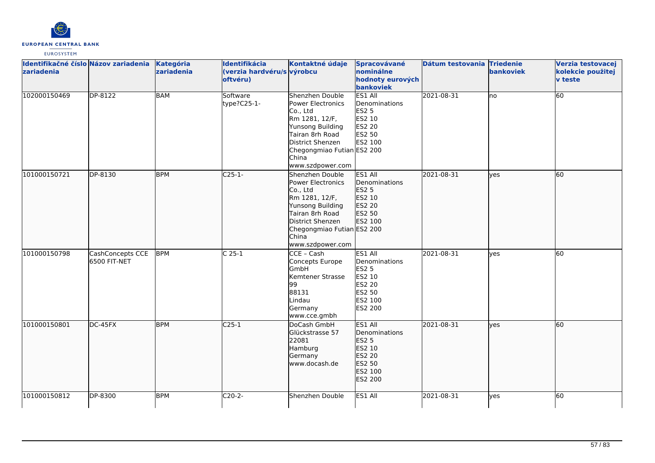

| Identifikačné číslo Názov zariadenia<br>Izariadenia |                                   | <b>Kategória</b><br>zariadenia | Identifikácia<br>(verzia hardvéru/s výrobcu<br>oftvéru) | Kontaktné údaje                                                                                                                                                                          | Spracovávané<br>nominálne<br>hodnoty eurových<br>bankoviek                                          | Dátum testovania Triedenie | <b>bankoviek</b> | Verzia testovacej<br>kolekcie použitej<br><b>v</b> teste |
|-----------------------------------------------------|-----------------------------------|--------------------------------|---------------------------------------------------------|------------------------------------------------------------------------------------------------------------------------------------------------------------------------------------------|-----------------------------------------------------------------------------------------------------|----------------------------|------------------|----------------------------------------------------------|
| 102000150469                                        | DP-8122                           | <b>BAM</b>                     | Software<br>type?C25-1-                                 | Shenzhen Double<br>Power Electronics<br>Co., Ltd<br>Rm 1281, 12/F,<br>Yunsong Building<br>Tairan 8rh Road<br>District Shenzen<br>Chegongmiao Futian ES2 200<br>China<br>www.szdpower.com | ES1 All<br>Denominations<br><b>ES2 5</b><br>ES2 10<br>ES2 20<br>ES2 50<br>ES2 100                   | 2021-08-31                 | lno              | $\overline{60}$                                          |
| 101000150721                                        | DP-8130                           | <b>BPM</b>                     | $C25-1-$                                                | Shenzhen Double<br>Power Electronics<br>Co., Ltd<br>Rm 1281, 12/F,<br>Yunsong Building<br>Tairan 8rh Road<br>District Shenzen<br>Chegongmiao Futian ES2 200<br>China<br>www.szdpower.com | ES1 All<br>Denominations<br>ES2 5<br>ES2 10<br><b>ES2 20</b><br>ES2 50<br>ES2 100                   | 2021-08-31                 | lyes             | 60                                                       |
| 101000150798                                        | CashConcepts CCE<br>16500 FIT-NET | <b>BPM</b>                     | $C25-1$                                                 | CCE - Cash<br>Concepts Europe<br>GmbH<br>Kemtener Strasse<br>99<br>88131<br>Lindau<br>Germany<br>www.cce.gmbh                                                                            | ES1 All<br>Denominations<br><b>ES2 5</b><br>ES2 10<br>ES2 20<br>ES2 50<br>ES2 100<br><b>ES2 200</b> | 2021-08-31                 | <b>l</b> ves     | 60                                                       |
| 101000150801                                        | DC-45FX                           | <b>BPM</b>                     | $C25-1$                                                 | DoCash GmbH<br>Glückstrasse 57<br>22081<br>Hamburg<br>Germany<br>www.docash.de                                                                                                           | ES1 All<br>Denominations<br>ES2 5<br>ES2 10<br>ES2 20<br>ES2 50<br>ES2 100<br>ES2 200               | 2021-08-31                 | lyes             | 60                                                       |
| 101000150812                                        | DP-8300                           | <b>BPM</b>                     | $C20-2-$                                                | Shenzhen Double                                                                                                                                                                          | ES1 All                                                                                             | 2021-08-31                 | ves              | 60                                                       |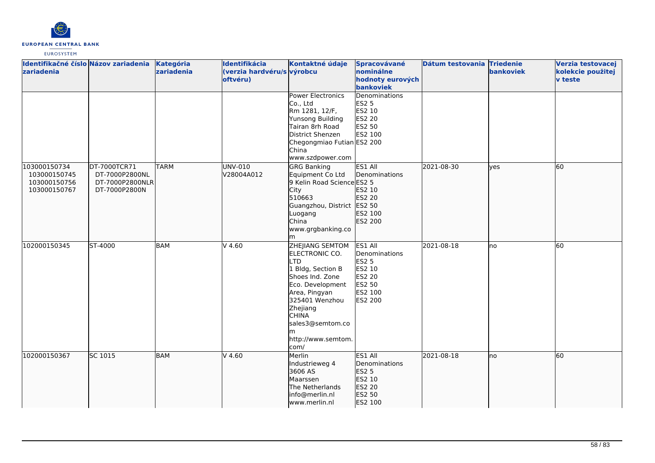

| Identifikačné číslo Názov zariadenia<br>zariadenia           |                                                                    | Kategória<br>zariadenia | Identifikácia<br>(verzia hardvéru/s výrobcu<br>oftvéru) | Kontaktné údaje                                                                                                                                                                                                              | Spracovávané<br>nominálne<br>hodnoty eurových<br>bankoviek                                                 | Dátum testovania Triedenie | bankoviek   | Verzia testovacej<br>kolekcie použitej<br><b>v</b> teste |
|--------------------------------------------------------------|--------------------------------------------------------------------|-------------------------|---------------------------------------------------------|------------------------------------------------------------------------------------------------------------------------------------------------------------------------------------------------------------------------------|------------------------------------------------------------------------------------------------------------|----------------------------|-------------|----------------------------------------------------------|
|                                                              |                                                                    |                         |                                                         | <b>Power Electronics</b><br>Co., Ltd<br>Rm 1281, 12/F,<br>Yunsong Building<br>Tairan 8rh Road<br>District Shenzen<br>Chegongmiao Futian ES2 200<br>China<br>www.szdpower.com                                                 | Denominations<br><b>ES2 5</b><br>ES2 10<br><b>ES2 20</b><br>ES2 50<br>ES2 100                              |                            |             |                                                          |
| 103000150734<br>103000150745<br>103000150756<br>103000150767 | DT-7000TCR71<br>DT-7000P2800NL<br>DT-7000P2800NLR<br>DT-7000P2800N | <b>TARM</b>             | UNV-010<br>V28004A012                                   | <b>GRG Banking</b><br>Equipment Co Ltd<br>9 Kelin Road Science ES2 5<br>City<br>510663<br>Guangzhou, District ES2 50<br>Luogang<br>China<br>www.grgbanking.co<br>m                                                           | ES1 All<br>Denominations<br>ES2 10<br>ES2 20<br>ES2 100<br>ES2 200                                         | 2021-08-30                 | <b>lyes</b> | 60                                                       |
| 102000150345                                                 | ST-4000                                                            | <b>BAM</b>              | $V$ 4.60                                                | <b>ZHEJIANG SEMTOM</b><br>ELECTRONIC CO.<br>LTD<br>1 Bldg, Section B<br>Shoes Ind. Zone<br>Eco. Development<br>Area, Pingyan<br>325401 Wenzhou<br>Zhejiang<br><b>CHINA</b><br>sales3@semtom.co<br>http://www.semtom.<br>com/ | ES1 All<br>Denominations<br><b>ES2 5</b><br>ES2 10<br><b>ES2 20</b><br>ES2 50<br>ES2 100<br><b>ES2 200</b> | 2021-08-18                 | lno         | 60                                                       |
| 102000150367                                                 | SC 1015                                                            | <b>BAM</b>              | $V$ 4.60                                                | Merlin<br>Industrieweg 4<br>3606 AS<br>Maarssen<br>The Netherlands<br>info@merlin.nl<br>www.merlin.nl                                                                                                                        | ES1 All<br>Denominations<br>ES2 5<br>ES2 10<br>ES2 20<br>ES2 50<br>ES2 100                                 | 2021-08-18                 | Ino         | 60                                                       |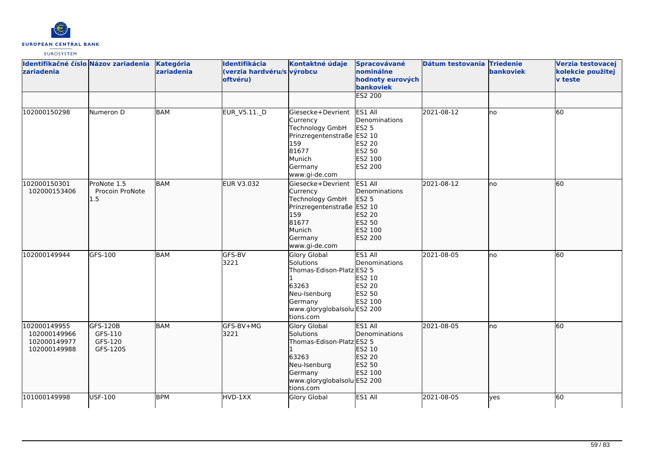

| Identifikačné číslo Názov zariadenia<br>zariadenia           |                                            | Kategória<br>zariadenia | Identifikácia<br>(verzia hardvéru/s výrobcu<br>oftvéru) | Kontaktné údaje                                                                                                                        | Spracovávané<br>nominálne<br>hodnoty eurových<br>bankoviek<br>ES2 200                            | Dátum testovania Triedenie | <b>bankoviek</b> | Verzia testovacej<br>kolekcie použitej<br><b>v</b> teste |
|--------------------------------------------------------------|--------------------------------------------|-------------------------|---------------------------------------------------------|----------------------------------------------------------------------------------------------------------------------------------------|--------------------------------------------------------------------------------------------------|----------------------------|------------------|----------------------------------------------------------|
|                                                              |                                            |                         |                                                         |                                                                                                                                        |                                                                                                  |                            |                  |                                                          |
| 102000150298                                                 | Numeron D                                  | BAM                     | EUR_V5.11._D                                            | Giesecke+Devrient<br>Currency<br>Technology GmbH<br>Prinzregentenstraße ES2 10<br>159<br>81677<br>Munich<br>Germany<br>www.gi-de.com   | ES1 All<br>Denominations<br><b>ES2 5</b><br>ES2 20<br><b>ES2 50</b><br>ES2 100<br><b>ES2 200</b> | 2021-08-12                 | Ino              | 60                                                       |
| 102000150301<br>102000153406                                 | ProNote 1.5<br>Procoin ProNote<br>1.5      | <b>BAM</b>              | EUR V3.032                                              | Giesecke+Devrient<br>Currency<br>Technology GmbH<br>Prinzregentenstraße ES2 10<br>159<br>81677<br>Munich<br>Germany<br>www.gi-de.com   | ES1 All<br>Denominations<br><b>ES2 5</b><br>ES2 20<br>ES2 50<br>ES2 100<br>ES2 200               | 2021-08-12                 | Ino              | 60                                                       |
| 102000149944                                                 | GFS-100                                    | BAM                     | GFS-BV<br>3221                                          | Glory Global<br>Solutions<br>Thomas-Edison-Platz ES2 5<br>63263<br>Neu-Isenburg<br>Germany<br>www.gloryglobalsolu ES2 200<br>tions.com | ES1 All<br>Denominations<br>ES2 10<br><b>ES2 20</b><br>ES2 50<br>ES2 100                         | 2021-08-05                 | lno              | 60                                                       |
| 102000149955<br>102000149966<br>102000149977<br>102000149988 | GFS-120B<br>GFS-110<br>GFS-120<br>GFS-120S | <b>BAM</b>              | GFS-BV+MG<br>3221                                       | Glory Global<br>Solutions<br>Thomas-Edison-Platz ES2 5<br>63263<br>Neu-Isenburg<br>Germany<br>www.gloryglobalsolu ES2 200<br>tions.com | ES1 All<br>Denominations<br>ES2 10<br>ES2 20<br>ES2 50<br>ES2 100                                | 2021-08-05                 | lno              | 60                                                       |
| 101000149998                                                 | USF-100                                    | <b>BPM</b>              | HVD-1XX                                                 | Glory Global                                                                                                                           | ES1 All                                                                                          | 2021-08-05                 | yes              | 60                                                       |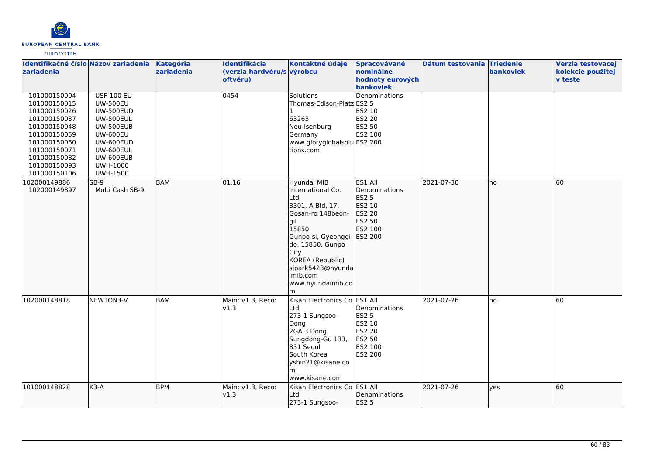

| Identifikačné číslo Názov zariadenia<br>zariadenia                                                                                                                           |                                                                                                                                                                                                  | Kategória<br>zariadenia | Identifikácia<br>(verzia hardvéru/s výrobcu<br>oftvéru) | Kontaktné údaje                                                                                                                                                                                                                       | Spracovávané<br>nominálne<br>hodnoty eurových<br>bankoviek                                          | Dátum testovania Triedenie | bankoviek | Verzia testovacej<br>kolekcie použitej<br>v teste |
|------------------------------------------------------------------------------------------------------------------------------------------------------------------------------|--------------------------------------------------------------------------------------------------------------------------------------------------------------------------------------------------|-------------------------|---------------------------------------------------------|---------------------------------------------------------------------------------------------------------------------------------------------------------------------------------------------------------------------------------------|-----------------------------------------------------------------------------------------------------|----------------------------|-----------|---------------------------------------------------|
| 101000150004<br>101000150015<br>101000150026<br>101000150037<br>101000150048<br>101000150059<br>101000150060<br>101000150071<br>101000150082<br>101000150093<br>101000150106 | <b>USF-100 EU</b><br><b>UW-500EU</b><br><b>UW-500EUD</b><br><b>UW-500EUL</b><br><b>UW-500EUB</b><br><b>UW-600EU</b><br>UW-600EUD<br>UW-600EUL<br>UW-600EUB<br><b>UWH-1000</b><br><b>UWH-1500</b> |                         | 0454                                                    | <b>Solutions</b><br>Thomas-Edison-Platz ES2 5<br>63263<br>Neu-Isenburg<br>Germany<br>www.gloryglobalsolu ES2 200<br>tions.com                                                                                                         | Denominations<br>ES2 10<br>ES2 20<br>ES2 50<br>ES2 100                                              |                            |           |                                                   |
| 102000149886<br>102000149897                                                                                                                                                 | $SB-9$<br>Multi Cash SB-9                                                                                                                                                                        | <b>BAM</b>              | 01.16                                                   | Hyundai MIB<br>International Co.<br>Ltd.<br>3301, A Bld, 17,<br>Gosan-ro 148beon-<br>lait<br>15850<br>Gunpo-si, Gyeonggi-<br>do, 15850, Gunpo<br>City<br>KOREA (Republic)<br>sjpark5423@hyunda<br>imib.com<br>www.hyundaimib.co<br>lm | ES1 All<br>Denominations<br><b>ES2 5</b><br>ES2 10<br>ES2 20<br>ES2 50<br>ES2 100<br><b>ES2 200</b> | 2021-07-30                 | lno       | 60                                                |
| 102000148818                                                                                                                                                                 | NEWTON3-V                                                                                                                                                                                        | <b>BAM</b>              | Main: v1.3, Reco:<br>v1.3                               | Kisan Electronics Co ES1 All<br>Ltd<br>273-1 Sungsoo-<br>Dong<br>2GA 3 Dong<br>Sungdong-Gu 133,<br>831 Seoul<br>South Korea<br>yshin21@kisane.co<br>m<br>www.kisane.com                                                               | Denominations<br><b>ES2 5</b><br>ES2 10<br>ES2 20<br>ES2 50<br>ES2 100<br><b>ES2 200</b>            | 2021-07-26                 | Ino       | 60                                                |
| 101000148828                                                                                                                                                                 | $K3-A$                                                                                                                                                                                           | <b>BPM</b>              | Main: v1.3, Reco:<br>v1.3                               | Kisan Electronics Co<br>Ltd<br>273-1 Sungsoo-                                                                                                                                                                                         | ES1 All<br>Denominations<br><b>ES2 5</b>                                                            | 2021-07-26                 | ves       | 60                                                |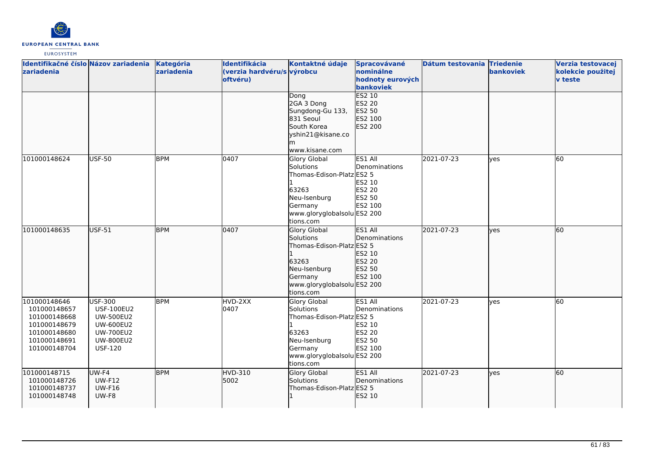

| Identifikačné číslo Názov zariadenia<br><b>zariadenia</b>                                                    |                                                                                                                                       | Kategória<br>zariadenia | Identifikácia<br>(verzia hardvéru/s výrobcu<br>oftvéru) | Kontaktné údaje<br>Dong                                                                                                                       | Spracovávané<br>nominálne<br>hodnoty eurových<br>bankoviek<br>ES2 10     | Dátum testovania Triedenie | bankoviek  | Verzia testovacej<br>kolekcie použitej<br><b>v</b> teste |
|--------------------------------------------------------------------------------------------------------------|---------------------------------------------------------------------------------------------------------------------------------------|-------------------------|---------------------------------------------------------|-----------------------------------------------------------------------------------------------------------------------------------------------|--------------------------------------------------------------------------|----------------------------|------------|----------------------------------------------------------|
|                                                                                                              |                                                                                                                                       |                         |                                                         | 2GA 3 Dong<br>Sungdong-Gu 133,<br>831 Seoul<br>South Korea<br>yshin21@kisane.co<br>www.kisane.com                                             | ES2 20<br>ES2 50<br>ES2 100<br>ES2 200                                   |                            |            |                                                          |
| 101000148624                                                                                                 | <b>USF-50</b>                                                                                                                         | <b>BPM</b>              | 0407                                                    | Glory Global<br>Solutions<br>Thomas-Edison-Platz ES2 5<br>63263<br>Neu-Isenburg<br>Germany<br>www.gloryglobalsolu ES2 200<br>tions.com        | ES1 All<br>Denominations<br>ES2 10<br><b>ES2 20</b><br>ES2 50<br>ES2 100 | 2021-07-23                 | yes        | 60                                                       |
| 101000148635                                                                                                 | USF-51                                                                                                                                | <b>BPM</b>              | 0407                                                    | Glory Global<br>Solutions<br>Thomas-Edison-Platz ES2 5<br>63263<br>Neu-Isenburg<br>Germany<br>www.gloryglobalsolu ES2 200<br>tions.com        | ES1 All<br>Denominations<br>ES2 10<br>ES2 20<br>ES2 50<br>ES2 100        | 2021-07-23                 | lyes       | 60                                                       |
| 101000148646<br>101000148657<br>101000148668<br>101000148679<br>101000148680<br>101000148691<br>101000148704 | <b>USF-300</b><br><b>USF-100EU2</b><br><b>UW-500EU2</b><br><b>UW-600EU2</b><br><b>UW-700EU2</b><br><b>UW-800EU2</b><br><b>USF-120</b> | <b>BPM</b>              | HVD-2XX<br>0407                                         | <b>Glory Global</b><br>Solutions<br>Thomas-Edison-Platz ES2 5<br>63263<br>Neu-Isenburg<br>Germany<br>www.gloryglobalsolu ES2 200<br>tions.com | ES1 All<br>Denominations<br>ES2 10<br><b>ES2 20</b><br>ES2 50<br>ES2 100 | 2021-07-23                 | <b>ves</b> | 60                                                       |
| 101000148715<br>101000148726<br>101000148737<br>101000148748                                                 | UW-F4<br><b>UW-F12</b><br><b>UW-F16</b><br>UW-F8                                                                                      | <b>BPM</b>              | HVD-310<br>5002                                         | Glory Global<br>Solutions<br>Thomas-Edison-Platz ES2 5                                                                                        | ES1 All<br>Denominations<br>ES2 10                                       | 2021-07-23                 | lves       | 60                                                       |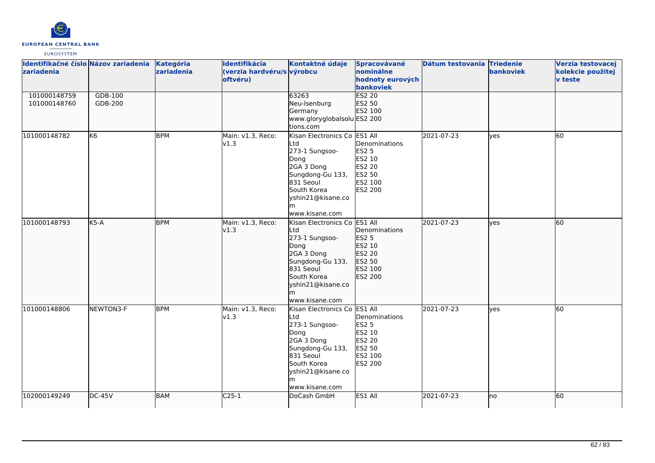

| Identifikačné číslo Názov zariadenia<br>zariadenia<br>101000148759<br>101000148760 | GDB-100<br>GDB-200 | Kategória<br>zariadenia | Identifikácia<br>(verzia hardvéru/s výrobcu<br>oftvéru) | Kontaktné údaje<br>63263<br>Neu-Isenburg<br>Germany<br>www.gloryglobalsolu ES2 200                                                                                                   | Spracovávané<br>nominálne<br>hodnoty eurových<br>bankoviek<br><b>ES2 20</b><br>ES2 50<br>ES2 100 | Dátum testovania Triedenie | <b>bankoviek</b> | Verzia testovacej<br>kolekcie použitej<br>v teste |
|------------------------------------------------------------------------------------|--------------------|-------------------------|---------------------------------------------------------|--------------------------------------------------------------------------------------------------------------------------------------------------------------------------------------|--------------------------------------------------------------------------------------------------|----------------------------|------------------|---------------------------------------------------|
| 101000148782                                                                       | lK6                | <b>BPM</b>              | Main: v1.3, Reco:<br>v1.3                               | tions.com<br>Kisan Electronics Co ES1 All<br>Ltd<br>273-1 Sungsoo-<br>Dong<br>2GA 3 Dong<br>Sungdong-Gu 133,<br>831 Seoul<br>South Korea<br>yshin21@kisane.co<br>m<br>www.kisane.com | Denominations<br>ES2 5<br>ES2 10<br>ES2 20<br>ES2 50<br>ES2 100<br>ES2 200                       | 2021-07-23                 | yes              | 60                                                |
| 101000148793                                                                       | $K5-A$             | <b>BPM</b>              | Main: v1.3, Reco:<br>v1.3                               | Kisan Electronics Co ES1 All<br>Ltd<br>273-1 Sungsoo-<br>Dong<br>2GA 3 Dong<br>Sungdong-Gu 133,<br>831 Seoul<br>South Korea<br>yshin21@kisane.co<br>lm<br>www.kisane.com             | Denominations<br>ES2 5<br>ES2 10<br>ES2 20<br>ES2 50<br>ES2 100<br>ES2 200                       | 2021-07-23                 | lves             | 60                                                |
| 101000148806                                                                       | NEWTON3-F          | <b>BPM</b>              | Main: v1.3, Reco:<br>v1.3                               | Kisan Electronics Co ES1 All<br>Ltd<br>273-1 Sungsoo-<br>Dong<br>2GA 3 Dong<br>Sungdong-Gu 133,<br>831 Seoul<br>South Korea<br>yshin21@kisane.co<br>www.kisane.com                   | Denominations<br><b>ES2 5</b><br>ES2 10<br>ES2 20<br>ES2 50<br>ES2 100<br>ES2 200                | 2021-07-23                 | lyes             | 60                                                |
| 102000149249                                                                       | $DC-45V$           | BAM                     | $C25-1$                                                 | DoCash GmbH                                                                                                                                                                          | ES1 All                                                                                          | 2021-07-23                 | lno              | 60                                                |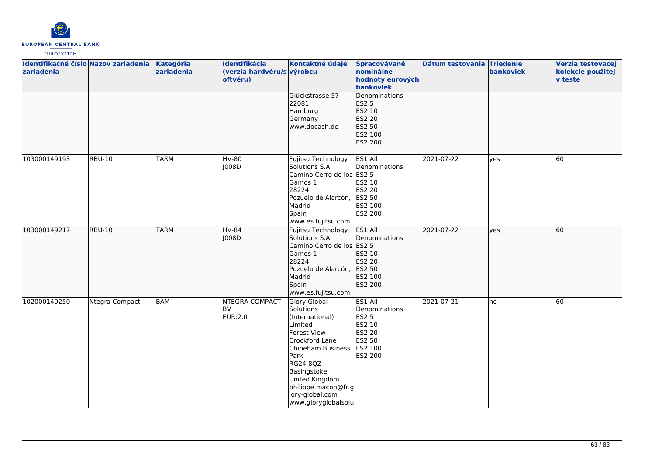

| zariadenia   | Identifikačné číslo Názov zariadenia | Kategória<br>zariadenia | Identifikácia<br>(verzia hardvéru/s výrobcu<br>oftvéru) | Kontaktné údaje                                                                                                                                                                                                                     | Spracovávané<br>nominálne<br>hodnoty eurových<br>bankoviek                                   | Dátum testovania Triedenie | bankoviek | Verzia testovacej<br>kolekcie použitej<br><b>v</b> teste |
|--------------|--------------------------------------|-------------------------|---------------------------------------------------------|-------------------------------------------------------------------------------------------------------------------------------------------------------------------------------------------------------------------------------------|----------------------------------------------------------------------------------------------|----------------------------|-----------|----------------------------------------------------------|
|              |                                      |                         |                                                         | Glückstrasse 57<br>22081<br>Hamburg<br>Germany<br>www.docash.de                                                                                                                                                                     | Denominations<br><b>ES2 5</b><br>ES2 10<br>ES2 20<br>ES2 50<br>ES2 100<br>ES2 200            |                            |           |                                                          |
| 103000149193 | <b>RBU-10</b>                        | <b>TARM</b>             | HV-80<br>008D                                           | Fujitsu Technology<br>Solutions S.A.<br>Camino Cerro de los ES2 5<br>Gamos 1<br>28224<br>Pozuelo de Alarcón,<br>Madrid<br>Spain<br>www.es.fujitsu.com                                                                               | ES1 All<br>Denominations<br>ES2 10<br><b>ES2 20</b><br>ES2 50<br>ES2 100<br><b>ES2 200</b>   | 2021-07-22                 | yes       | 60                                                       |
| 103000149217 | <b>RBU-10</b>                        | <b>TARM</b>             | <b>HV-84</b><br>J008D                                   | Fujitsu Technology<br>Solutions S.A.<br>Camino Cerro de los ES2 5<br>Gamos 1<br>28224<br>Pozuelo de Alarcón,<br>Madrid<br>Spain<br>www.es.fujitsu.com                                                                               | ES1 All<br>Denominations<br>ES2 10<br>ES2 20<br>ES2 50<br>ES2 100<br>ES2 200                 | 2021-07-22                 | lyes      | 60                                                       |
| 102000149250 | Ntegra Compact                       | <b>BAM</b>              | NTEGRA COMPACT<br><b>BV</b><br>EUR:2.0                  | Glory Global<br>Solutions<br>(International)<br>Limited<br>Forest View<br>Crockford Lane<br>Chineham Business<br>Park<br>RG24 8QZ<br>Basingstoke<br>United Kingdom<br>philippe.macon@fr.g<br>lory-global.com<br>www.gloryglobalsolu | ES1 All<br>Denominations<br><b>ES2 5</b><br>ES2 10<br>ES2 20<br>ES2 50<br>ES2 100<br>ES2 200 | 2021-07-21                 | Ino       | 60                                                       |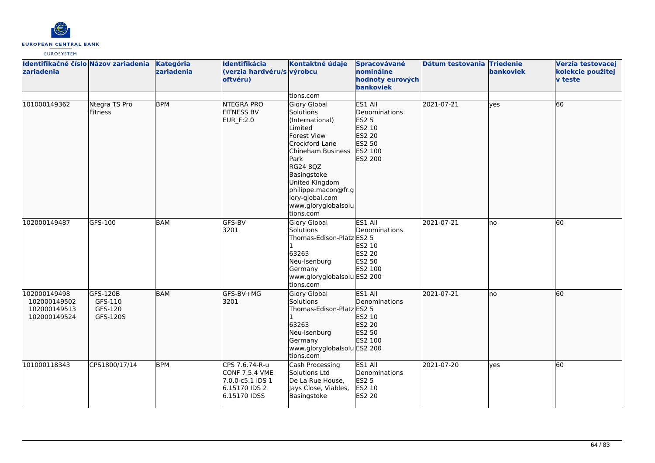

| Identifikačné číslo Názov zariadenia<br>zariadenia           |                                            | Kategória<br>zariadenia | Identifikácia<br>(verzia hardvéru/s výrobcu<br>oftvéru)                               | Kontaktné údaje                                                                                                                                                                                                                                         | Spracovávané<br>nominálne<br>hodnoty eurových<br>bankoviek                            | Dátum testovania Triedenie | bankoviek | Verzia testovacej<br>kolekcie použitej<br>v teste |
|--------------------------------------------------------------|--------------------------------------------|-------------------------|---------------------------------------------------------------------------------------|---------------------------------------------------------------------------------------------------------------------------------------------------------------------------------------------------------------------------------------------------------|---------------------------------------------------------------------------------------|----------------------------|-----------|---------------------------------------------------|
|                                                              |                                            |                         |                                                                                       | tions.com                                                                                                                                                                                                                                               |                                                                                       |                            |           |                                                   |
| 101000149362                                                 | Ntegra TS Pro<br><b>Fitness</b>            | <b>BPM</b>              | NTEGRA PRO<br><b>FITNESS BV</b><br>EUR_F:2.0                                          | Glory Global<br>Solutions<br>(International)<br>Limited<br><b>Forest View</b><br>Crockford Lane<br>Chineham Business<br>Park<br>RG24 8QZ<br>Basingstoke<br>United Kingdom<br>philippe.macon@fr.g<br>lory-global.com<br>www.gloryglobalsolu<br>tions.com | ES1 All<br>Denominations<br>ES2 5<br>ES2 10<br>ES2 20<br>ES2 50<br>ES2 100<br>ES2 200 | 2021-07-21                 | lves      | 60                                                |
| 102000149487                                                 | GFS-100                                    | BAM                     | GFS-BV<br>3201                                                                        | Glory Global<br>Solutions<br>Thomas-Edison-Platz ES2 5<br>63263<br>Neu-Isenburg<br>Germany<br>www.gloryglobalsolu ES2 200<br>tions.com                                                                                                                  | ES1 All<br>Denominations<br>ES2 10<br><b>ES2 20</b><br>ES2 50<br>ES2 100              | 2021-07-21                 | lno       | 60                                                |
| 102000149498<br>102000149502<br>102000149513<br>102000149524 | GFS-120B<br>GFS-110<br>GFS-120<br>GFS-120S | <b>BAM</b>              | lGFS-BV+MG<br>3201                                                                    | Glory Global<br>Solutions<br>Thomas-Edison-Platz ES2 5<br>63263<br>Neu-Isenburg<br>Germany<br>www.gloryglobalsolu ES2 200<br>tions.com                                                                                                                  | ES1 All<br>Denominations<br>ES2 10<br>ES2 20<br>ES2 50<br>ES2 100                     | 2021-07-21                 | lno       | 60                                                |
| 101000118343                                                 | CPS1800/17/14                              | <b>BPM</b>              | CPS 7.6.74-R-u<br>CONF 7.5.4 VME<br>7.0.0-c5.1 IDS 1<br>6.15170 IDS 2<br>6.15170 IDSS | Cash Processing<br>Solutions Ltd<br>De La Rue House,<br>Jays Close, Viables,<br>Basingstoke                                                                                                                                                             | ES1 All<br>Denominations<br>ES2 5<br>ES2 10<br><b>ES2 20</b>                          | 2021-07-20                 | yes       | 60                                                |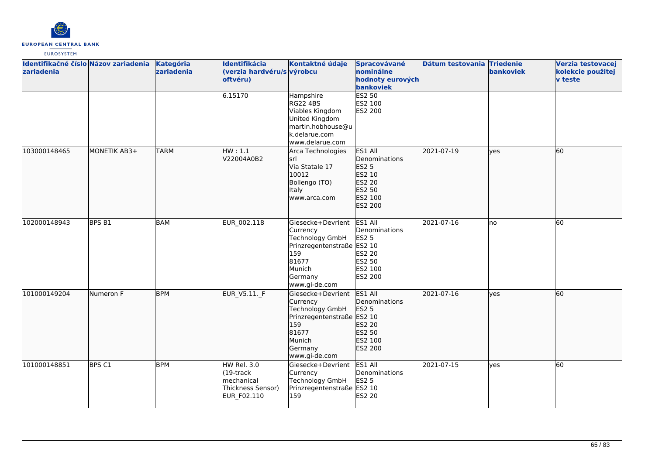

| Identifikačné číslo Názov zariadenia<br>zariadenia |                   | Kategória<br>zariadenia | Identifikácia<br>(verzia hardvéru/s výrobcu<br>oftvéru)                               | Kontaktné údaje                                                                                                                      | Spracovávané<br>nominálne<br>hodnoty eurových<br>bankoviek                                   | Dátum testovania Triedenie | <b>bankoviek</b> | Verzia testovacej<br>kolekcie použitej<br>v teste |
|----------------------------------------------------|-------------------|-------------------------|---------------------------------------------------------------------------------------|--------------------------------------------------------------------------------------------------------------------------------------|----------------------------------------------------------------------------------------------|----------------------------|------------------|---------------------------------------------------|
|                                                    |                   |                         | 6.15170                                                                               | Hampshire<br><b>RG22 4BS</b><br>Viables Kingdom<br>United Kingdom<br>martin.hobhouse@u<br>k.delarue.com<br>www.delarue.com           | <b>ES2 50</b><br>ES2 100<br><b>ES2 200</b>                                                   |                            |                  |                                                   |
| 103000148465                                       | MONETIK AB3+      | <b>TARM</b>             | HW: 1.1<br>V22004A0B2                                                                 | Arca Technologies<br>İsrl<br>Via Statale 17<br>10012<br>Bollengo (TO)<br><b>Italy</b><br>www.arca.com                                | ES1 All<br>Denominations<br><b>ES2 5</b><br>ES2 10<br>ES2 20<br>ES2 50<br>ES2 100<br>ES2 200 | 2021-07-19                 | lyes             | 60                                                |
| 102000148943                                       | BPS B1            | <b>BAM</b>              | EUR_002.118                                                                           | Giesecke+Devrient<br>Currency<br>Technology GmbH<br>Prinzregentenstraße ES2 10<br>159<br>81677<br>Munich<br>Germany<br>www.gi-de.com | ES1 All<br>Denominations<br><b>ES2 5</b><br>ES2 20<br>ES2 50<br>ES2 100<br>ES2 200           | 2021-07-16                 | lno              | 60                                                |
| 101000149204                                       | Numeron F         | <b>BPM</b>              | EUR_V5.11._F                                                                          | Giesecke+Devrient<br>Currency<br>Technology GmbH<br>Prinzregentenstraße ES2 10<br>159<br>81677<br>Munich<br>Germany<br>www.gi-de.com | ES1 All<br>Denominations<br>ES2 5<br>ES2 20<br>ES2 50<br>ES2 100<br>ES2 200                  | 2021-07-16                 | lyes             | 60                                                |
| 101000148851                                       | BPS <sub>C1</sub> | <b>BPM</b>              | <b>HW Rel. 3.0</b><br>$(19$ -track<br>Imechanical<br>Thickness Sensor)<br>EUR_F02.110 | Giesecke+Devrient<br>Currency<br>Technology GmbH<br>Prinzregentenstraße ES2 10<br>159                                                | ES1 All<br>Denominations<br>ES2 5<br>ES2 20                                                  | 2021-07-15                 | lyes             | 60                                                |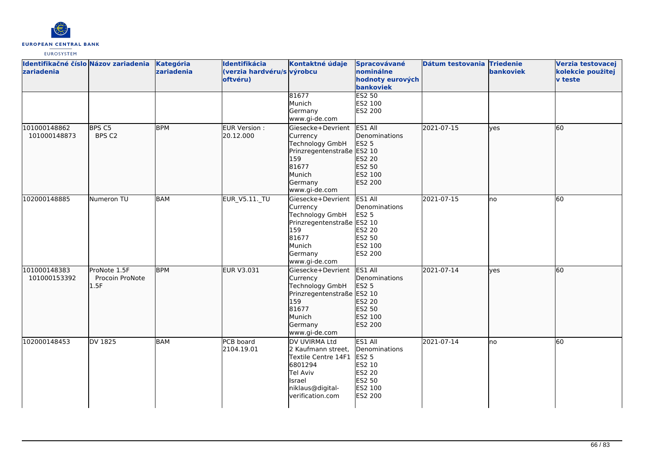

| Identifikačné číslo Názov zariadenia<br>zariadenia |                                         | Kategória<br>zariadenia | Identifikácia<br>(verzia hardvéru/s výrobcu<br>oftvéru) | Kontaktné údaje                                                                                                                      | Spracovávané<br>nominálne<br>hodnoty eurových<br>bankoviek                                   | Dátum testovania Triedenie | bankoviek   | Verzia testovacej<br>kolekcie použitej<br><b>v</b> teste |
|----------------------------------------------------|-----------------------------------------|-------------------------|---------------------------------------------------------|--------------------------------------------------------------------------------------------------------------------------------------|----------------------------------------------------------------------------------------------|----------------------------|-------------|----------------------------------------------------------|
|                                                    |                                         |                         |                                                         | 81677<br>Munich<br>Germany<br>www.gi-de.com                                                                                          | <b>ES2 50</b><br>ES2 100<br><b>ES2 200</b>                                                   |                            |             |                                                          |
| 101000148862<br>101000148873                       | BPS C5<br>BPS C2                        | <b>BPM</b>              | EUR Version:<br>20.12.000                               | Giesecke+Devrient<br>Currency<br>Technology GmbH<br>Prinzregentenstraße ES2 10<br>159<br>81677<br>Munich<br>Germany<br>www.gi-de.com | ES1 All<br>Denominations<br>ES2 5<br>ES2 20<br>ES2 50<br>ES2 100<br>ES2 200                  | 2021-07-15                 | lves        | 60                                                       |
| 102000148885                                       | Numeron TU                              | <b>BAM</b>              | EUR_V5.11._TU                                           | Giesecke+Devrient<br>Currency<br>Technology GmbH<br>Prinzregentenstraße ES2 10<br>159<br>81677<br>Munich<br>Germany<br>www.gi-de.com | ES1 All<br>Denominations<br>ES2 5<br>ES2 20<br>ES2 50<br>ES2 100<br><b>ES2 200</b>           | 2021-07-15                 | lno         | 60                                                       |
| 101000148383<br>101000153392                       | ProNote 1.5F<br>Procoin ProNote<br>1.5F | <b>BPM</b>              | EUR V3.031                                              | Giesecke+Devrient<br>Currency<br>Technology GmbH<br>Prinzregentenstraße ES2 10<br>159<br>81677<br>Munich<br>Germany<br>www.gi-de.com | ES1 All<br>Denominations<br>ES2 5<br>ES2 20<br>ES2 50<br>ES2 100<br>ES2 200                  | 2021-07-14                 | <b>lves</b> | 60                                                       |
| 102000148453                                       | DV 1825                                 | <b>BAM</b>              | PCB board<br>2104.19.01                                 | DV UVIRMA Ltd<br>2 Kaufmann street,<br>Textile Centre 14F1<br>6801294<br>Tel Aviv<br>Israel<br>niklaus@digital-<br>verification.com  | ES1 All<br>Denominations<br><b>ES2 5</b><br>ES2 10<br>ES2 20<br>ES2 50<br>ES2 100<br>ES2 200 | 2021-07-14                 | <b>I</b> no | 60                                                       |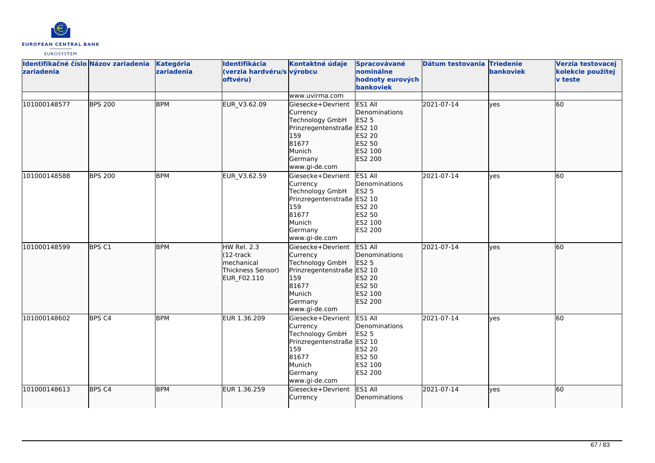

| zariadenia   | Identifikačné číslo Názov zariadenia | Kategória<br>zariadenia | Identifikácia<br>(verzia hardvéru/s výrobcu<br>oftvéru)                     | Kontaktné údaje                                                                                                                             | Spracovávané<br>nominálne<br>hodnoty eurových<br>bankoviek                                       | Dátum testovania Triedenie | <b>bankoviek</b> | Verzia testovacej<br>kolekcie použitej<br><b>v</b> teste |
|--------------|--------------------------------------|-------------------------|-----------------------------------------------------------------------------|---------------------------------------------------------------------------------------------------------------------------------------------|--------------------------------------------------------------------------------------------------|----------------------------|------------------|----------------------------------------------------------|
|              |                                      |                         |                                                                             | www.uvirma.com                                                                                                                              |                                                                                                  |                            |                  |                                                          |
| 101000148577 | <b>BPS 200</b>                       | <b>BPM</b>              | EUR_V3.62.09                                                                | Giesecke+Devrient<br>Currency<br>Technology GmbH<br>Prinzregentenstraße ES2 10<br>159<br>81677<br>Munich<br>Germany<br>www.gi-de.com        | ES1 All<br>Denominations<br>ES2 5<br>ES2 20<br>ES2 50<br>ES2 100<br>ES2 200                      | 2021-07-14                 | ves              | 60                                                       |
| 101000148588 | <b>BPS 200</b>                       | <b>BPM</b>              | EUR_V3.62.59                                                                | Giesecke+Devrient<br>Currency<br>Technology GmbH<br>Prinzregentenstraße ES2 10<br>159<br>81677<br>Munich<br>Germany<br>www.gi-de.com        | ES1 All<br>Denominations<br><b>ES2 5</b><br>ES2 20<br>ES2 50<br>ES2 100<br>ES2 200               | 2021-07-14                 | ves              | 60                                                       |
| 101000148599 | BPS C1                               | <b>BPM</b>              | HW Rel. 2.3<br>(12-track<br>lmechanical<br>Thickness Sensor)<br>EUR_F02.110 | Giesecke+Devrient<br>Currency<br>Technology GmbH<br>Prinzregentenstraße ES2 10<br>159<br>81677<br>Munich<br>Germany<br>www.gi-de.com        | ES1 All<br>Denominations<br><b>ES2 5</b><br>ES2 20<br>ES2 50<br>ES2 100<br>ES2 200               | 2021-07-14                 | ves              | 60                                                       |
| 101000148602 | BPS <sub>C4</sub>                    | <b>BPM</b>              | EUR 1.36.209                                                                | Giesecke+Devrient<br>Currency<br><b>Technology GmbH</b><br>Prinzregentenstraße ES2 10<br>159<br>81677<br>Munich<br>Germany<br>www.gi-de.com | ES1 All<br>Denominations<br><b>ES2 5</b><br><b>ES2 20</b><br>ES2 50<br>ES2 100<br><b>ES2 200</b> | 2021-07-14                 | <b>l</b> ves     | 60                                                       |
| 101000148613 | BPS <sub>C4</sub>                    | <b>BPM</b>              | EUR 1.36.259                                                                | Giesecke+Devrient<br>Currency                                                                                                               | ES1 All<br>Denominations                                                                         | 2021-07-14                 | ves              | 60                                                       |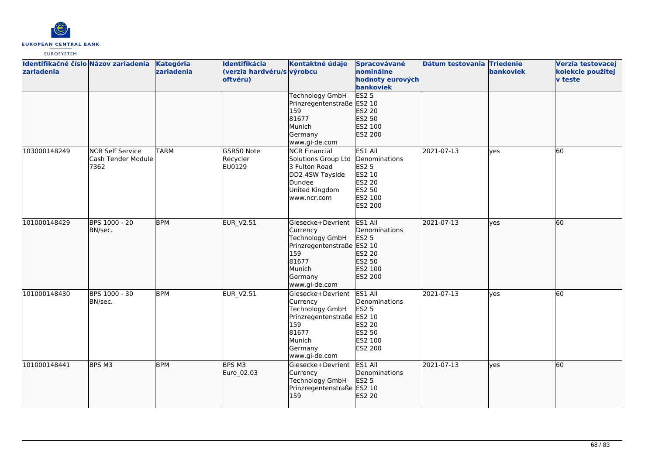

| Identifikačné číslo Názov zariadenia<br>zariadenia |                                                       | Kategória<br>zariadenia | Identifikácia<br>(verzia hardvéru/s výrobcu<br>oftvéru) | Kontaktné údaje                                                                                                                      | Spracovávané<br>nominálne<br>hodnoty eurových<br>bankoviek                                          | Dátum testovania Triedenie | <b>bankoviek</b> | Verzia testovacej<br>kolekcie použitej<br><b>v</b> teste |
|----------------------------------------------------|-------------------------------------------------------|-------------------------|---------------------------------------------------------|--------------------------------------------------------------------------------------------------------------------------------------|-----------------------------------------------------------------------------------------------------|----------------------------|------------------|----------------------------------------------------------|
|                                                    |                                                       |                         |                                                         | <b>Technology GmbH</b><br>Prinzregentenstraße ES2 10<br>159<br>81677<br>Munich<br>Germany<br>www.gi-de.com                           | ES2 <sub>5</sub><br>ES2 20<br>ES2 50<br>ES2 100<br>ES2 200                                          |                            |                  |                                                          |
| 103000148249                                       | <b>NCR Self Service</b><br>Cash Tender Module<br>7362 | <b>TARM</b>             | GSR50 Note<br>Recycler<br>EU0129                        | <b>NCR Financial</b><br>Solutions Group Ltd<br>3 Fulton Road<br>DD2 4SW Tayside<br>Dundee<br>United Kingdom<br>www.ncr.com           | ES1 All<br>Denominations<br><b>ES2 5</b><br>ES2 10<br><b>ES2 20</b><br>ES2 50<br>ES2 100<br>ES2 200 | 2021-07-13                 | lves             | $\overline{60}$                                          |
| 101000148429                                       | BPS 1000 - 20<br>BN/sec.                              | <b>BPM</b>              | <b>EUR_V2.51</b>                                        | Giesecke+Devrient<br>Currency<br>Technology GmbH<br>Prinzregentenstraße ES2 10<br>159<br>81677<br>Munich<br>Germany<br>www.gi-de.com | ES1 All<br>Denominations<br>ES2 5<br>ES2 20<br>ES2 50<br>ES2 100<br>ES2 200                         | 2021-07-13                 | lves             | 60                                                       |
| 101000148430                                       | BPS 1000 - 30<br>BN/sec.                              | <b>BPM</b>              | <b>EUR_V2.51</b>                                        | Giesecke+Devrient<br>Currency<br>Technology GmbH<br>Prinzregentenstraße ES2 10<br>159<br>81677<br>Munich<br>Germany<br>www.gi-de.com | ES1 All<br>Denominations<br>ES2 5<br>ES2 20<br>ES2 50<br>ES2 100<br><b>ES2 200</b>                  | 2021-07-13                 | lves             | 60                                                       |
| 101000148441                                       | BPS M3                                                | <b>BPM</b>              | BPS M3<br>Euro_02.03                                    | Giesecke+Devrient<br>Currency<br>Technology GmbH<br>Prinzregentenstraße ES2 10<br>159                                                | ES1 All<br>Denominations<br>ES2 5<br>ES2 20                                                         | 2021-07-13                 | lves             | 60                                                       |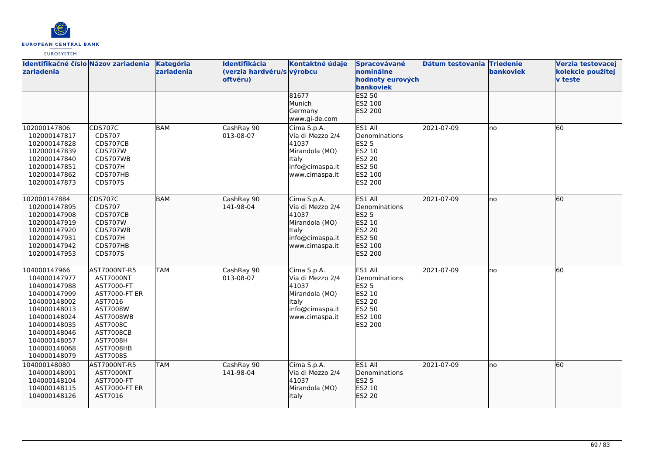

| Identifikačné číslo Názov zariadenia<br><b>zariadenia</b>                                                                                                                                    |                                                                                                                                                                                               | Kategória<br>zariadenia | Identifikácia<br>(verzia hardvéru/s výrobcu<br>oftvéru) | Kontaktné údaje                                                                                                 | Spracovávané<br>nominálne<br>hodnoty eurových<br>bankoviek                                          | Dátum testovania Triedenie | <b>bankoviek</b> | Verzia testovacej<br>kolekcie použitej<br><b>v</b> teste |
|----------------------------------------------------------------------------------------------------------------------------------------------------------------------------------------------|-----------------------------------------------------------------------------------------------------------------------------------------------------------------------------------------------|-------------------------|---------------------------------------------------------|-----------------------------------------------------------------------------------------------------------------|-----------------------------------------------------------------------------------------------------|----------------------------|------------------|----------------------------------------------------------|
|                                                                                                                                                                                              |                                                                                                                                                                                               |                         |                                                         | 81677<br>Munich<br>Germany<br>www.gi-de.com                                                                     | ES2 50<br>ES2 100<br>ES2 200                                                                        |                            |                  |                                                          |
| 102000147806<br>102000147817<br>102000147828<br>102000147839<br>102000147840<br>102000147851<br>102000147862<br>102000147873                                                                 | <b>CDS707C</b><br>CDS707<br>CDS707CB<br><b>CDS707W</b><br>CDS707WB<br>CDS707H<br>CDS707HB<br><b>CDS707S</b>                                                                                   | BAM                     | CashRay 90<br>013-08-07                                 | Cima S.p.A.<br>Via di Mezzo 2/4<br>41037<br>Mirandola (MO)<br>Italy<br>info@cimaspa.it<br>www.cimaspa.it        | ES1 All<br>Denominations<br><b>ES2 5</b><br>ES2 10<br><b>ES2 20</b><br>ES2 50<br>ES2 100<br>ES2 200 | 2021-07-09                 | lno              | 60                                                       |
| 102000147884<br>102000147895<br>102000147908<br>102000147919<br>102000147920<br>102000147931<br>102000147942<br>102000147953                                                                 | <b>CDS707C</b><br>CDS707<br>CDS707CB<br><b>CDS707W</b><br>CDS707WB<br>CDS707H<br>CDS707HB<br>CDS707S                                                                                          | BAM                     | CashRay 90<br>141-98-04                                 | Cima S.p.A.<br>Via di Mezzo 2/4<br>41037<br>Mirandola (MO)<br><b>Italy</b><br>info@cimaspa.it<br>www.cimaspa.it | ES1 All<br>Denominations<br><b>ES2 5</b><br>ES2 10<br>ES2 20<br>ES2 50<br>ES2 100<br>ES2 200        | 2021-07-09                 | lno              | 60                                                       |
| 104000147966<br>104000147977<br>104000147988<br>104000147999<br>104000148002<br>104000148013<br>104000148024<br>104000148035<br>104000148046<br>104000148057<br>104000148068<br>104000148079 | AST7000NT-R5<br><b>AST7000NT</b><br>AST7000-FT<br><b>AST7000-FT ER</b><br>AST7016<br>AST7008W<br><b>AST7008WB</b><br>AST7008C<br><b>AST7008CB</b><br><b>AST7008H</b><br>AST7008HB<br>AST7008S | <b>TAM</b>              | CashRay 90<br>013-08-07                                 | Cima S.p.A.<br>Via di Mezzo 2/4<br>41037<br>Mirandola (MO)<br>Italy<br>info@cimaspa.it<br>www.cimaspa.it        | ES1 All<br>Denominations<br><b>ES2 5</b><br>ES2 10<br>ES2 20<br>ES2 50<br>ES2 100<br>ES2 200        | 2021-07-09                 | lno              | 60                                                       |
| 104000148080<br>104000148091<br>104000148104<br>104000148115<br>104000148126                                                                                                                 | AST7000NT-R5<br>AST7000NT<br>AST7000-FT<br><b>AST7000-FT ER</b><br>AST7016                                                                                                                    | <b>TAM</b>              | CashRay 90<br>141-98-04                                 | Cima S.p.A.<br>Via di Mezzo 2/4<br>41037<br>Mirandola (MO)<br>Italy                                             | ES1 All<br>Denominations<br><b>ES2 5</b><br>ES2 10<br>ES2 20                                        | 2021-07-09                 | Ino              | 60                                                       |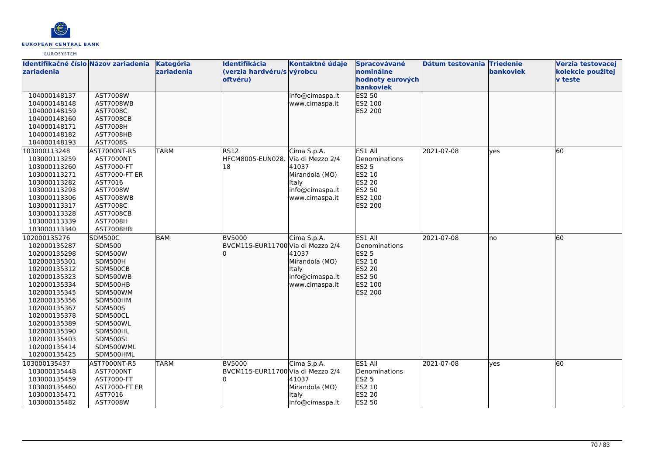

| Identifikačné číslo Názov zariadenia |                         | Kategória   | Identifikácia                               | Kontaktné údaje  | Spracovávané                  | Dátum testovania Triedenie |              | Verzia testovacej |
|--------------------------------------|-------------------------|-------------|---------------------------------------------|------------------|-------------------------------|----------------------------|--------------|-------------------|
| zariadenia                           |                         | zariadenia  | (verzia hardvéru/s výrobcu                  |                  | nominálne                     |                            | bankoviek    | kolekcie použitej |
|                                      |                         |             | oftvéru)                                    |                  | hodnoty eurových              |                            |              | <b>v</b> teste    |
| 104000148137                         | <b>AST7008W</b>         |             |                                             | info@cimaspa.it  | bankoviek<br><b>ES2 50</b>    |                            |              |                   |
| 104000148148                         | <b>AST7008WB</b>        |             |                                             | www.cimaspa.it   | ES2 100                       |                            |              |                   |
| 104000148159                         | AST7008C                |             |                                             |                  | ES2 200                       |                            |              |                   |
| 104000148160                         | <b>AST7008CB</b>        |             |                                             |                  |                               |                            |              |                   |
| 104000148171                         | <b>AST7008H</b>         |             |                                             |                  |                               |                            |              |                   |
| 104000148182                         | AST7008HB               |             |                                             |                  |                               |                            |              |                   |
| 104000148193                         | AST7008S                |             |                                             |                  |                               |                            |              |                   |
| 103000113248                         | AST7000NT-R5            | <b>TARM</b> | RS12                                        | Cima S.p.A.      | ES1 All                       | 2021-07-08                 | <b>l</b> ves | 60                |
| 103000113259                         | AST7000NT               |             | HFCM8005-EUN028.                            | Via di Mezzo 2/4 | Denominations                 |                            |              |                   |
| 103000113260                         | AST7000-FT              |             | 18                                          | 41037            | <b>ES2 5</b>                  |                            |              |                   |
| 103000113271                         | <b>AST7000-FT ER</b>    |             |                                             | Mirandola (MO)   | ES2 10                        |                            |              |                   |
| 103000113282                         | AST7016                 |             |                                             | Italy            | <b>ES2 20</b>                 |                            |              |                   |
| 103000113293                         | AST7008W                |             |                                             | info@cimaspa.it  | ES2 50                        |                            |              |                   |
| 103000113306                         | <b>AST7008WB</b>        |             |                                             | www.cimaspa.it   | ES2 100                       |                            |              |                   |
| 103000113317                         | AST7008C                |             |                                             |                  | ES2 200                       |                            |              |                   |
| 103000113328                         | <b>AST7008CB</b>        |             |                                             |                  |                               |                            |              |                   |
| 103000113339                         | <b>AST7008H</b>         |             |                                             |                  |                               |                            |              |                   |
| 103000113340                         | AST7008HB               |             |                                             |                  |                               |                            |              |                   |
| 102000135276                         | SDM500C                 | <b>BAM</b>  | <b>BV5000</b>                               | Cima S.p.A.      | ES1 All                       | 2021-07-08                 | lno          | 60                |
| 102000135287                         | <b>SDM500</b>           |             | BVCM115-EUR11700 Via di Mezzo 2/4           |                  | Denominations                 |                            |              |                   |
| 102000135298                         | <b>SDM500W</b>          |             |                                             | 41037            | <b>ES2 5</b>                  |                            |              |                   |
| 102000135301                         | SDM500H                 |             |                                             | Mirandola (MO)   | ES2 10                        |                            |              |                   |
| 102000135312                         | SDM500CB                |             |                                             | Italy            | ES2 20                        |                            |              |                   |
| 102000135323                         | SDM500WB                |             |                                             | info@cimaspa.it  | ES2 50                        |                            |              |                   |
| 102000135334                         | SDM500HB                |             |                                             | www.cimaspa.it   | ES2 100                       |                            |              |                   |
| 102000135345                         | SDM500WM                |             |                                             |                  | ES2 200                       |                            |              |                   |
| 102000135356                         | SDM500HM                |             |                                             |                  |                               |                            |              |                   |
| 102000135367                         | <b>SDM500S</b>          |             |                                             |                  |                               |                            |              |                   |
| 102000135378                         | SDM500CL                |             |                                             |                  |                               |                            |              |                   |
| 102000135389                         | SDM500WL                |             |                                             |                  |                               |                            |              |                   |
| 102000135390                         | SDM500HL                |             |                                             |                  |                               |                            |              |                   |
| 102000135403<br>102000135414         | SDM500SL<br>SDM500WML   |             |                                             |                  |                               |                            |              |                   |
|                                      |                         |             |                                             |                  |                               |                            |              |                   |
| 102000135425                         | SDM500HML               |             |                                             |                  |                               |                            |              |                   |
| 103000135437                         | AST7000NT-R5            | <b>TARM</b> | BV5000<br>BVCM115-EUR11700 Via di Mezzo 2/4 | Cima S.p.A.      | ES1 All                       | 2021-07-08                 | <b>ves</b>   | 60                |
| 103000135448<br>103000135459         | AST7000NT<br>AST7000-FT |             |                                             | 41037            | Denominations<br><b>ES2 5</b> |                            |              |                   |
| 103000135460                         | AST7000-FT ER           |             |                                             | Mirandola (MO)   | ES2 10                        |                            |              |                   |
| 103000135471                         | AST7016                 |             |                                             | Italy            | <b>ES2 20</b>                 |                            |              |                   |
| 103000135482                         | AST7008W                |             |                                             | info@cimaspa.it  | ES2 50                        |                            |              |                   |
|                                      |                         |             |                                             |                  |                               |                            |              |                   |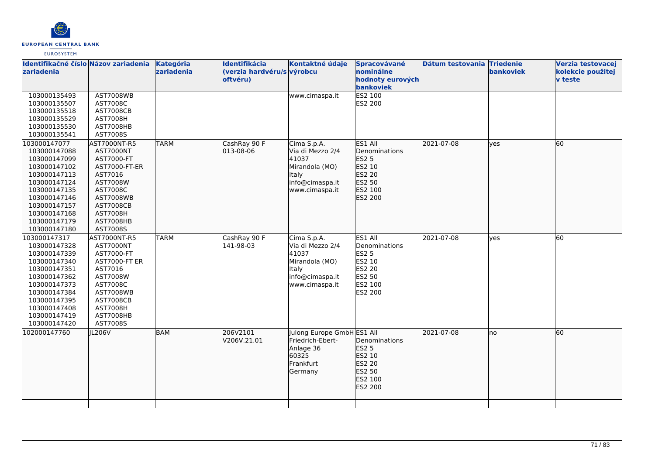

| Identifikačné číslo Názov zariadenia<br>zariadenia                                                                                                                                           |                                                                                                                                                                                        | Kategória<br>zariadenia | Identifikácia<br>(verzia hardvéru/s výrobcu<br>oftvéru) | Kontaktné údaje                                                                                                 | Spracovávané<br>nominálne<br>hodnoty eurových<br>bankoviek                                   | Dátum testovania Triedenie | bankoviek | Verzia testovacej<br>kolekcie použitej<br>v teste |
|----------------------------------------------------------------------------------------------------------------------------------------------------------------------------------------------|----------------------------------------------------------------------------------------------------------------------------------------------------------------------------------------|-------------------------|---------------------------------------------------------|-----------------------------------------------------------------------------------------------------------------|----------------------------------------------------------------------------------------------|----------------------------|-----------|---------------------------------------------------|
| 103000135493<br>103000135507<br>103000135518<br>103000135529<br>103000135530<br>103000135541                                                                                                 | <b>AST7008WB</b><br>AST7008C<br><b>AST7008CB</b><br><b>AST7008H</b><br>AST7008HB<br>AST7008S                                                                                           |                         |                                                         | www.cimaspa.it                                                                                                  | ES2 100<br>ES2 200                                                                           |                            |           |                                                   |
| 103000147077<br>103000147088<br>103000147099<br>103000147102<br>103000147113<br>103000147124<br>103000147135<br>103000147146<br>103000147157<br>103000147168<br>103000147179<br>103000147180 | AST7000NT-R5<br><b>AST7000NT</b><br>AST7000-FT<br>AST7000-FT-ER<br>AST7016<br>AST7008W<br>AST7008C<br><b>AST7008WB</b><br><b>AST7008CB</b><br><b>AST7008H</b><br>AST7008HB<br>AST7008S | <b>TARM</b>             | CashRay 90 F<br>013-08-06                               | Cima S.p.A.<br>Via di Mezzo 2/4<br>41037<br>Mirandola (MO)<br><b>Italy</b><br>info@cimaspa.it<br>www.cimaspa.it | ES1 All<br>Denominations<br>ES2 5<br>ES2 10<br>ES2 20<br>ES2 50<br>ES2 100<br>ES2 200        | 2021-07-08                 | ves       | 60                                                |
| 103000147317<br>103000147328<br>103000147339<br>103000147340<br>103000147351<br>103000147362<br>103000147373<br>103000147384<br>103000147395<br>103000147408<br>103000147419<br>103000147420 | AST7000NT-R5<br>AST7000NT<br>AST7000-FT<br><b>AST7000-FT ER</b><br>AST7016<br>AST7008W<br>AST7008C<br><b>AST7008WB</b><br><b>AST7008CB</b><br><b>AST7008H</b><br>AST7008HB<br>AST7008S | <b>TARM</b>             | CashRay 90 F<br>141-98-03                               | Cima S.p.A.<br>Via di Mezzo 2/4<br>41037<br>Mirandola (MO)<br>Italy<br>info@cimaspa.it<br>www.cimaspa.it        | ES1 All<br>Denominations<br><b>ES2 5</b><br>ES2 10<br>ES2 20<br>ES2 50<br>ES2 100<br>ES2 200 | 2021-07-08                 | ves       | 60                                                |
| 102000147760                                                                                                                                                                                 | JL206V                                                                                                                                                                                 | <b>BAM</b>              | 206V2101<br>V206V.21.01                                 | Julong Europe GmbH ES1 All<br>Friedrich-Ebert-<br>Anlage 36<br>60325<br>Frankfurt<br>Germany                    | Denominations<br>ES2 5<br>ES2 10<br>ES2 20<br>ES2 50<br>ES2 100<br>ES2 200                   | 2021-07-08                 | lno       | 60                                                |
|                                                                                                                                                                                              |                                                                                                                                                                                        |                         |                                                         |                                                                                                                 |                                                                                              |                            |           |                                                   |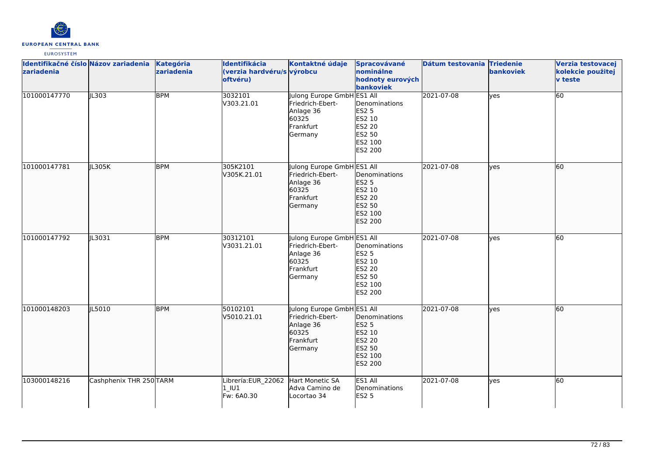

| Identifikačné číslo Názov zariadenia<br>zariadenia |                         | Kategória<br>zariadenia | Identifikácia<br>(verzia hardvéru/s výrobcu<br>oftvéru)    | Kontaktné údaje                                                                              | Spracovávané<br>nominálne<br>hodnoty eurových<br>bankoviek                        | Dátum testovania Triedenie | bankoviek    | Verzia testovacej<br>kolekcie použitej<br>v teste |
|----------------------------------------------------|-------------------------|-------------------------|------------------------------------------------------------|----------------------------------------------------------------------------------------------|-----------------------------------------------------------------------------------|----------------------------|--------------|---------------------------------------------------|
| 101000147770                                       | IL303                   | <b>BPM</b>              | 3032101<br>V303.21.01                                      | Julong Europe GmbH ES1 All<br>Friedrich-Ebert-<br>Anlage 36<br>60325<br>Frankfurt<br>Germany | Denominations<br><b>ES2 5</b><br>ES2 10<br>ES2 20<br>ES2 50<br>ES2 100<br>ES2 200 | 2021-07-08                 | ves          | 60                                                |
| 101000147781                                       | JL305K                  | <b>BPM</b>              | 305K2101<br>V305K.21.01                                    | Julong Europe GmbH ES1 All<br>Friedrich-Ebert-<br>Anlage 36<br>60325<br>Frankfurt<br>Germany | Denominations<br>ES2 5<br>ES2 10<br>ES2 20<br>ES2 50<br>ES2 100<br>ES2 200        | 2021-07-08                 | lves         | 60                                                |
| 101000147792                                       | JL3031                  | <b>BPM</b>              | 30312101<br>V3031.21.01                                    | Julong Europe GmbH ES1 All<br>Friedrich-Ebert-<br>Anlage 36<br>60325<br>Frankfurt<br>Germany | Denominations<br><b>ES2 5</b><br>ES2 10<br>ES2 20<br>ES2 50<br>ES2 100<br>ES2 200 | 2021-07-08                 | <b>l</b> ves | 60                                                |
| 101000148203                                       | JL5010                  | <b>BPM</b>              | 50102101<br>V5010.21.01                                    | Julong Europe GmbH ES1 All<br>Friedrich-Ebert-<br>Anlage 36<br>60325<br>Frankfurt<br>Germany | Denominations<br>ES2 5<br>ES2 10<br>ES2 20<br>ES2 50<br>ES2 100<br>ES2 200        | 2021-07-08                 | ves          | 60                                                |
| 103000148216                                       | Cashphenix THR 250 TARM |                         | Librería: EUR_22062 Hart Monetic SA<br>1 IU1<br>Fw: 6A0.30 | Adva Camino de<br>Locortao 34                                                                | ES1 All<br>Denominations<br><b>ES2 5</b>                                          | 2021-07-08                 | ves          | 60                                                |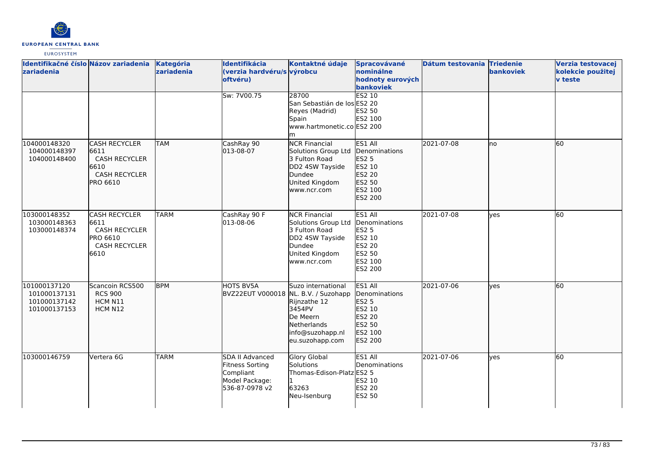

| Identifikačné číslo Názov zariadenia<br>zariadenia           |                                                                                                         | Kategória<br>zariadenia | Identifikácia<br>(verzia hardvéru/s výrobcu<br>oftvéru)                             | Kontaktné údaje                                                                                                            | Spracovávané<br>nominálne<br>hodnoty eurových<br>bankoviek                                          | Dátum testovania Triedenie | bankoviek | Verzia testovacej<br>kolekcie použitej<br><b>v</b> teste |
|--------------------------------------------------------------|---------------------------------------------------------------------------------------------------------|-------------------------|-------------------------------------------------------------------------------------|----------------------------------------------------------------------------------------------------------------------------|-----------------------------------------------------------------------------------------------------|----------------------------|-----------|----------------------------------------------------------|
|                                                              |                                                                                                         |                         | Sw: 7V00.75                                                                         | 28700<br>San Sebastián de los ES2 20<br>Reyes (Madrid)<br>Spain<br>www.hartmonetic.co ES2 200<br>lm                        | ES2 10<br>ES2 50<br>ES2 100                                                                         |                            |           |                                                          |
| 104000148320<br>104000148397<br>104000148400                 | <b>CASH RECYCLER</b><br>6611<br><b>CASH RECYCLER</b><br>6610<br><b>CASH RECYCLER</b><br><b>PRO 6610</b> | <b>TAM</b>              | CashRay 90<br>013-08-07                                                             | <b>NCR Financial</b><br>Solutions Group Ltd<br>3 Fulton Road<br>DD2 4SW Tayside<br>Dundee<br>United Kingdom<br>www.ncr.com | ES1 All<br>Denominations<br>ES2 5<br>ES2 10<br>ES2 20<br>ES2 50<br>ES2 100<br>ES2 200               | 2021-07-08                 | lno       | 60                                                       |
| 103000148352<br>103000148363<br>103000148374                 | <b>CASH RECYCLER</b><br>6611<br><b>CASH RECYCLER</b><br>PRO 6610<br><b>CASH RECYCLER</b><br>6610        | <b>TARM</b>             | CashRay 90 F<br>013-08-06                                                           | <b>NCR Financial</b><br>Solutions Group Ltd<br>3 Fulton Road<br>DD2 4SW Tayside<br>Dundee<br>United Kingdom<br>www.ncr.com | ES1 All<br>Denominations<br><b>ES2 5</b><br>ES2 10<br><b>ES2 20</b><br>ES2 50<br>ES2 100<br>ES2 200 | 2021-07-08                 | lyes      | 60                                                       |
| 101000137120<br>101000137131<br>101000137142<br>101000137153 | Scancoin RCS500<br><b>RCS 900</b><br>HCM N11<br>HCM N12                                                 | <b>BPM</b>              | HOTS BV5A<br>BVZ22EUT V000018 NL. B.V. / Suzohapp                                   | Suzo international<br>Rijnzathe 12<br>3454PV<br>De Meern<br>Netherlands<br>info@suzohapp.nl<br>eu.suzohapp.com             | ES1 All<br>Denominations<br>ES2 5<br>ES2 10<br>ES2 20<br>ES2 50<br>ES2 100<br>ES2 200               | 2021-07-06                 | lyes      | 60                                                       |
| 103000146759                                                 | Vertera 6G                                                                                              | <b>TARM</b>             | SDA II Advanced<br>Fitness Sorting<br>Compliant<br>Model Package:<br>536-87-0978 v2 | Glory Global<br>Solutions<br>Thomas-Edison-Platz ES2 5<br>63263<br>Neu-Isenburg                                            | ES1 All<br>Denominations<br>ES2 10<br>ES2 20<br>ES2 50                                              | 2021-07-06                 | ves       | 60                                                       |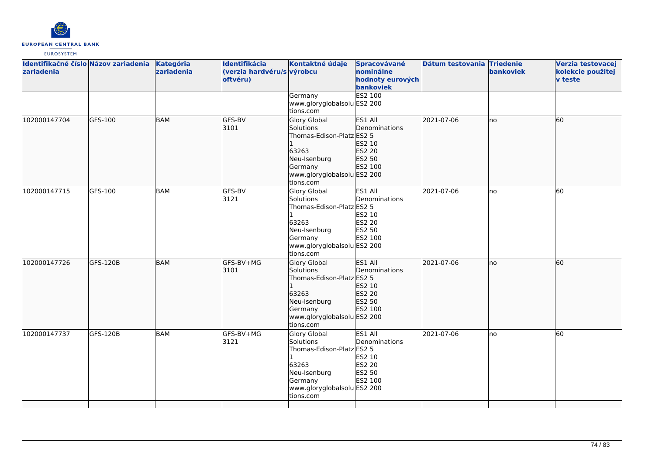

| Identifikačné číslo Názov zariadenia<br>zariadenia |                 | Kategória<br>zariadenia | Identifikácia<br>(verzia hardvéru/s výrobcu<br>oftvéru) | Kontaktné údaje<br>Germany<br>www.gloryglobalsolu ES2 200                                                                                           | Spracovávané<br>nominálne<br>hodnoty eurových<br>bankoviek<br>ES2 100 | Dátum testovania Triedenie | bankoviek | Verzia testovacej<br>kolekcie použitej<br><b>v</b> teste |
|----------------------------------------------------|-----------------|-------------------------|---------------------------------------------------------|-----------------------------------------------------------------------------------------------------------------------------------------------------|-----------------------------------------------------------------------|----------------------------|-----------|----------------------------------------------------------|
| 102000147704                                       | GFS-100         | BAM                     | GFS-BV<br>3101                                          | tions.com<br>Glory Global<br>Solutions<br>Thomas-Edison-Platz ES2 5<br>63263<br>Neu-Isenburg<br>Germany<br>www.gloryglobalsolu ES2 200<br>tions.com | ES1 All<br>Denominations<br>ES2 10<br>ES2 20<br>ES2 50<br>ES2 100     | 2021-07-06                 | lno       | 60                                                       |
| 102000147715                                       | GFS-100         | <b>BAM</b>              | GFS-BV<br>3121                                          | Glory Global<br>Solutions<br>Thomas-Edison-Platz ES2 5<br>63263<br>Neu-Isenburg<br>Germany<br>www.gloryglobalsolu ES2 200<br>tions.com              | ES1 All<br>Denominations<br>ES2 10<br>ES2 20<br>ES2 50<br>ES2 100     | 2021-07-06                 | no        | 60                                                       |
| 102000147726                                       | GFS-120B        | <b>BAM</b>              | GFS-BV+MG<br>3101                                       | <b>Glory Global</b><br>Solutions<br>Thomas-Edison-Platz ES2 5<br>63263<br>Neu-Isenburg<br>Germany<br>www.gloryglobalsolu ES2 200<br>tions.com       | ES1 All<br>Denominations<br>ES2 10<br>ES2 20<br>ES2 50<br>ES2 100     | 2021-07-06                 | Ino       | 60                                                       |
| 102000147737                                       | <b>GFS-120B</b> | BAM                     | GFS-BV+MG<br>3121                                       | Glory Global<br>Solutions<br>Thomas-Edison-Platz ES2 5<br>63263<br>Neu-Isenburg<br>Germany<br>www.gloryglobalsolu ES2 200<br>tions.com              | ES1 All<br>Denominations<br>ES2 10<br>ES2 20<br>ES2 50<br>ES2 100     | 2021-07-06                 | lno       | 60                                                       |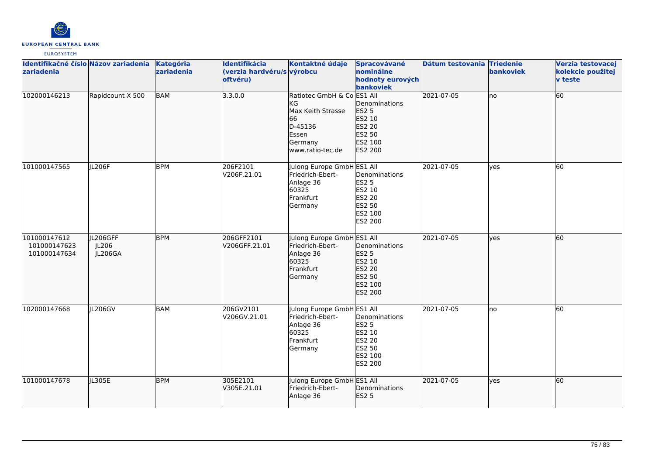

| Identifikačné číslo Názov zariadenia<br>zariadenia |                              | Kategória<br>zariadenia | Identifikácia<br>(verzia hardvéru/s výrobcu<br>oftvéru) | Kontaktné údaje                                                                                                | Spracovávané<br>nominálne<br>hodnoty eurových<br>bankoviek                                             | Dátum testovania Triedenie | bankoviek | Verzia testovacej<br>kolekcie použitej<br><b>v</b> teste |
|----------------------------------------------------|------------------------------|-------------------------|---------------------------------------------------------|----------------------------------------------------------------------------------------------------------------|--------------------------------------------------------------------------------------------------------|----------------------------|-----------|----------------------------------------------------------|
| 102000146213                                       | Rapidcount X 500             | <b>BAM</b>              | 3.3.0.0                                                 | Ratiotec GmbH & Co ES1 All<br>ΚG<br>Max Keith Strasse<br>66<br>D-45136<br>Essen<br>Germany<br>www.ratio-tec.de | Denominations<br><b>ES2 5</b><br>ES2 10<br>ES2 20<br>ES2 50<br>ES2 100<br>ES2 200                      | 2021-07-05                 | lno       | 60                                                       |
| 101000147565                                       | JL206F                       | <b>BPM</b>              | 206F2101<br>V206F.21.01                                 | Julong Europe GmbH ES1 All<br>Friedrich-Ebert-<br>Anlage 36<br>60325<br>Frankfurt<br>Germany                   | Denominations<br><b>ES2 5</b><br>ES2 10<br><b>ES2 20</b><br><b>ES2 50</b><br>ES2 100<br><b>ES2 200</b> | 2021-07-05                 | lyes      | <b>60</b>                                                |
| 101000147612<br>101000147623<br>101000147634       | JL206GFF<br>JL206<br>JL206GA | <b>BPM</b>              | 206GFF2101<br>V206GFF.21.01                             | Julong Europe GmbH ES1 All<br>Friedrich-Ebert-<br>Anlage 36<br>60325<br>Frankfurt<br>Germany                   | Denominations<br>ES2 5<br>ES2 10<br>ES2 20<br>ES2 50<br>ES2 100<br>ES2 200                             | 2021-07-05                 | lyes      | 60                                                       |
| 102000147668                                       | <b>IL206GV</b>               | <b>BAM</b>              | 206GV2101<br>V206GV.21.01                               | Julong Europe GmbH ES1 All<br>Friedrich-Ebert-<br>Anlage 36<br>60325<br>Frankfurt<br>Germany                   | Denominations<br><b>ES2 5</b><br>ES2 10<br><b>ES2 20</b><br>ES2 50<br>ES2 100<br><b>ES2 200</b>        | 2021-07-05                 | lno       | 60                                                       |
| 101000147678                                       | JL305E                       | <b>BPM</b>              | 305E2101<br>V305E.21.01                                 | Julong Europe GmbH ES1 All<br>Friedrich-Ebert-<br>Anlage 36                                                    | Denominations<br><b>ES2 5</b>                                                                          | 2021-07-05                 | lves      | 60                                                       |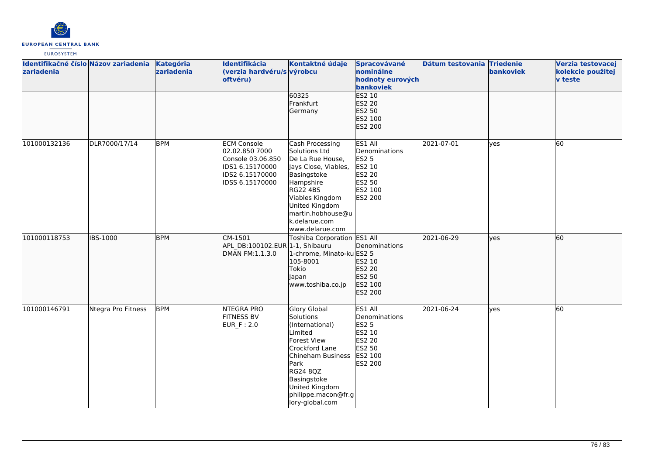

| Identifikačné číslo Názov zariadenia<br>zariadenia |                    | Kategória<br>zariadenia | Identifikácia<br>(verzia hardvéru/s výrobcu<br>oftvéru)                                                            | Kontaktné údaje                                                                                                                                                                                                           | Spracovávané<br>nominálne<br>hodnoty eurových<br>bankoviek                                          | Dátum testovania Triedenie | bankoviek  | Verzia testovacej<br>kolekcie použitej<br>v teste |
|----------------------------------------------------|--------------------|-------------------------|--------------------------------------------------------------------------------------------------------------------|---------------------------------------------------------------------------------------------------------------------------------------------------------------------------------------------------------------------------|-----------------------------------------------------------------------------------------------------|----------------------------|------------|---------------------------------------------------|
|                                                    |                    |                         |                                                                                                                    | 60325<br>Frankfurt<br>Germany                                                                                                                                                                                             | ES2 10<br>ES2 20<br>ES2 50<br>ES2 100<br>ES2 200                                                    |                            |            |                                                   |
| 101000132136                                       | DLR7000/17/14      | <b>BPM</b>              | <b>ECM Console</b><br>02.02.850 7000<br>Console 03.06.850<br>IDS1 6.15170000<br>IDS2 6.15170000<br>IDSS 6.15170000 | Cash Processing<br>Solutions Ltd<br>De La Rue House,<br>Jays Close, Viables,<br>Basingstoke<br>Hampshire<br><b>RG22 4BS</b><br>Viables Kingdom<br>United Kingdom<br>martin.hobhouse@u<br>k.delarue.com<br>www.delarue.com | ES1 All<br>Denominations<br><b>ES2 5</b><br>ES2 10<br>ES2 20<br>ES2 50<br>ES2 100<br><b>ES2 200</b> | 2021-07-01                 | ves        | 60                                                |
| 101000118753                                       | <b>IBS-1000</b>    | <b>BPM</b>              | CM-1501<br>APL DB:100102.EUR 1-1, Shibauru<br>DMAN FM:1.1.3.0                                                      | Toshiba Corporation ES1 All<br>1-chrome, Minato-ku ES2 5<br>105-8001<br>Tokio<br>Japan<br>www.toshiba.co.jp                                                                                                               | Denominations<br>ES2 10<br>ES2 20<br>ES2 50<br>ES2 100<br>ES2 200                                   | 2021-06-29                 | ves        | 60                                                |
| 101000146791                                       | Ntegra Pro Fitness | <b>BPM</b>              | <b>NTEGRA PRO</b><br><b>FITNESS BV</b><br>EUR_F: 2.0                                                               | Glory Global<br>Solutions<br>(International)<br>Limited<br><b>Forest View</b><br>Crockford Lane<br>Chineham Business<br>Park<br>RG24 8QZ<br>Basingstoke<br>United Kingdom<br>philippe.macon@fr.g<br>lory-global.com       | ES1 All<br>Denominations<br><b>ES2 5</b><br>ES2 10<br><b>ES2 20</b><br>ES2 50<br>ES2 100<br>ES2 200 | 2021-06-24                 | <b>ves</b> | 60                                                |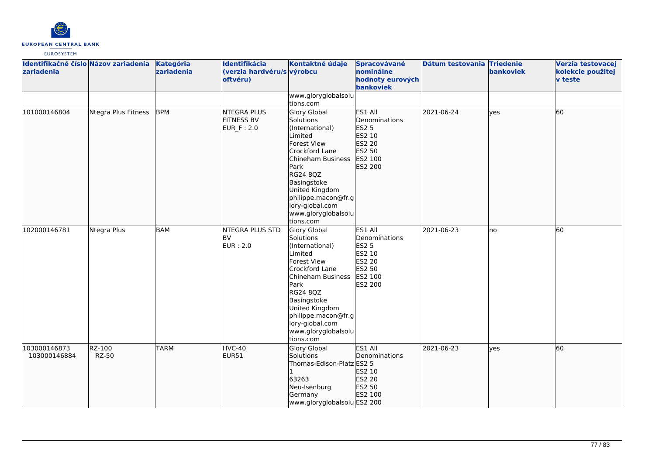

| zariadenia                   | Identifikačné číslo Názov zariadenia | Kategória<br>zariadenia | Identifikácia<br>(verzia hardvéru/s výrobcu<br>oftvéru) | Kontaktné údaje                                                                                                                                                                                                                                                       | Spracovávané<br>nominálne<br>hodnoty eurových<br>bankoviek                                          | Dátum testovania Triedenie | bankoviek | Verzia testovacej<br>kolekcie použitej<br><b>v</b> teste |
|------------------------------|--------------------------------------|-------------------------|---------------------------------------------------------|-----------------------------------------------------------------------------------------------------------------------------------------------------------------------------------------------------------------------------------------------------------------------|-----------------------------------------------------------------------------------------------------|----------------------------|-----------|----------------------------------------------------------|
|                              |                                      |                         |                                                         | www.gloryglobalsolu<br>tions.com                                                                                                                                                                                                                                      |                                                                                                     |                            |           |                                                          |
| 101000146804                 | Ntegra Plus Fitness                  | <b>BPM</b>              | <b>NTEGRA PLUS</b><br><b>FITNESS BV</b><br>EUR_F: 2.0   | Glory Global<br>Solutions<br>(International)<br>Limited<br><b>Forest View</b><br>Crockford Lane<br>Chineham Business<br>Park<br><b>RG24 8QZ</b><br>Basingstoke<br>United Kingdom<br>philippe.macon@fr.g<br>lory-global.com<br>www.gloryglobalsolu<br>tions.com        | ES1 All<br>Denominations<br>ES2 5<br>ES2 10<br>ES2 20<br>ES2 50<br>ES2 100<br>ES2 200               | 2021-06-24                 | lyes      | 60                                                       |
| 102000146781                 | Ntegra Plus                          | <b>BAM</b>              | <b>NTEGRA PLUS STD</b><br><b>BV</b><br>EUR: 2.0         | Glory Global<br>Solutions<br>(International)<br>Limited<br><b>Forest View</b><br>Crockford Lane<br>Chineham Business<br><b>Park</b><br><b>RG24 8QZ</b><br>Basingstoke<br>United Kingdom<br>philippe.macon@fr.g<br>lory-global.com<br>www.gloryglobalsolu<br>tions.com | ES1 All<br>Denominations<br>ES2 5<br>ES2 10<br><b>ES2 20</b><br>ES2 50<br>ES2 100<br><b>ES2 200</b> | 2021-06-23                 | lno       | 60                                                       |
| 103000146873<br>103000146884 | RZ-100<br><b>RZ-50</b>               | <b>TARM</b>             | HVC-40<br>EUR51                                         | Glory Global<br>Solutions<br>Thomas-Edison-Platz ES2 5<br>63263<br>Neu-Isenburg<br>Germany<br>www.gloryglobalsolu ES2 200                                                                                                                                             | ES1 All<br>Denominations<br>ES2 10<br>ES2 20<br>ES2 50<br>ES2 100                                   | 2021-06-23                 | lves      | 60                                                       |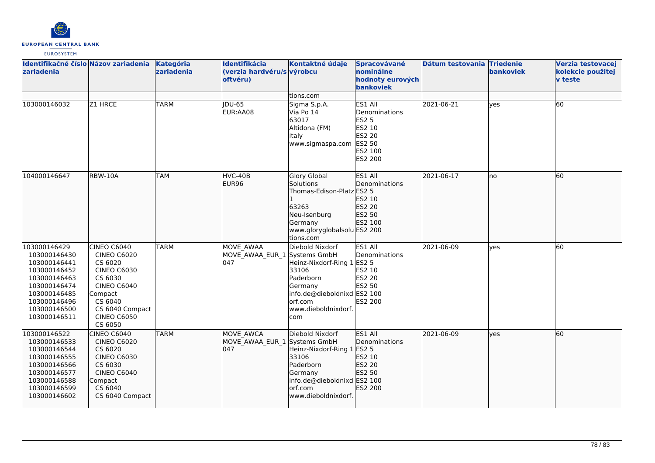

| Identifikačné číslo Názov zariadenia<br>zariadenia                                                                                                           |                                                                                                                                                                               | Kategória<br>zariadenia | Identifikácia<br>(verzia hardvéru/s výrobcu<br>oftvéru) | Kontaktné údaje                                                                                                                                  | Spracovávané<br>nominálne<br>hodnoty eurových<br><b>bankoviek</b>                            | Dátum testovania Triedenie | bankoviek    | Verzia testovacej<br>kolekcie použitej<br><b>v</b> teste |
|--------------------------------------------------------------------------------------------------------------------------------------------------------------|-------------------------------------------------------------------------------------------------------------------------------------------------------------------------------|-------------------------|---------------------------------------------------------|--------------------------------------------------------------------------------------------------------------------------------------------------|----------------------------------------------------------------------------------------------|----------------------------|--------------|----------------------------------------------------------|
|                                                                                                                                                              |                                                                                                                                                                               |                         |                                                         | tions.com                                                                                                                                        |                                                                                              |                            |              |                                                          |
| 103000146032                                                                                                                                                 | Z1 HRCE                                                                                                                                                                       | <b>TARM</b>             | <b>IDU-65</b><br>EUR:AA08                               | Sigma S.p.A.<br>Via Po 14<br>63017<br>Altidona (FM)<br>Italy<br>www.sigmaspa.com                                                                 | ES1 All<br>Denominations<br>ES2 5<br>ES2 10<br><b>ES2 20</b><br>ES2 50<br>ES2 100<br>ES2 200 | 2021-06-21                 | <b>l</b> ves | 60                                                       |
| 104000146647                                                                                                                                                 | RBW-10A                                                                                                                                                                       | <b>TAM</b>              | HVC-40B<br>EUR96                                        | <b>Glory Global</b><br>Solutions<br>Thomas-Edison-Platz ES2 5<br>63263<br>Neu-Isenburg<br>Germany<br>www.gloryglobalsolu ES2 200<br>tions.com    | ES1 All<br>Denominations<br>ES2 10<br>ES2 20<br>ES2 50<br>ES2 100                            | 2021-06-17                 | no           | 60                                                       |
| 103000146429<br>103000146430<br>103000146441<br>103000146452<br>103000146463<br>103000146474<br>103000146485<br>103000146496<br>103000146500<br>103000146511 | CINEO C6040<br><b>CINEO C6020</b><br>CS 6020<br><b>CINEO C6030</b><br>CS 6030<br><b>CINEO C6040</b><br>Compact<br>CS 6040<br>CS 6040 Compact<br><b>CINEO C6050</b><br>CS 6050 | <b>TARM</b>             | MOVE AWAA<br>MOVE_AWAA_EUR_1 Systems GmbH<br>047        | Diebold Nixdorf<br>Heinz-Nixdorf-Ring 1<br>33106<br>Paderborn<br>Germany<br>info.de@dieboldnixd ES2 100<br>orf.com<br>www.dieboldnixdorf.<br>com | ES1 All<br>Denominations<br><b>ES2 5</b><br>ES2 10<br>ES2 20<br>ES2 50<br>ES2 200            | 2021-06-09                 | <b>ves</b>   | 60                                                       |
| 103000146522<br>103000146533<br>103000146544<br>103000146555<br>103000146566<br>103000146577<br>103000146588<br>103000146599<br>103000146602                 | <b>CINEO C6040</b><br><b>CINEO C6020</b><br>CS 6020<br><b>CINEO C6030</b><br>CS 6030<br><b>CINEO C6040</b><br>Compact<br>CS 6040<br>CS 6040 Compact                           | <b>TARM</b>             | MOVE AWCA<br>MOVE_AWAA_EUR_1 Systems GmbH<br>047        | Diebold Nixdorf<br>Heinz-Nixdorf-Ring 1<br>33106<br>Paderborn<br>Germany<br>info.de@dieboldnixd ES2 100<br>orf.com<br>www.dieboldnixdorf.        | ES1 All<br>Denominations<br>ES2 5<br>ES2 10<br>ES2 20<br>ES2 50<br>ES2 200                   | 2021-06-09                 | lves         | 60                                                       |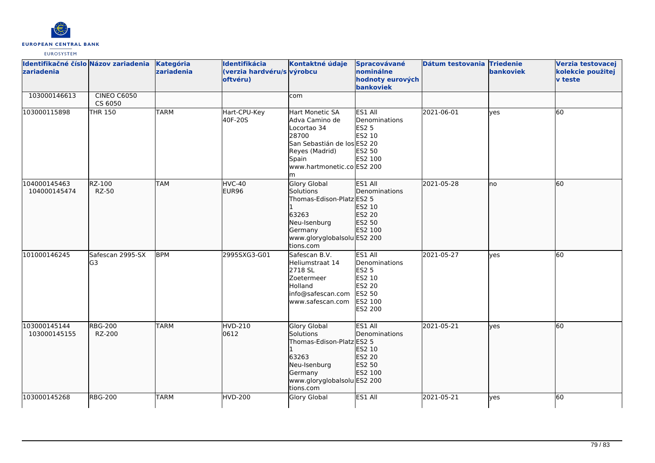

| Identifikačné číslo Názov zariadenia<br>zariadenia |                               | Kategória<br>zariadenia | Identifikácia<br>(verzia hardvéru/s výrobcu<br>oftvéru) | Kontaktné údaje                                                                                                                                         | Spracovávané<br>nominálne<br>hodnoty eurových<br>bankoviek                                                 | Dátum testovania Triedenie | bankoviek | Verzia testovacej<br>kolekcie použitej<br><b>v</b> teste |
|----------------------------------------------------|-------------------------------|-------------------------|---------------------------------------------------------|---------------------------------------------------------------------------------------------------------------------------------------------------------|------------------------------------------------------------------------------------------------------------|----------------------------|-----------|----------------------------------------------------------|
| 103000146613                                       | <b>CINEO C6050</b><br>CS 6050 |                         |                                                         | com                                                                                                                                                     |                                                                                                            |                            |           |                                                          |
| 103000115898                                       | THR 150                       | <b>TARM</b>             | Hart-CPU-Key<br>40F-20S                                 | Hart Monetic SA<br>Adva Camino de<br>Locortao 34<br>28700<br>San Sebastián de los ES2 20<br>Reyes (Madrid)<br>Spain<br>www.hartmonetic.co ES2 200<br>lm | ES1 All<br>Denominations<br>ES2 5<br>ES2 10<br>ES2 50<br>ES2 100                                           | 2021-06-01                 | yes       | <b>60</b>                                                |
| 104000145463<br>104000145474                       | RZ-100<br><b>RZ-50</b>        | <b>TAM</b>              | HVC-40<br>EUR96                                         | <b>Glory Global</b><br>Solutions<br>Thomas-Edison-Platz ES2 5<br>63263<br>Neu-Isenburg<br>Germany<br>www.gloryglobalsolu ES2 200<br>tions.com           | ES1 All<br>Denominations<br>ES2 10<br>ES2 20<br>ES2 50<br>ES2 100                                          | 2021-05-28                 | lno       | 60                                                       |
| 101000146245                                       | Safescan 2995-SX<br>G3        | <b>BPM</b>              | 2995SXG3-G01                                            | Safescan B.V.<br>Heliumstraat 14<br>2718 SL<br>Zoetermeer<br><b>Holland</b><br>info@safescan.com<br>www.safescan.com                                    | ES1 All<br>Denominations<br><b>ES2 5</b><br>ES2 10<br><b>ES2 20</b><br>ES2 50<br>ES2 100<br><b>ES2 200</b> | 2021-05-27                 | lyes      | 60                                                       |
| 103000145144<br>103000145155                       | <b>RBG-200</b><br>RZ-200      | <b>TARM</b>             | HVD-210<br>0612                                         | Glory Global<br>Solutions<br>Thomas-Edison-Platz ES2 5<br>63263<br>Neu-Isenburg<br>Germany<br>www.gloryglobalsolu ES2 200<br>tions.com                  | ES1 All<br>Denominations<br>ES2 10<br>ES2 20<br>ES2 50<br>ES2 100                                          | 2021-05-21                 | lves      | 60                                                       |
| 103000145268                                       | <b>RBG-200</b>                | <b>TARM</b>             | <b>HVD-200</b>                                          | <b>Glory Global</b>                                                                                                                                     | ES1 All                                                                                                    | 2021-05-21                 | lyes      | 60                                                       |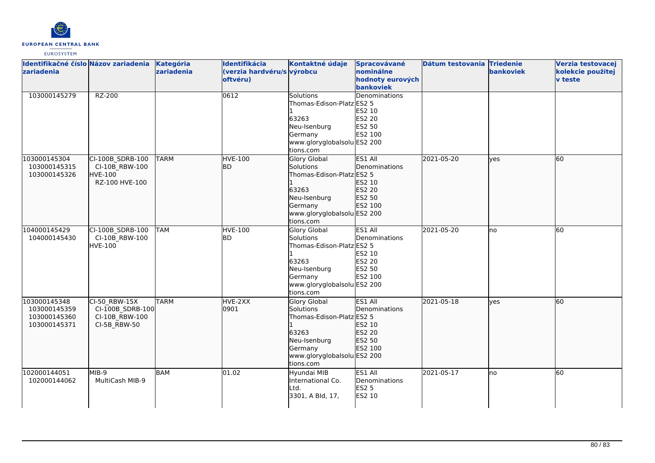

| Identifikačné číslo Názov zariadenia<br>zariadenia           |                                                                        | Kategória<br>zariadenia | Identifikácia<br>(verzia hardvéru/s výrobcu<br>oftvéru) | Kontaktné údaje                                                                                                                        | Spracovávané<br>nominálne<br>hodnoty eurových<br>bankoviek        | Dátum testovania Triedenie | <b>bankoviek</b> | Verzia testovacej<br>kolekcie použitej<br><b>v</b> teste |
|--------------------------------------------------------------|------------------------------------------------------------------------|-------------------------|---------------------------------------------------------|----------------------------------------------------------------------------------------------------------------------------------------|-------------------------------------------------------------------|----------------------------|------------------|----------------------------------------------------------|
| 103000145279                                                 | RZ-200                                                                 |                         | 0612                                                    | <b>Solutions</b><br>Thomas-Edison-Platz ES2 5<br>63263<br>Neu-Isenburg<br>Germany<br>www.gloryglobalsolu ES2 200<br>tions.com          | Denominations<br>ES2 10<br>ES2 20<br>ES2 50<br>ES2 100            |                            |                  |                                                          |
| 103000145304<br>103000145315<br>103000145326                 | CI-100B SDRB-100<br>CI-10B RBW-100<br><b>HVE-100</b><br>RZ-100 HVE-100 | <b>TARM</b>             | <b>HVE-100</b><br>lbd.                                  | Glory Global<br>Solutions<br>Thomas-Edison-Platz ES2 5<br>63263<br>Neu-Isenburg<br>Germany<br>www.gloryglobalsolu ES2 200<br>tions.com | ES1 All<br>Denominations<br>ES2 10<br>ES2 20<br>ES2 50<br>ES2 100 | 2021-05-20                 | lves             | 60                                                       |
| 104000145429<br>104000145430                                 | CI-100B SDRB-100<br>CI-10B RBW-100<br><b>HVE-100</b>                   | <b>TAM</b>              | <b>HVE-100</b><br><b>BD</b>                             | Glory Global<br>Solutions<br>Thomas-Edison-Platz ES2 5<br>63263<br>Neu-Isenburg<br>Germany<br>www.gloryglobalsolu ES2 200<br>tions.com | ES1 All<br>Denominations<br>ES2 10<br>ES2 20<br>ES2 50<br>ES2 100 | 2021-05-20                 | lno              | $\overline{60}$                                          |
| 103000145348<br>103000145359<br>103000145360<br>103000145371 | CI-50 RBW-15X<br>CI-100B_SDRB-100<br>CI-10B RBW-100<br>CI-5B_RBW-50    | <b>TARM</b>             | HVE-2XX<br>0901                                         | Glory Global<br>Solutions<br>Thomas-Edison-Platz ES2 5<br>63263<br>Neu-Isenburg<br>Germany<br>www.gloryglobalsolu ES2 200<br>tions.com | ES1 All<br>Denominations<br>ES2 10<br>ES2 20<br>ES2 50<br>ES2 100 | 2021-05-18                 | ves              | 60                                                       |
| 102000144051<br>102000144062                                 | MIB-9<br>MultiCash MIB-9                                               | <b>BAM</b>              | 01.02                                                   | Hyundai MIB<br>International Co.<br>Ltd.<br>3301, A Bld, 17,                                                                           | ES1 All<br>Denominations<br>ES2 5<br><b>ES2 10</b>                | 2021-05-17                 | lno              | 60                                                       |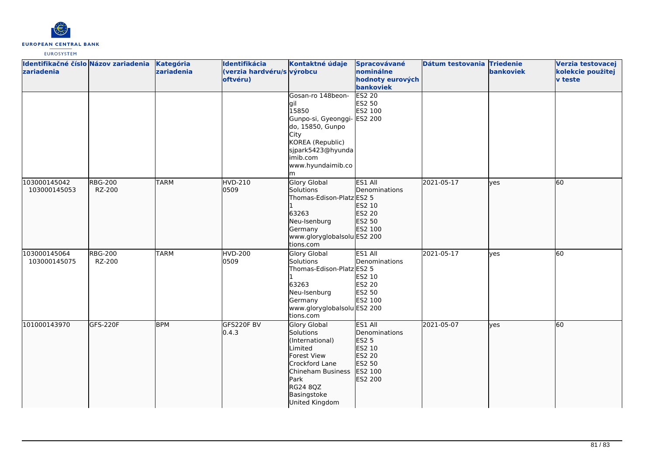

| Identifikačné číslo Názov zariadenia<br>zariadenia |                          | Kategória<br>zariadenia | Identifikácia<br>(verzia hardvéru/s výrobcu<br>oftvéru) | Kontaktné údaje                                                                                                                                                              | Spracovávané<br>nominálne<br>hodnoty eurových<br>bankoviek                                   | Dátum testovania Triedenie | bankoviek  | Verzia testovacej<br>kolekcie použitej<br><b>v</b> teste |
|----------------------------------------------------|--------------------------|-------------------------|---------------------------------------------------------|------------------------------------------------------------------------------------------------------------------------------------------------------------------------------|----------------------------------------------------------------------------------------------|----------------------------|------------|----------------------------------------------------------|
|                                                    |                          |                         |                                                         | Gosan-ro 148beon-<br>lgil<br>15850<br>Gunpo-si, Gyeonggi- ES2 200<br>do, 15850, Gunpo<br>City<br>KOREA (Republic)<br>sjpark5423@hyunda<br>imib.com<br>www.hyundaimib.co<br>m | <b>ES2 20</b><br>ES2 50<br>ES2 100                                                           |                            |            |                                                          |
| 103000145042<br>103000145053                       | <b>RBG-200</b><br>RZ-200 | <b>TARM</b>             | HVD-210<br>0509                                         | <b>Glory Global</b><br>Solutions<br>Thomas-Edison-Platz ES2 5<br>63263<br>Neu-Isenburg<br>Germany<br>www.gloryglobalsolu ES2 200<br>tions.com                                | ES1 All<br><b>IDenominations</b><br>ES2 10<br>ES2 20<br>ES2 50<br>ES2 100                    | 2021-05-17                 | lyes       | 60                                                       |
| 103000145064<br>103000145075                       | <b>RBG-200</b><br>RZ-200 | <b>TARM</b>             | <b>HVD-200</b><br>0509                                  | Glory Global<br>Solutions<br>Thomas-Edison-Platz ES2 5<br>63263<br>Neu-Isenburg<br>Germany<br>www.gloryglobalsolu ES2 200<br>tions.com                                       | ES1 All<br>Denominations<br>ES2 10<br><b>ES2 20</b><br>ES2 50<br>ES2 100                     | 2021-05-17                 | <b>ves</b> | 60                                                       |
| 101000143970                                       | GFS-220F                 | <b>BPM</b>              | GFS220F BV<br>0.4.3                                     | <b>Glory Global</b><br>Solutions<br>(International)<br>Limited<br>Forest View<br>Crockford Lane<br>Chineham Business<br>Park<br>RG24 8QZ<br>Basingstoke<br>United Kingdom    | ES1 All<br>Denominations<br><b>ES2 5</b><br>ES2 10<br>ES2 20<br>ES2 50<br>ES2 100<br>ES2 200 | 2021-05-07                 | lves       | $\overline{60}$                                          |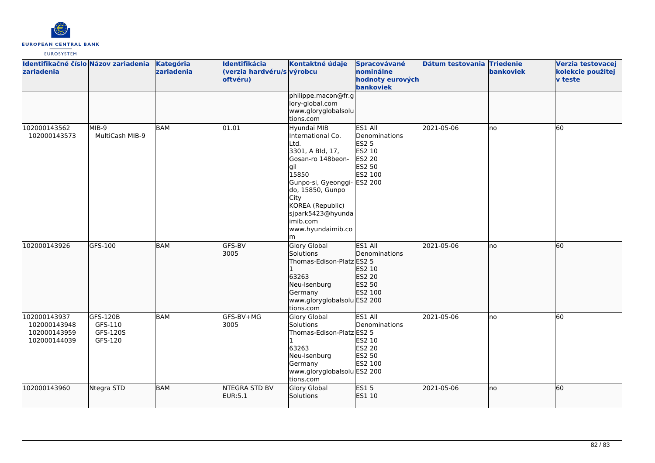

| Identifikačné číslo Názov zariadenia<br>zariadenia           |                                            | Kategória<br>zariadenia | Identifikácia<br>(verzia hardvéru/s výrobcu<br>oftvéru) | Kontaktné údaje                                                                                                                                                                                                                             | Spracovávané<br>nominálne<br>hodnoty eurových<br>bankoviek                               | Dátum testovania Triedenie | bankoviek | Verzia testovacej<br>kolekcie použitej<br>v teste |
|--------------------------------------------------------------|--------------------------------------------|-------------------------|---------------------------------------------------------|---------------------------------------------------------------------------------------------------------------------------------------------------------------------------------------------------------------------------------------------|------------------------------------------------------------------------------------------|----------------------------|-----------|---------------------------------------------------|
|                                                              |                                            |                         |                                                         | philippe.macon@fr.g<br>lory-global.com<br>www.gloryglobalsolu<br>tions.com                                                                                                                                                                  |                                                                                          |                            |           |                                                   |
| 102000143562<br>102000143573                                 | MIB-9<br>MultiCash MIB-9                   | <b>BAM</b>              | 01.01                                                   | Hyundai MIB<br>International Co.<br>Ltd.<br>3301, A Bld, 17,<br>Gosan-ro 148beon-<br>gil<br>15850<br>Gunpo-si, Gyeonggi- ES2 200<br>do, 15850, Gunpo<br>City<br>KOREA (Republic)<br>sjpark5423@hyunda<br>imib.com<br>www.hyundaimib.co<br>m | ES1 All<br>Denominations<br><b>ES2 5</b><br>ES2 10<br><b>ES2 20</b><br>ES2 50<br>ES2 100 | 2021-05-06                 | lno       | 60                                                |
| 102000143926                                                 | GFS-100                                    | <b>BAM</b>              | <b>GFS-BV</b><br>3005                                   | <b>Glory Global</b><br>Solutions<br>Thomas-Edison-Platz ES2 5<br>63263<br>Neu-Isenburg<br>Germany<br>www.gloryglobalsolu ES2 200<br>tions.com                                                                                               | ES1 All<br>Denominations<br>ES2 10<br><b>ES2 20</b><br>ES2 50<br>ES2 100                 | 2021-05-06                 | lno       | 60                                                |
| 102000143937<br>102000143948<br>102000143959<br>102000144039 | GFS-120B<br>GFS-110<br>GFS-120S<br>GFS-120 | BAM                     | GFS-BV+MG<br>3005                                       | <b>Glory Global</b><br>Solutions<br>Thomas-Edison-Platz ES2 5<br>63263<br>Neu-Isenburg<br>Germany<br>www.gloryglobalsolu ES2 200<br>tions.com                                                                                               | ES1 All<br>Denominations<br>ES2 10<br><b>ES2 20</b><br>ES2 50<br>ES2 100                 | 2021-05-06                 | lno       | 60                                                |
| 102000143960                                                 | Ntegra STD                                 | <b>BAM</b>              | <b>NTEGRA STD BV</b><br>EUR:5.1                         | <b>Glory Global</b><br>Solutions                                                                                                                                                                                                            | <b>ES15</b><br>ES1 10                                                                    | 2021-05-06                 | no        | 60                                                |